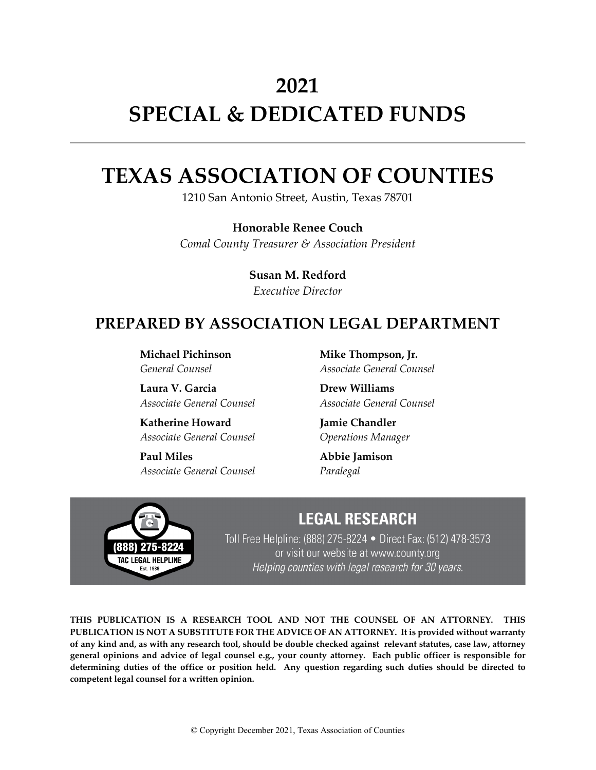# **2021 SPECIAL & DEDICATED FUNDS**

# **TEXAS ASSOCIATION OF COUNTIES**

1210 San Antonio Street, Austin, Texas 78701

**Honorable Renee Couch** *Comal County Treasurer & Association President*

> **Susan M. Redford** *Executive Director*

# **PREPARED BY ASSOCIATION LEGAL DEPARTMENT**

**Michael Pichinson** *General Counsel*

**Laura V. Garcia** *Associate General Counsel*

**Katherine Howard** *Associate General Counsel*

**Paul Miles** *Associate General Counsel*

**Mike Thompson, Jr.** *Associate General Counsel*

**Drew Williams** *Associate General Counsel*

**Jamie Chandler** *Operations Manager*

**Abbie Jamison** *Paralegal*



# **LEGAL RESEARCH**

Toll Free Helpline: (888) 275-8224 • Direct Fax: (512) 478-3573 or visit our website at www.county.org Helping counties with legal research for 30 years.

**THIS PUBLICATION IS A RESEARCH TOOL AND NOT THE COUNSEL OF AN ATTORNEY. THIS PUBLICATION IS NOT A SUBSTITUTE FOR THE ADVICE OF AN ATTORNEY. It is provided without warranty of any kind and, as with any research tool, should be double checked against relevant statutes, case law, attorney general opinions and advice of legal counsel e.g., your county attorney. Each public officer is responsible for determining duties of the office or position held. Any question regarding such duties should be directed to competent legal counsel for a written opinion.**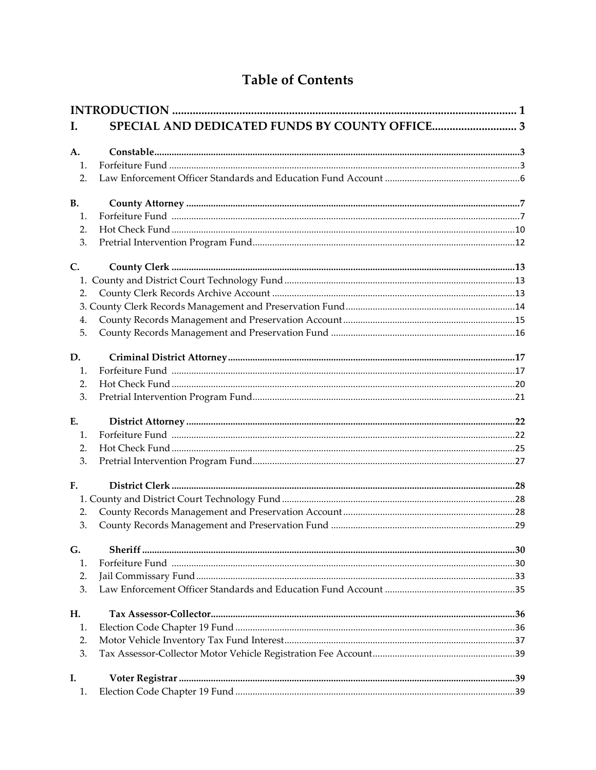# **Table of Contents**

| Ι.             |  |  |
|----------------|--|--|
|                |  |  |
| A.             |  |  |
| $\mathbf{1}$ . |  |  |
| 2.             |  |  |
| <b>B.</b>      |  |  |
| 1.             |  |  |
| 2.             |  |  |
| 3.             |  |  |
| C.             |  |  |
|                |  |  |
| 2.             |  |  |
|                |  |  |
| 4.             |  |  |
| 5.             |  |  |
|                |  |  |
| D.             |  |  |
| 1.             |  |  |
| 2.             |  |  |
| 3.             |  |  |
| E.             |  |  |
| 1.             |  |  |
| 2.             |  |  |
| 3.             |  |  |
| F <sub>r</sub> |  |  |
|                |  |  |
| 2.             |  |  |
| 3.             |  |  |
|                |  |  |
| G.             |  |  |
| 1.             |  |  |
| 2.             |  |  |
| 3.             |  |  |
| H.             |  |  |
| 1.             |  |  |
| 2.             |  |  |
| 3.             |  |  |
| I.             |  |  |
| 1.             |  |  |
|                |  |  |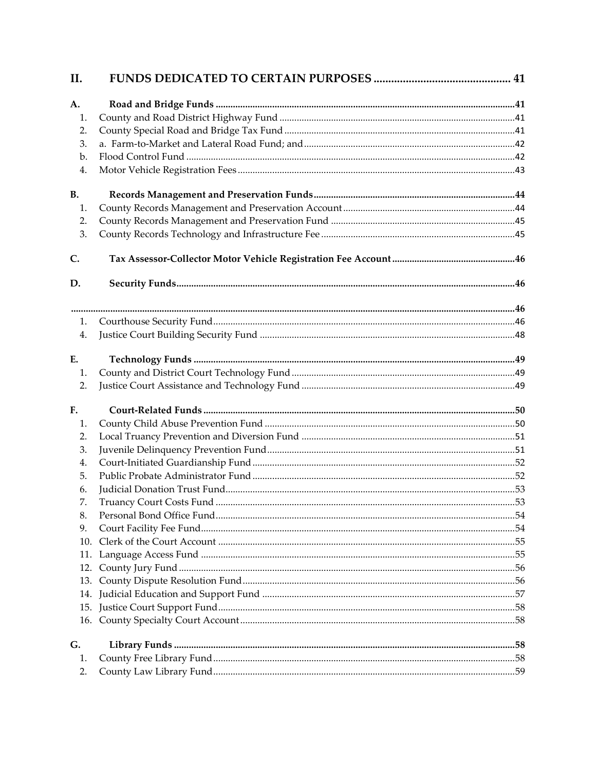| II.       |  |
|-----------|--|
| A.        |  |
| 1.        |  |
| 2.        |  |
| 3.        |  |
| b.        |  |
| 4.        |  |
| <b>B.</b> |  |
| 1.        |  |
| 2.        |  |
| 3.        |  |
| C.        |  |
| D.        |  |
|           |  |
| 1.        |  |
| 4.        |  |
| E.        |  |
| 1.        |  |
| 2.        |  |
| F.        |  |
| 1.        |  |
| 2.        |  |
| 3.        |  |
| 4.        |  |
| 5.        |  |
| 6.        |  |
| 7.        |  |
| 8.        |  |
| 9.        |  |
| 10.       |  |
|           |  |
| 12.       |  |
| 13.       |  |
|           |  |
|           |  |
|           |  |
| G.<br>1.  |  |
| 2.        |  |
|           |  |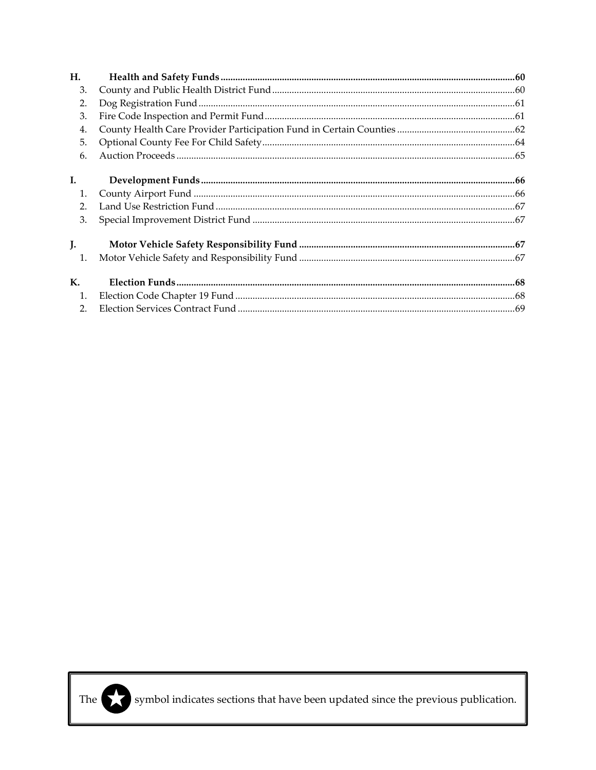| H.             |  |
|----------------|--|
| 3.             |  |
| 2.             |  |
| 3.             |  |
| 4.             |  |
| 5.             |  |
| 6.             |  |
| L.             |  |
| 1.             |  |
| 2.             |  |
| 3.             |  |
| $\mathbf{J}$ . |  |
| 1.             |  |
| $\mathbf{K}$ . |  |
| 1.             |  |
| 2.             |  |



The symbol indicates sections that have been updated since the previous publication.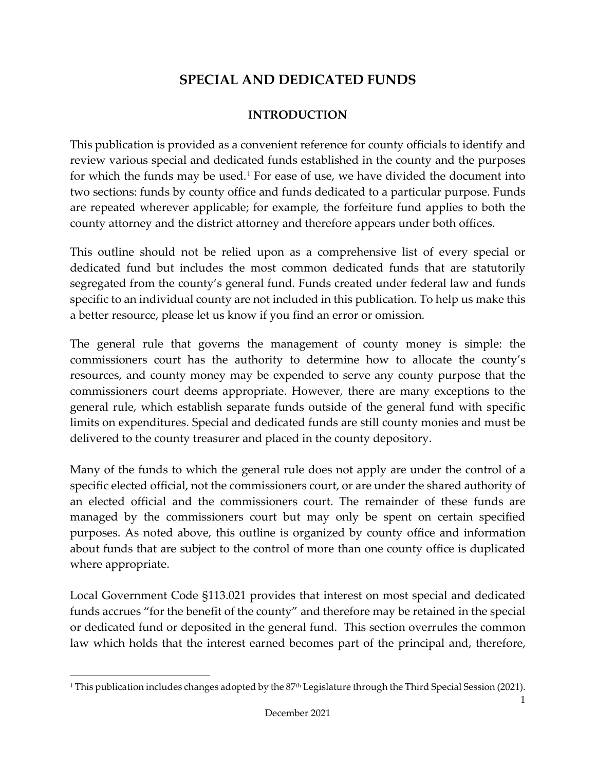# **SPECIAL AND DEDICATED FUNDS**

### **INTRODUCTION**

<span id="page-4-0"></span>This publication is provided as a convenient reference for county officials to identify and review various special and dedicated funds established in the county and the purposes for which the funds may be used. $1$  For ease of use, we have divided the document into two sections: funds by county office and funds dedicated to a particular purpose. Funds are repeated wherever applicable; for example, the forfeiture fund applies to both the county attorney and the district attorney and therefore appears under both offices.

This outline should not be relied upon as a comprehensive list of every special or dedicated fund but includes the most common dedicated funds that are statutorily segregated from the county's general fund. Funds created under federal law and funds specific to an individual county are not included in this publication. To help us make this a better resource, please let us know if you find an error or omission.

The general rule that governs the management of county money is simple: the commissioners court has the authority to determine how to allocate the county's resources, and county money may be expended to serve any county purpose that the commissioners court deems appropriate. However, there are many exceptions to the general rule, which establish separate funds outside of the general fund with specific limits on expenditures. Special and dedicated funds are still county monies and must be delivered to the county treasurer and placed in the county depository.

Many of the funds to which the general rule does not apply are under the control of a specific elected official, not the commissioners court, or are under the shared authority of an elected official and the commissioners court. The remainder of these funds are managed by the commissioners court but may only be spent on certain specified purposes. As noted above, this outline is organized by county office and information about funds that are subject to the control of more than one county office is duplicated where appropriate.

Local Government Code §113.021 provides that interest on most special and dedicated funds accrues "for the benefit of the county" and therefore may be retained in the special or dedicated fund or deposited in the general fund. This section overrules the common law which holds that the interest earned becomes part of the principal and, therefore,

<span id="page-4-1"></span><sup>&</sup>lt;sup>1</sup> This publication includes changes adopted by the  $87<sup>th</sup>$  Legislature through the Third Special Session (2021).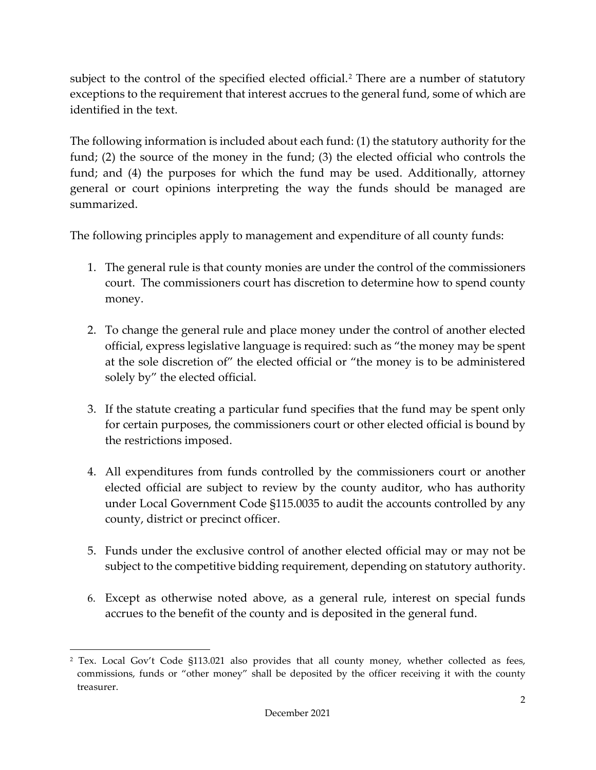subject to the control of the specified elected official.<sup>[2](#page-5-0)</sup> There are a number of statutory exceptions to the requirement that interest accrues to the general fund, some of which are identified in the text.

The following information is included about each fund: (1) the statutory authority for the fund; (2) the source of the money in the fund; (3) the elected official who controls the fund; and (4) the purposes for which the fund may be used. Additionally, attorney general or court opinions interpreting the way the funds should be managed are summarized.

The following principles apply to management and expenditure of all county funds:

- 1. The general rule is that county monies are under the control of the commissioners court. The commissioners court has discretion to determine how to spend county money.
- 2. To change the general rule and place money under the control of another elected official, express legislative language is required: such as "the money may be spent at the sole discretion of" the elected official or "the money is to be administered solely by" the elected official.
- 3. If the statute creating a particular fund specifies that the fund may be spent only for certain purposes, the commissioners court or other elected official is bound by the restrictions imposed.
- 4. All expenditures from funds controlled by the commissioners court or another elected official are subject to review by the county auditor, who has authority under Local Government Code §115.0035 to audit the accounts controlled by any county, district or precinct officer.
- 5. Funds under the exclusive control of another elected official may or may not be subject to the competitive bidding requirement, depending on statutory authority.
- 6. Except as otherwise noted above, as a general rule, interest on special funds accrues to the benefit of the county and is deposited in the general fund.

<span id="page-5-0"></span><sup>2</sup> Tex. Local Gov't Code §113.021 also provides that all county money, whether collected as fees, commissions, funds or "other money" shall be deposited by the officer receiving it with the county treasurer.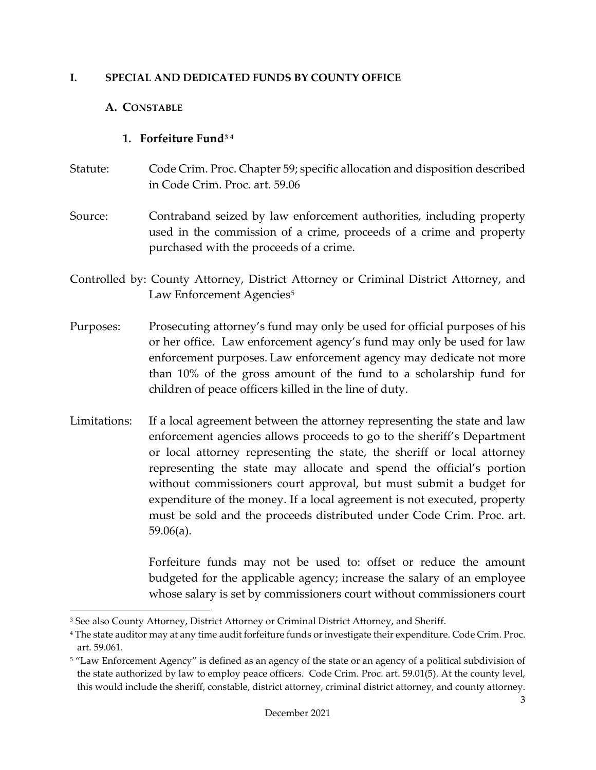#### <span id="page-6-1"></span><span id="page-6-0"></span>**I. SPECIAL AND DEDICATED FUNDS BY COUNTY OFFICE**

#### **A. CONSTABLE**

#### **1. Forfeiture Fund[3](#page-6-3) [4](#page-6-4)**

- <span id="page-6-2"></span>Statute: Code Crim. Proc. Chapter 59; specific allocation and disposition described in Code Crim. Proc. art. 59.06
- Source: Contraband seized by law enforcement authorities, including property used in the commission of a crime, proceeds of a crime and property purchased with the proceeds of a crime.
- Controlled by: County Attorney, District Attorney or Criminal District Attorney, and Law Enforcement Agencies<sup>5</sup>
- Purposes: Prosecuting attorney's fund may only be used for official purposes of his or her office. Law enforcement agency's fund may only be used for law enforcement purposes. Law enforcement agency may dedicate not more than 10% of the gross amount of the fund to a scholarship fund for children of peace officers killed in the line of duty.
- Limitations: If a local agreement between the attorney representing the state and law enforcement agencies allows proceeds to go to the sheriff's Department or local attorney representing the state, the sheriff or local attorney representing the state may allocate and spend the official's portion without commissioners court approval, but must submit a budget for expenditure of the money. If a local agreement is not executed, property must be sold and the proceeds distributed under Code Crim. Proc. art. 59.06(a).

Forfeiture funds may not be used to: offset or reduce the amount budgeted for the applicable agency; increase the salary of an employee whose salary is set by commissioners court without commissioners court

<span id="page-6-3"></span><sup>3</sup> See also County Attorney, District Attorney or Criminal District Attorney, and Sheriff.

<span id="page-6-4"></span><sup>4</sup> The state auditor may at any time audit forfeiture funds or investigate their expenditure. Code Crim. Proc. art. 59.061.

<span id="page-6-5"></span><sup>5</sup> "Law Enforcement Agency" is defined as an agency of the state or an agency of a political subdivision of the state authorized by law to employ peace officers. Code Crim. Proc. art. 59.01(5). At the county level, this would include the sheriff, constable, district attorney, criminal district attorney, and county attorney.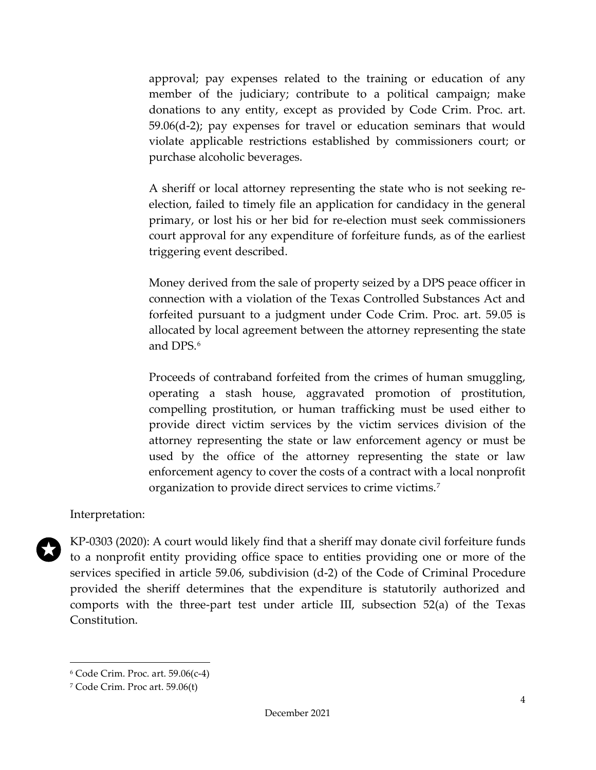approval; pay expenses related to the training or education of any member of the judiciary; contribute to a political campaign; make donations to any entity, except as provided by Code Crim. Proc. art. 59.06(d-2); pay expenses for travel or education seminars that would violate applicable restrictions established by commissioners court; or purchase alcoholic beverages.

A sheriff or local attorney representing the state who is not seeking reelection, failed to timely file an application for candidacy in the general primary, or lost his or her bid for re-election must seek commissioners court approval for any expenditure of forfeiture funds, as of the earliest triggering event described.

Money derived from the sale of property seized by a DPS peace officer in connection with a violation of the Texas Controlled Substances Act and forfeited pursuant to a judgment under Code Crim. Proc. art. 59.05 is allocated by local agreement between the attorney representing the state and DPS.<sup>[6](#page-7-0)</sup>

Proceeds of contraband forfeited from the crimes of human smuggling, operating a stash house, aggravated promotion of prostitution, compelling prostitution, or human trafficking must be used either to provide direct victim services by the victim services division of the attorney representing the state or law enforcement agency or must be used by the office of the attorney representing the state or law enforcement agency to cover the costs of a contract with a local nonprofit organization to provide direct services to crime victims.[7](#page-7-1)

#### Interpretation:



KP-0303 (2020): A court would likely find that a sheriff may donate civil forfeiture funds to a nonprofit entity providing office space to entities providing one or more of the services specified in article 59.06, subdivision (d-2) of the Code of Criminal Procedure provided the sheriff determines that the expenditure is statutorily authorized and comports with the three-part test under article III, subsection 52(a) of the Texas Constitution.

<span id="page-7-0"></span><sup>6</sup> Code Crim. Proc. art. 59.06(c-4)

<span id="page-7-1"></span><sup>7</sup> Code Crim. Proc art. 59.06(t)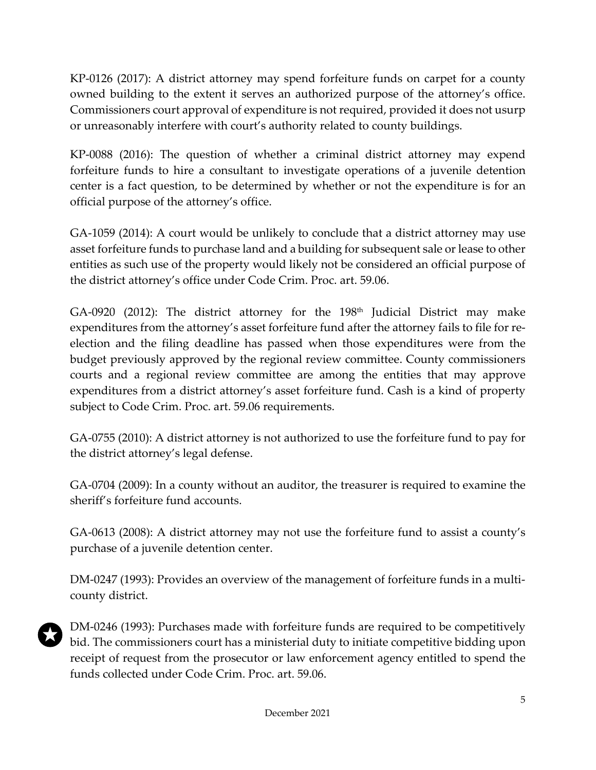KP-0126 (2017): A district attorney may spend forfeiture funds on carpet for a county owned building to the extent it serves an authorized purpose of the attorney's office. Commissioners court approval of expenditure is not required, provided it does not usurp or unreasonably interfere with court's authority related to county buildings.

KP-0088 (2016): The question of whether a criminal district attorney may expend forfeiture funds to hire a consultant to investigate operations of a juvenile detention center is a fact question, to be determined by whether or not the expenditure is for an official purpose of the attorney's office.

GA-1059 (2014): A court would be unlikely to conclude that a district attorney may use asset forfeiture funds to purchase land and a building for subsequent sale or lease to other entities as such use of the property would likely not be considered an official purpose of the district attorney's office under Code Crim. Proc. art. 59.06.

GA-0920 (2012): The district attorney for the  $198<sup>th</sup>$  Judicial District may make expenditures from the attorney's asset forfeiture fund after the attorney fails to file for reelection and the filing deadline has passed when those expenditures were from the budget previously approved by the regional review committee. County commissioners courts and a regional review committee are among the entities that may approve expenditures from a district attorney's asset forfeiture fund. Cash is a kind of property subject to Code Crim. Proc. art. 59.06 requirements.

GA-0755 (2010): A district attorney is not authorized to use the forfeiture fund to pay for the district attorney's legal defense.

GA-0704 (2009): In a county without an auditor, the treasurer is required to examine the sheriff's forfeiture fund accounts.

GA-0613 (2008): A district attorney may not use the forfeiture fund to assist a county's purchase of a juvenile detention center.

DM-0247 (1993): Provides an overview of the management of forfeiture funds in a multicounty district.



DM-0246 (1993): Purchases made with forfeiture funds are required to be competitively bid. The commissioners court has a ministerial duty to initiate competitive bidding upon receipt of request from the prosecutor or law enforcement agency entitled to spend the funds collected under Code Crim. Proc. art. 59.06.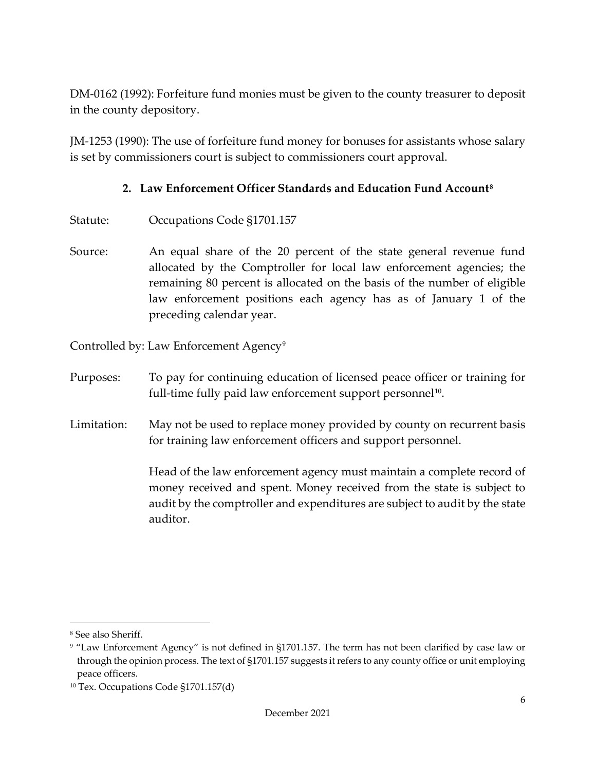DM-0162 (1992): Forfeiture fund monies must be given to the county treasurer to deposit in the county depository.

JM-1253 (1990): The use of forfeiture fund money for bonuses for assistants whose salary is set by commissioners court is subject to commissioners court approval.

#### **2. Law Enforcement Officer Standards and Education Fund Account[8](#page-9-1)**

- <span id="page-9-0"></span>Statute: Occupations Code §1701.157
- Source: An equal share of the 20 percent of the state general revenue fund allocated by the Comptroller for local law enforcement agencies; the remaining 80 percent is allocated on the basis of the number of eligible law enforcement positions each agency has as of January 1 of the preceding calendar year.

Controlled by: Law Enforcement Agency<sup>[9](#page-9-2)</sup>

- Purposes: To pay for continuing education of licensed peace officer or training for full-time fully paid law enforcement support personnel<sup>10</sup>.
- Limitation: May not be used to replace money provided by county on recurrent basis for training law enforcement officers and support personnel.

Head of the law enforcement agency must maintain a complete record of money received and spent. Money received from the state is subject to audit by the comptroller and expenditures are subject to audit by the state auditor.

<span id="page-9-1"></span><sup>8</sup> See also Sheriff.

<span id="page-9-2"></span><sup>9</sup> "Law Enforcement Agency" is not defined in §1701.157. The term has not been clarified by case law or through the opinion process. The text of §1701.157 suggests it refers to any county office or unit employing peace officers.

<span id="page-9-3"></span><sup>10</sup> Tex. Occupations Code §1701.157(d)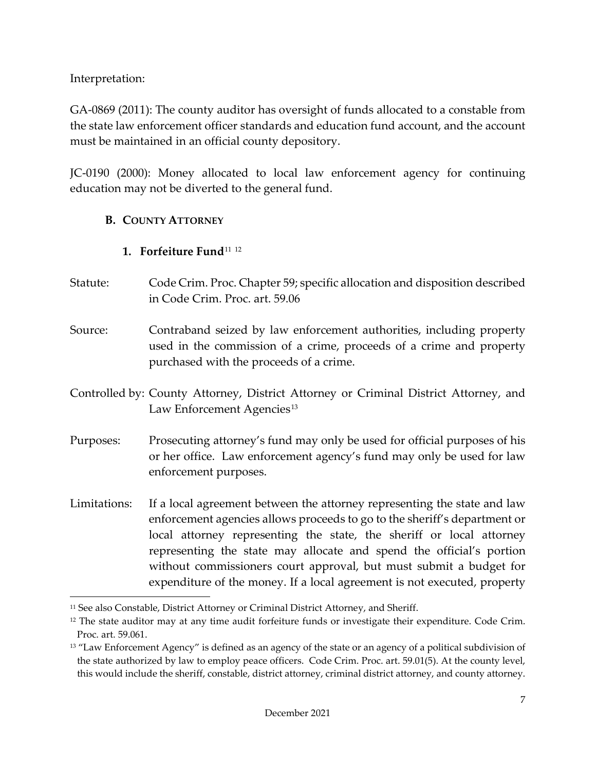Interpretation:

GA-0869 (2011): The county auditor has oversight of funds allocated to a constable from the state law enforcement officer standards and education fund account, and the account must be maintained in an official county depository.

JC-0190 (2000): Money allocated to local law enforcement agency for continuing education may not be diverted to the general fund.

# <span id="page-10-0"></span>**B. COUNTY ATTORNEY**

# **1. Forfeiture Fund**[11](#page-10-2) [12](#page-10-3)

- <span id="page-10-1"></span>Statute: Code Crim. Proc. Chapter 59; specific allocation and disposition described in Code Crim. Proc. art. 59.06
- Source: Contraband seized by law enforcement authorities, including property used in the commission of a crime, proceeds of a crime and property purchased with the proceeds of a crime.
- Controlled by: County Attorney, District Attorney or Criminal District Attorney, and Law Enforcement Agencies<sup>[13](#page-10-4)</sup>
- Purposes: Prosecuting attorney's fund may only be used for official purposes of his or her office. Law enforcement agency's fund may only be used for law enforcement purposes.
- Limitations: If a local agreement between the attorney representing the state and law enforcement agencies allows proceeds to go to the sheriff's department or local attorney representing the state, the sheriff or local attorney representing the state may allocate and spend the official's portion without commissioners court approval, but must submit a budget for expenditure of the money. If a local agreement is not executed, property

<span id="page-10-2"></span><sup>11</sup> See also Constable, District Attorney or Criminal District Attorney, and Sheriff.

<span id="page-10-3"></span> $12$  The state auditor may at any time audit forfeiture funds or investigate their expenditure. Code Crim. Proc. art. 59.061.

<span id="page-10-4"></span><sup>&</sup>lt;sup>13</sup> "Law Enforcement Agency" is defined as an agency of the state or an agency of a political subdivision of the state authorized by law to employ peace officers. Code Crim. Proc. art. 59.01(5). At the county level, this would include the sheriff, constable, district attorney, criminal district attorney, and county attorney.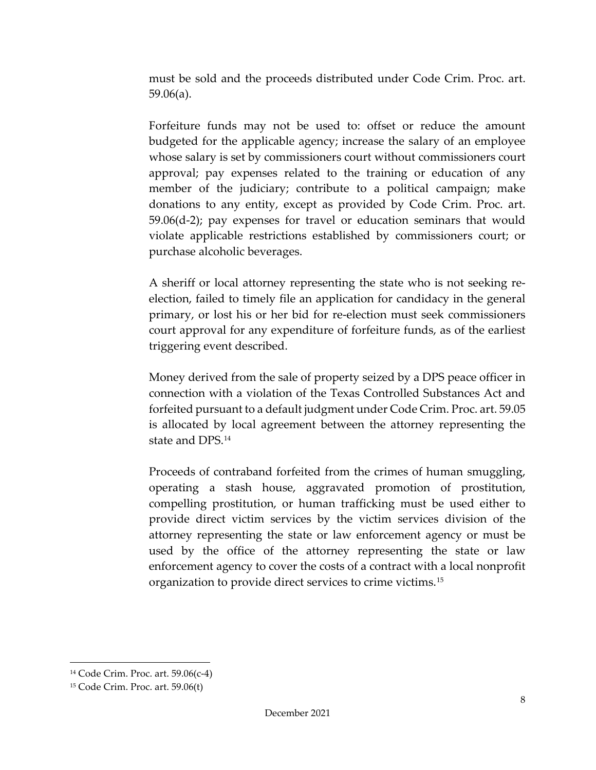must be sold and the proceeds distributed under Code Crim. Proc. art. 59.06(a).

Forfeiture funds may not be used to: offset or reduce the amount budgeted for the applicable agency; increase the salary of an employee whose salary is set by commissioners court without commissioners court approval; pay expenses related to the training or education of any member of the judiciary; contribute to a political campaign; make donations to any entity, except as provided by Code Crim. Proc. art. 59.06(d-2); pay expenses for travel or education seminars that would violate applicable restrictions established by commissioners court; or purchase alcoholic beverages.

A sheriff or local attorney representing the state who is not seeking reelection, failed to timely file an application for candidacy in the general primary, or lost his or her bid for re-election must seek commissioners court approval for any expenditure of forfeiture funds, as of the earliest triggering event described.

Money derived from the sale of property seized by a DPS peace officer in connection with a violation of the Texas Controlled Substances Act and forfeited pursuant to a default judgment under Code Crim. Proc. art. 59.05 is allocated by local agreement between the attorney representing the state and DPS.[14](#page-11-0)

Proceeds of contraband forfeited from the crimes of human smuggling, operating a stash house, aggravated promotion of prostitution, compelling prostitution, or human trafficking must be used either to provide direct victim services by the victim services division of the attorney representing the state or law enforcement agency or must be used by the office of the attorney representing the state or law enforcement agency to cover the costs of a contract with a local nonprofit organization to provide direct services to crime victims.[15](#page-11-1)

<span id="page-11-0"></span><sup>14</sup> Code Crim. Proc. art. 59.06(c-4)

<span id="page-11-1"></span><sup>15</sup> Code Crim. Proc. art. 59.06(t)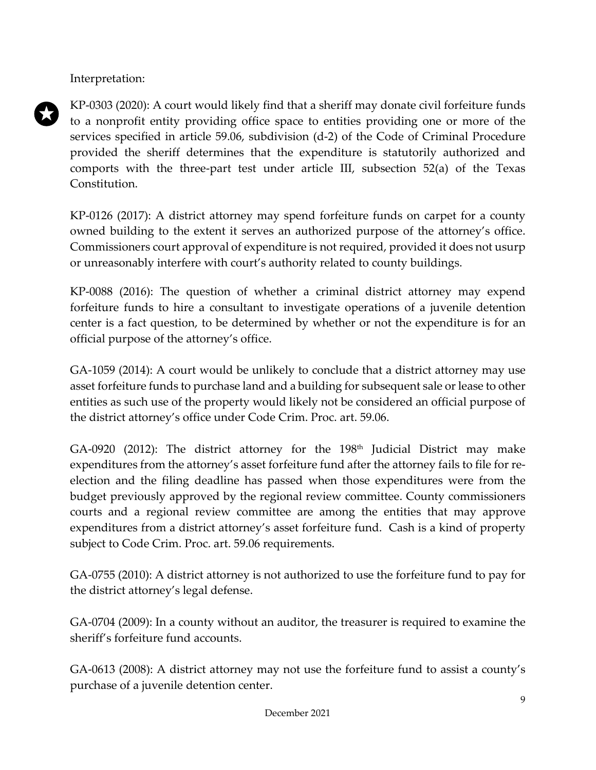Interpretation:

KP-0303 (2020): A court would likely find that a sheriff may donate civil forfeiture funds to a nonprofit entity providing office space to entities providing one or more of the services specified in article 59.06, subdivision (d-2) of the Code of Criminal Procedure provided the sheriff determines that the expenditure is statutorily authorized and comports with the three-part test under article III, subsection 52(a) of the Texas Constitution.

KP-0126 (2017): A district attorney may spend forfeiture funds on carpet for a county owned building to the extent it serves an authorized purpose of the attorney's office. Commissioners court approval of expenditure is not required, provided it does not usurp or unreasonably interfere with court's authority related to county buildings.

KP-0088 (2016): The question of whether a criminal district attorney may expend forfeiture funds to hire a consultant to investigate operations of a juvenile detention center is a fact question, to be determined by whether or not the expenditure is for an official purpose of the attorney's office.

GA-1059 (2014): A court would be unlikely to conclude that a district attorney may use asset forfeiture funds to purchase land and a building for subsequent sale or lease to other entities as such use of the property would likely not be considered an official purpose of the district attorney's office under Code Crim. Proc. art. 59.06.

GA-0920 (2012): The district attorney for the  $198<sup>th</sup>$  Judicial District may make expenditures from the attorney's asset forfeiture fund after the attorney fails to file for reelection and the filing deadline has passed when those expenditures were from the budget previously approved by the regional review committee. County commissioners courts and a regional review committee are among the entities that may approve expenditures from a district attorney's asset forfeiture fund. Cash is a kind of property subject to Code Crim. Proc. art. 59.06 requirements.

GA-0755 (2010): A district attorney is not authorized to use the forfeiture fund to pay for the district attorney's legal defense.

GA-0704 (2009): In a county without an auditor, the treasurer is required to examine the sheriff's forfeiture fund accounts.

GA-0613 (2008): A district attorney may not use the forfeiture fund to assist a county's purchase of a juvenile detention center.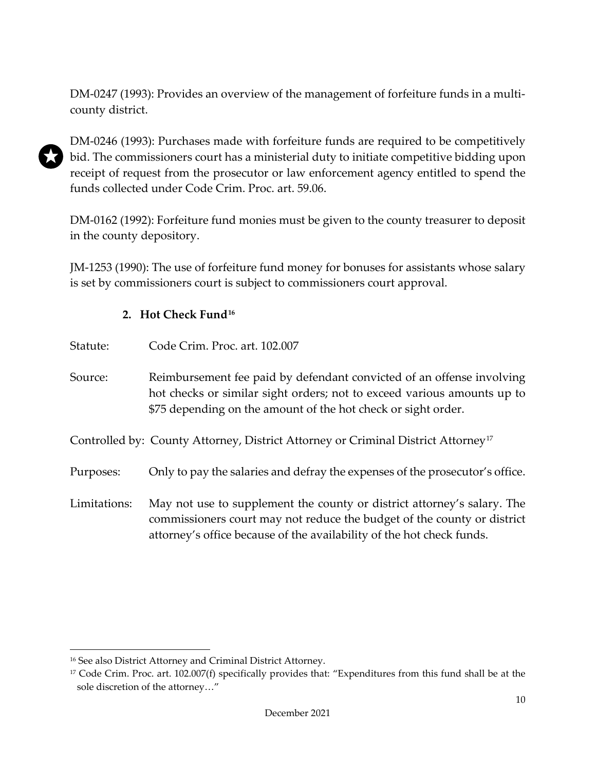DM-0247 (1993): Provides an overview of the management of forfeiture funds in a multicounty district.



DM-0246 (1993): Purchases made with forfeiture funds are required to be competitively bid. The commissioners court has a ministerial duty to initiate competitive bidding upon receipt of request from the prosecutor or law enforcement agency entitled to spend the funds collected under Code Crim. Proc. art. 59.06.

DM-0162 (1992): Forfeiture fund monies must be given to the county treasurer to deposit in the county depository.

JM-1253 (1990): The use of forfeiture fund money for bonuses for assistants whose salary is set by commissioners court is subject to commissioners court approval.

### **2. Hot Check Fund[16](#page-13-1)**

<span id="page-13-0"></span>

| Statute: | Code Crim. Proc. art. 102.007 |  |
|----------|-------------------------------|--|
|----------|-------------------------------|--|

Source: Reimbursement fee paid by defendant convicted of an offense involving hot checks or similar sight orders; not to exceed various amounts up to \$75 depending on the amount of the hot check or sight order.

Controlled by: County Attorney, District Attorney or Criminal District Attorney<sup>[17](#page-13-2)</sup>

Purposes: Only to pay the salaries and defray the expenses of the prosecutor's office.

Limitations: May not use to supplement the county or district attorney's salary. The commissioners court may not reduce the budget of the county or district attorney's office because of the availability of the hot check funds.

<span id="page-13-1"></span><sup>16</sup> See also District Attorney and Criminal District Attorney.

<span id="page-13-2"></span><sup>&</sup>lt;sup>17</sup> Code Crim. Proc. art. 102.007(f) specifically provides that: "Expenditures from this fund shall be at the sole discretion of the attorney…"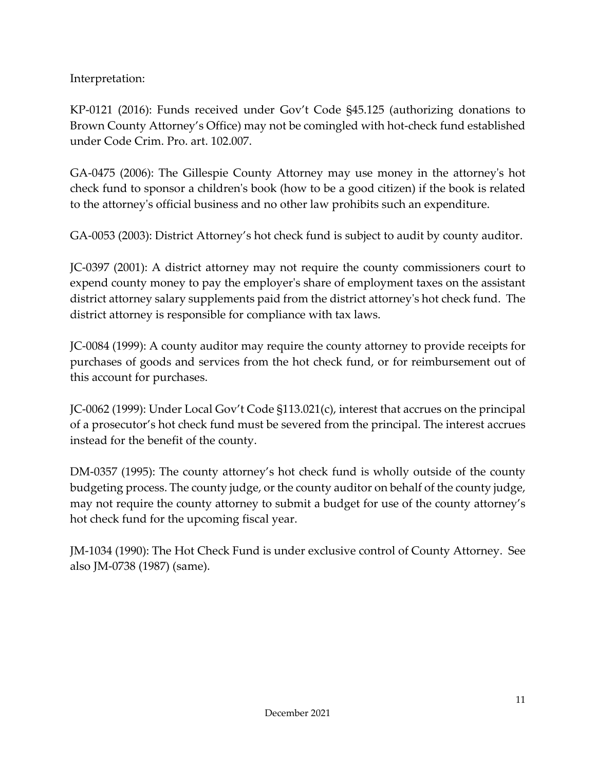Interpretation:

KP-0121 (2016): Funds received under Gov't Code §45.125 (authorizing donations to Brown County Attorney's Office) may not be comingled with hot-check fund established under Code Crim. Pro. art. 102.007.

GA-0475 (2006): The Gillespie County Attorney may use money in the attorney's hot check fund to sponsor a children's book (how to be a good citizen) if the book is related to the attorney's official business and no other law prohibits such an expenditure.

GA-0053 (2003): District Attorney's hot check fund is subject to audit by county auditor.

JC-0397 (2001): A district attorney may not require the county commissioners court to expend county money to pay the employer's share of employment taxes on the assistant district attorney salary supplements paid from the district attorney's hot check fund. The district attorney is responsible for compliance with tax laws.

JC-0084 (1999): A county auditor may require the county attorney to provide receipts for purchases of goods and services from the hot check fund, or for reimbursement out of this account for purchases.

JC-0062 (1999): Under Local Gov't Code §113.021(c), interest that accrues on the principal of a prosecutor's hot check fund must be severed from the principal. The interest accrues instead for the benefit of the county.

DM-0357 (1995): The county attorney's hot check fund is wholly outside of the county budgeting process. The county judge, or the county auditor on behalf of the county judge, may not require the county attorney to submit a budget for use of the county attorney's hot check fund for the upcoming fiscal year.

JM-1034 (1990): The Hot Check Fund is under exclusive control of County Attorney. See also JM-0738 (1987) (same).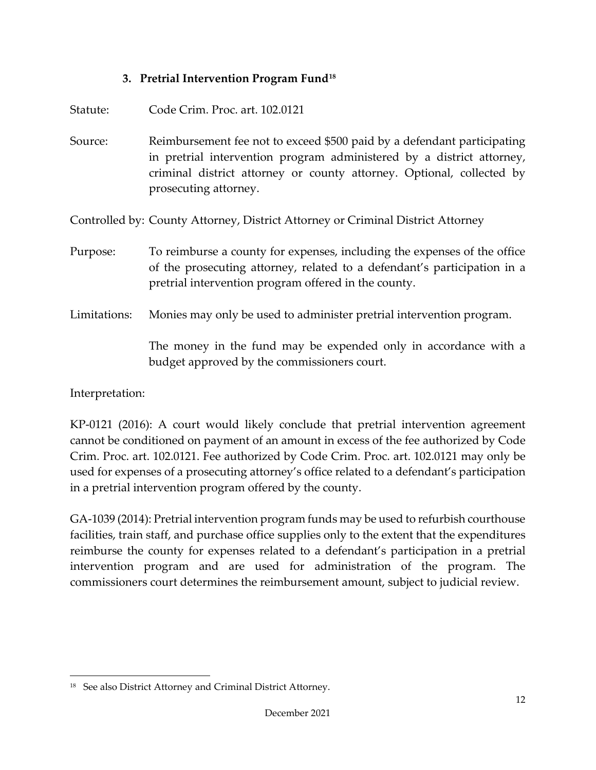#### **3. Pretrial Intervention Program Fund[18](#page-15-1)**

<span id="page-15-0"></span>

| Statute:     | Code Crim. Proc. art. 102.0121                                                                                                                                                                                                                     |
|--------------|----------------------------------------------------------------------------------------------------------------------------------------------------------------------------------------------------------------------------------------------------|
| Source:      | Reimbursement fee not to exceed \$500 paid by a defendant participating<br>in pretrial intervention program administered by a district attorney,<br>criminal district attorney or county attorney. Optional, collected by<br>prosecuting attorney. |
|              | Controlled by: County Attorney, District Attorney or Criminal District Attorney                                                                                                                                                                    |
| Purpose:     | To reimburse a county for expenses, including the expenses of the office<br>of the prosecuting attorney, related to a defendant's participation in a<br>pretrial intervention program offered in the county.                                       |
| Limitations: | Monies may only be used to administer pretrial intervention program.                                                                                                                                                                               |
|              | The money in the fund may be expended only in accordance with a<br>budget approved by the commissioners court.                                                                                                                                     |

Interpretation:

KP-0121 (2016): A court would likely conclude that pretrial intervention agreement cannot be conditioned on payment of an amount in excess of the fee authorized by Code Crim. Proc. art. 102.0121. Fee authorized by Code Crim. Proc. art. 102.0121 may only be used for expenses of a prosecuting attorney's office related to a defendant's participation in a pretrial intervention program offered by the county.

GA-1039 (2014): Pretrial intervention program funds may be used to refurbish courthouse facilities, train staff, and purchase office supplies only to the extent that the expenditures reimburse the county for expenses related to a defendant's participation in a pretrial intervention program and are used for administration of the program. The commissioners court determines the reimbursement amount, subject to judicial review.

<span id="page-15-1"></span><sup>18</sup> See also District Attorney and Criminal District Attorney.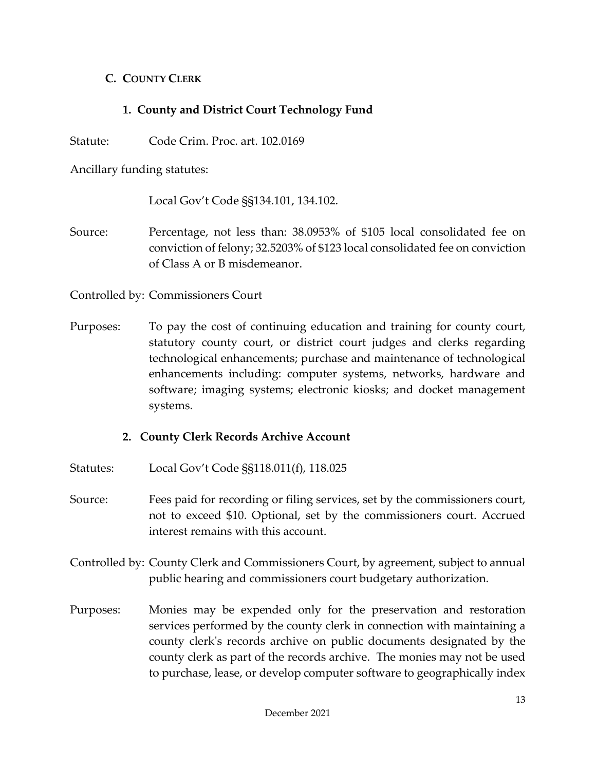### <span id="page-16-0"></span>**C. COUNTY CLERK**

# **1. County and District Court Technology Fund**

<span id="page-16-1"></span>Statute: Code Crim. Proc. art. 102.0169

Ancillary funding statutes:

Local Gov't Code §§134.101, 134.102.

Source: Percentage, not less than: 38.0953% of \$105 local consolidated fee on conviction of felony; 32.5203% of \$123 local consolidated fee on conviction of Class A or B misdemeanor.

Controlled by: Commissioners Court

Purposes: To pay the cost of continuing education and training for county court, statutory county court, or district court judges and clerks regarding technological enhancements; purchase and maintenance of technological enhancements including: computer systems, networks, hardware and software; imaging systems; electronic kiosks; and docket management systems.

### **2. County Clerk Records Archive Account**

- <span id="page-16-2"></span>Statutes: Local Gov't Code §§118.011(f), 118.025
- Source: Fees paid for recording or filing services, set by the commissioners court, not to exceed \$10. Optional, set by the commissioners court. Accrued interest remains with this account.
- Controlled by: County Clerk and Commissioners Court, by agreement, subject to annual public hearing and commissioners court budgetary authorization.
- Purposes: Monies may be expended only for the preservation and restoration services performed by the county clerk in connection with maintaining a county clerk's records archive on public documents designated by the county clerk as part of the records archive. The monies may not be used to purchase, lease, or develop computer software to geographically index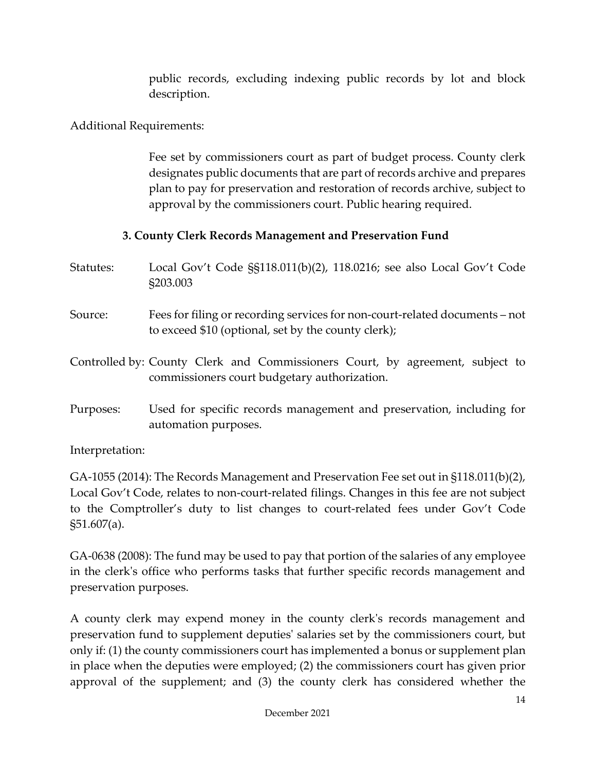public records, excluding indexing public records by lot and block description.

Additional Requirements:

Fee set by commissioners court as part of budget process. County clerk designates public documents that are part of records archive and prepares plan to pay for preservation and restoration of records archive, subject to approval by the commissioners court. Public hearing required.

# **3. County Clerk Records Management and Preservation Fund**

- <span id="page-17-0"></span>Statutes: Local Gov't Code §§118.011(b)(2), 118.0216; see also Local Gov't Code §203.003
- Source: Fees for filing or recording services for non-court-related documents not to exceed \$10 (optional, set by the county clerk);

Controlled by: County Clerk and Commissioners Court, by agreement, subject to commissioners court budgetary authorization.

Purposes: Used for specific records management and preservation, including for automation purposes.

Interpretation:

GA-1055 (2014): The Records Management and Preservation Fee set out in §118.011(b)(2), Local Gov't Code, relates to non-court-related filings. Changes in this fee are not subject to the Comptroller's duty to list changes to court-related fees under Gov't Code §51.607(a).

GA-0638 (2008): The fund may be used to pay that portion of the salaries of any employee in the clerk's office who performs tasks that further specific records management and preservation purposes.

A county clerk may expend money in the county clerk's records management and preservation fund to supplement deputies' salaries set by the commissioners court, but only if: (1) the county commissioners court has implemented a bonus or supplement plan in place when the deputies were employed; (2) the commissioners court has given prior approval of the supplement; and (3) the county clerk has considered whether the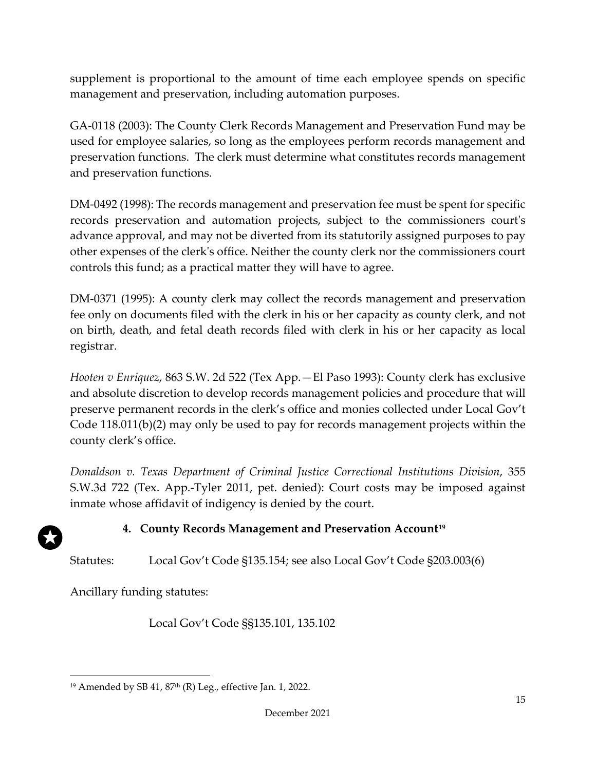supplement is proportional to the amount of time each employee spends on specific management and preservation, including automation purposes.

GA-0118 (2003): The County Clerk Records Management and Preservation Fund may be used for employee salaries, so long as the employees perform records management and preservation functions. The clerk must determine what constitutes records management and preservation functions.

DM-0492 (1998): The records management and preservation fee must be spent for specific records preservation and automation projects, subject to the commissioners court's advance approval, and may not be diverted from its statutorily assigned purposes to pay other expenses of the clerk's office. Neither the county clerk nor the commissioners court controls this fund; as a practical matter they will have to agree.

DM-0371 (1995): A county clerk may collect the records management and preservation fee only on documents filed with the clerk in his or her capacity as county clerk, and not on birth, death, and fetal death records filed with clerk in his or her capacity as local registrar.

*Hooten v Enriquez*, 863 S.W. 2d 522 (Tex App.—El Paso 1993): County clerk has exclusive and absolute discretion to develop records management policies and procedure that will preserve permanent records in the clerk's office and monies collected under Local Gov't Code 118.011(b)(2) may only be used to pay for records management projects within the county clerk's office.

*Donaldson v. Texas Department of Criminal Justice Correctional Institutions Division*, 355 S.W.3d 722 (Tex. App.-Tyler 2011, pet. denied): Court costs may be imposed against inmate whose affidavit of indigency is denied by the court.

# **4. County Records Management and Preservation Account[19](#page-18-1)**

<span id="page-18-0"></span>Statutes: Local Gov't Code §135.154; see also Local Gov't Code §203.003(6)

Ancillary funding statutes:

Local Gov't Code §§135.101, 135.102

<span id="page-18-1"></span> $19$  Amended by SB 41,  $87<sup>th</sup>$  (R) Leg., effective Jan. 1, 2022.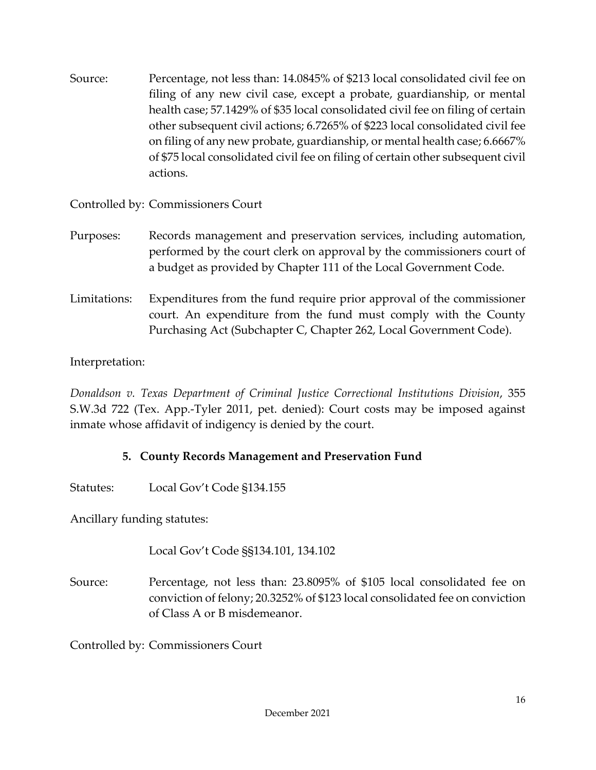Source: Percentage, not less than: 14.0845% of \$213 local consolidated civil fee on filing of any new civil case, except a probate, guardianship, or mental health case; 57.1429% of \$35 local consolidated civil fee on filing of certain other subsequent civil actions; 6.7265% of \$223 local consolidated civil fee on filing of any new probate, guardianship, or mental health case; 6.6667% of \$75 local consolidated civil fee on filing of certain other subsequent civil actions.

# Controlled by: Commissioners Court

- Purposes: Records management and preservation services, including automation, performed by the court clerk on approval by the commissioners court of a budget as provided by Chapter 111 of the Local Government Code.
- Limitations: Expenditures from the fund require prior approval of the commissioner court. An expenditure from the fund must comply with the County Purchasing Act (Subchapter C, Chapter 262, Local Government Code).

# Interpretation:

*Donaldson v. Texas Department of Criminal Justice Correctional Institutions Division*, 355 S.W.3d 722 (Tex. App.-Tyler 2011, pet. denied): Court costs may be imposed against inmate whose affidavit of indigency is denied by the court.

### **5. County Records Management and Preservation Fund**

<span id="page-19-0"></span>Statutes: Local Gov't Code §134.155

Ancillary funding statutes:

Local Gov't Code §§134.101, 134.102

Source: Percentage, not less than: 23.8095% of \$105 local consolidated fee on conviction of felony; 20.3252% of \$123 local consolidated fee on conviction of Class A or B misdemeanor.

Controlled by: Commissioners Court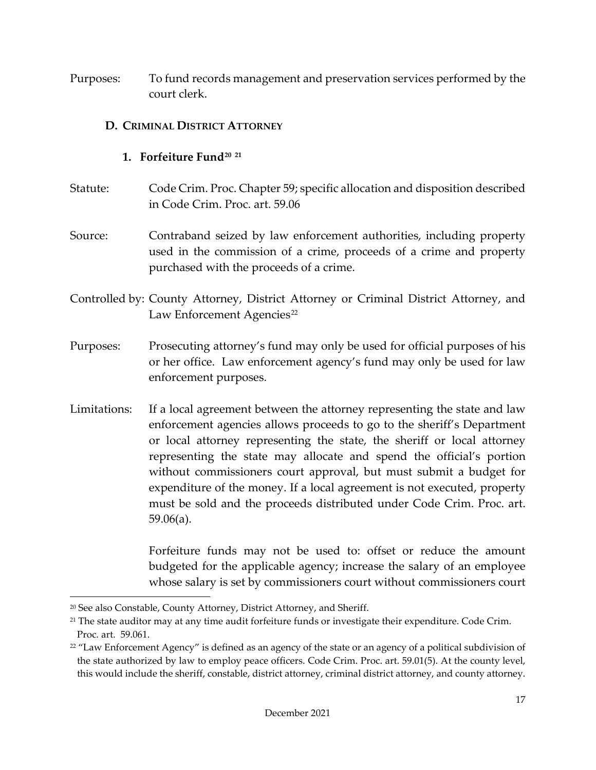Purposes: To fund records management and preservation services performed by the court clerk.

#### <span id="page-20-0"></span>**D. CRIMINAL DISTRICT ATTORNEY**

#### **1. Forfeiture Fund[20](#page-20-2) [21](#page-20-3)**

- <span id="page-20-1"></span>Statute: Code Crim. Proc. Chapter 59; specific allocation and disposition described in Code Crim. Proc. art. 59.06
- Source: Contraband seized by law enforcement authorities, including property used in the commission of a crime, proceeds of a crime and property purchased with the proceeds of a crime.
- Controlled by: County Attorney, District Attorney or Criminal District Attorney, and Law Enforcement Agencies<sup>[22](#page-20-4)</sup>
- Purposes: Prosecuting attorney's fund may only be used for official purposes of his or her office. Law enforcement agency's fund may only be used for law enforcement purposes.
- Limitations: If a local agreement between the attorney representing the state and law enforcement agencies allows proceeds to go to the sheriff's Department or local attorney representing the state, the sheriff or local attorney representing the state may allocate and spend the official's portion without commissioners court approval, but must submit a budget for expenditure of the money. If a local agreement is not executed, property must be sold and the proceeds distributed under Code Crim. Proc. art. 59.06(a).

Forfeiture funds may not be used to: offset or reduce the amount budgeted for the applicable agency; increase the salary of an employee whose salary is set by commissioners court without commissioners court

<span id="page-20-2"></span><sup>&</sup>lt;sup>20</sup> See also Constable, County Attorney, District Attorney, and Sheriff.

<span id="page-20-3"></span><sup>&</sup>lt;sup>21</sup> The state auditor may at any time audit forfeiture funds or investigate their expenditure. Code Crim. Proc. art. 59.061.

<span id="page-20-4"></span><sup>&</sup>lt;sup>22</sup> "Law Enforcement Agency" is defined as an agency of the state or an agency of a political subdivision of the state authorized by law to employ peace officers. Code Crim. Proc. art. 59.01(5). At the county level, this would include the sheriff, constable, district attorney, criminal district attorney, and county attorney.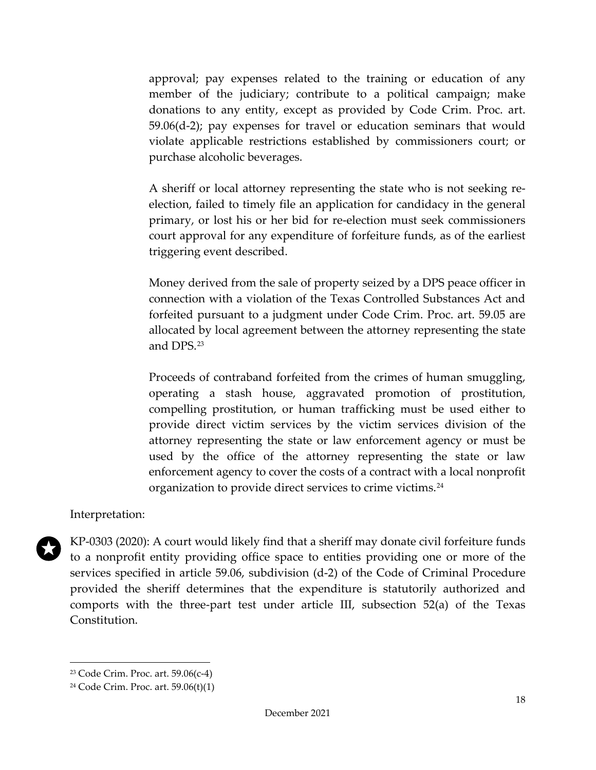approval; pay expenses related to the training or education of any member of the judiciary; contribute to a political campaign; make donations to any entity, except as provided by Code Crim. Proc. art. 59.06(d-2); pay expenses for travel or education seminars that would violate applicable restrictions established by commissioners court; or purchase alcoholic beverages.

A sheriff or local attorney representing the state who is not seeking reelection, failed to timely file an application for candidacy in the general primary, or lost his or her bid for re-election must seek commissioners court approval for any expenditure of forfeiture funds, as of the earliest triggering event described.

Money derived from the sale of property seized by a DPS peace officer in connection with a violation of the Texas Controlled Substances Act and forfeited pursuant to a judgment under Code Crim. Proc. art. 59.05 are allocated by local agreement between the attorney representing the state and DPS.[23](#page-21-0)

Proceeds of contraband forfeited from the crimes of human smuggling, operating a stash house, aggravated promotion of prostitution, compelling prostitution, or human trafficking must be used either to provide direct victim services by the victim services division of the attorney representing the state or law enforcement agency or must be used by the office of the attorney representing the state or law enforcement agency to cover the costs of a contract with a local nonprofit organization to provide direct services to crime victims.[24](#page-21-1)

#### Interpretation:



KP-0303 (2020): A court would likely find that a sheriff may donate civil forfeiture funds to a nonprofit entity providing office space to entities providing one or more of the services specified in article 59.06, subdivision (d-2) of the Code of Criminal Procedure provided the sheriff determines that the expenditure is statutorily authorized and comports with the three-part test under article III, subsection 52(a) of the Texas Constitution.

<span id="page-21-0"></span><sup>23</sup> Code Crim. Proc. art. 59.06(c-4)

<span id="page-21-1"></span><sup>24</sup> Code Crim. Proc. art. 59.06(t)(1)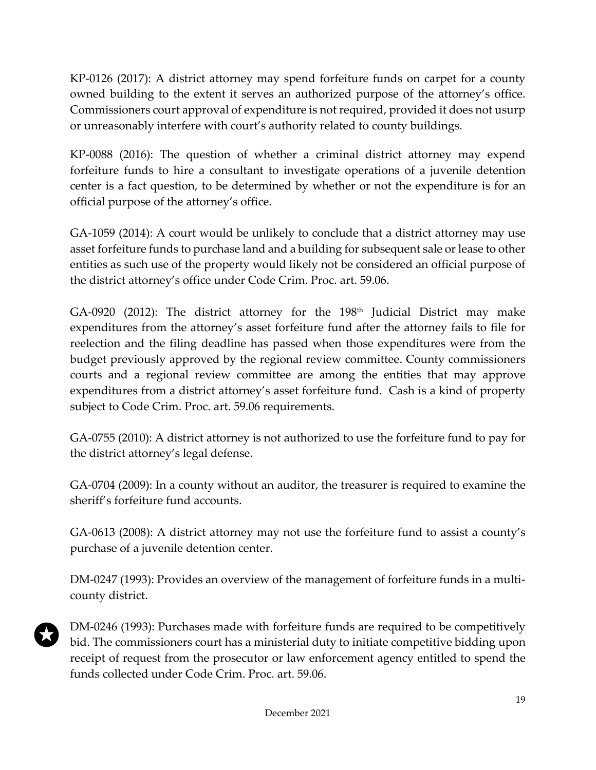KP-0126 (2017): A district attorney may spend forfeiture funds on carpet for a county owned building to the extent it serves an authorized purpose of the attorney's office. Commissioners court approval of expenditure is not required, provided it does not usurp or unreasonably interfere with court's authority related to county buildings.

KP-0088 (2016): The question of whether a criminal district attorney may expend forfeiture funds to hire a consultant to investigate operations of a juvenile detention center is a fact question, to be determined by whether or not the expenditure is for an official purpose of the attorney's office.

GA-1059 (2014): A court would be unlikely to conclude that a district attorney may use asset forfeiture funds to purchase land and a building for subsequent sale or lease to other entities as such use of the property would likely not be considered an official purpose of the district attorney's office under Code Crim. Proc. art. 59.06.

 $GA-0920$  (2012): The district attorney for the 198<sup>th</sup> Judicial District may make expenditures from the attorney's asset forfeiture fund after the attorney fails to file for reelection and the filing deadline has passed when those expenditures were from the budget previously approved by the regional review committee. County commissioners courts and a regional review committee are among the entities that may approve expenditures from a district attorney's asset forfeiture fund. Cash is a kind of property subject to Code Crim. Proc. art. 59.06 requirements.

GA-0755 (2010): A district attorney is not authorized to use the forfeiture fund to pay for the district attorney's legal defense.

GA-0704 (2009): In a county without an auditor, the treasurer is required to examine the sheriff's forfeiture fund accounts.

GA-0613 (2008): A district attorney may not use the forfeiture fund to assist a county's purchase of a juvenile detention center.

DM-0247 (1993): Provides an overview of the management of forfeiture funds in a multicounty district.

DM-0246 (1993): Purchases made with forfeiture funds are required to be competitively bid. The commissioners court has a ministerial duty to initiate competitive bidding upon receipt of request from the prosecutor or law enforcement agency entitled to spend the funds collected under Code Crim. Proc. art. 59.06.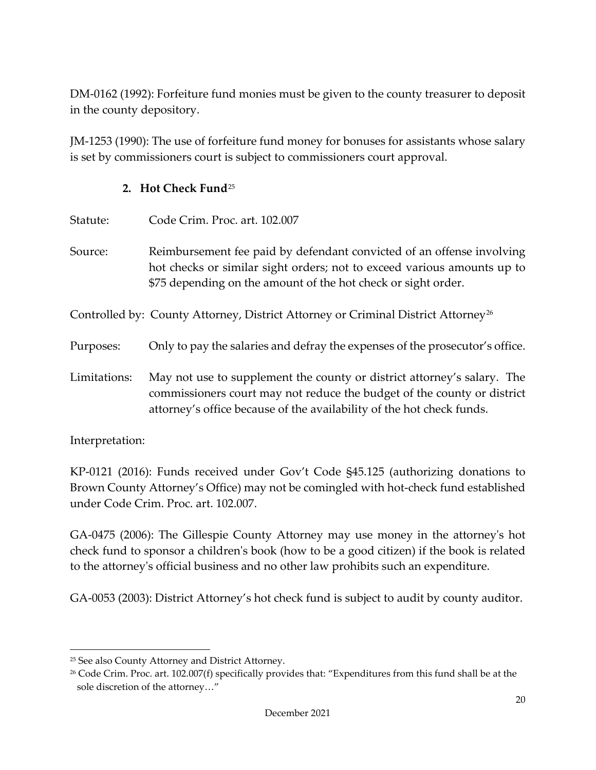DM-0162 (1992): Forfeiture fund monies must be given to the county treasurer to deposit in the county depository.

JM-1253 (1990): The use of forfeiture fund money for bonuses for assistants whose salary is set by commissioners court is subject to commissioners court approval.

#### **2. Hot Check Fund**[25](#page-23-1)

<span id="page-23-0"></span>

| Statute:     | Code Crim. Proc. art. 102.007                                                                                                                                                                                               |
|--------------|-----------------------------------------------------------------------------------------------------------------------------------------------------------------------------------------------------------------------------|
| Source:      | Reimbursement fee paid by defendant convicted of an offense involving<br>hot checks or similar sight orders; not to exceed various amounts up to<br>\$75 depending on the amount of the hot check or sight order.           |
|              | Controlled by: County Attorney, District Attorney or Criminal District Attorney <sup>26</sup>                                                                                                                               |
| Purposes:    | Only to pay the salaries and defray the expenses of the prosecutor's office.                                                                                                                                                |
| Limitations: | May not use to supplement the county or district attorney's salary. The<br>commissioners court may not reduce the budget of the county or district<br>attorney's office because of the availability of the hot check funds. |

Interpretation:

KP-0121 (2016): Funds received under Gov't Code §45.125 (authorizing donations to Brown County Attorney's Office) may not be comingled with hot-check fund established under Code Crim. Proc. art. 102.007.

GA-0475 (2006): The Gillespie County Attorney may use money in the attorney's hot check fund to sponsor a children's book (how to be a good citizen) if the book is related to the attorney's official business and no other law prohibits such an expenditure.

GA-0053 (2003): District Attorney's hot check fund is subject to audit by county auditor.

<span id="page-23-1"></span><sup>25</sup> See also County Attorney and District Attorney.

<span id="page-23-2"></span><sup>&</sup>lt;sup>26</sup> Code Crim. Proc. art. 102.007(f) specifically provides that: "Expenditures from this fund shall be at the sole discretion of the attorney…"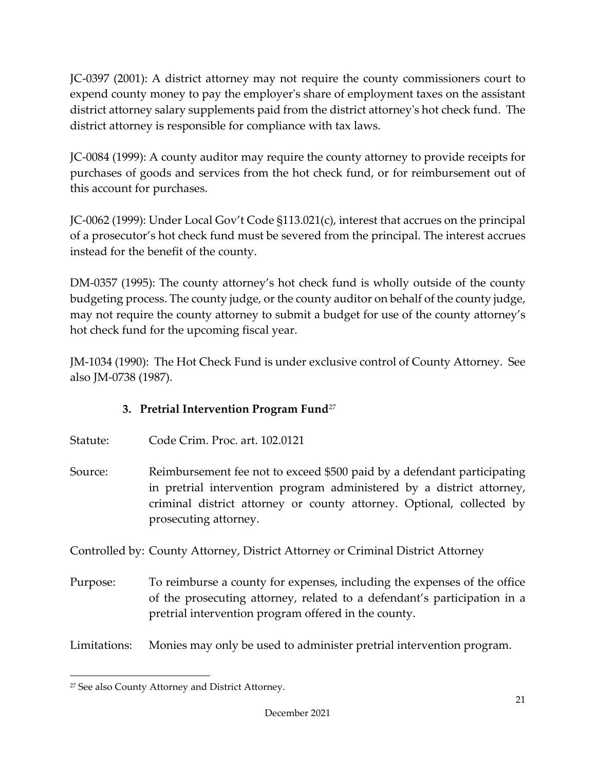JC-0397 (2001): A district attorney may not require the county commissioners court to expend county money to pay the employer's share of employment taxes on the assistant district attorney salary supplements paid from the district attorney's hot check fund. The district attorney is responsible for compliance with tax laws.

JC-0084 (1999): A county auditor may require the county attorney to provide receipts for purchases of goods and services from the hot check fund, or for reimbursement out of this account for purchases.

JC-0062 (1999): Under Local Gov't Code §113.021(c), interest that accrues on the principal of a prosecutor's hot check fund must be severed from the principal. The interest accrues instead for the benefit of the county.

DM-0357 (1995): The county attorney's hot check fund is wholly outside of the county budgeting process. The county judge, or the county auditor on behalf of the county judge, may not require the county attorney to submit a budget for use of the county attorney's hot check fund for the upcoming fiscal year.

JM-1034 (1990): The Hot Check Fund is under exclusive control of County Attorney. See also JM-0738 (1987).

# **3. Pretrial Intervention Program Fund**[27](#page-24-1)

- <span id="page-24-0"></span>Statute: Code Crim. Proc. art. 102.0121
- Source: Reimbursement fee not to exceed \$500 paid by a defendant participating in pretrial intervention program administered by a district attorney, criminal district attorney or county attorney. Optional, collected by prosecuting attorney.

Controlled by: County Attorney, District Attorney or Criminal District Attorney

- Purpose: To reimburse a county for expenses, including the expenses of the office of the prosecuting attorney, related to a defendant's participation in a pretrial intervention program offered in the county.
- Limitations: Monies may only be used to administer pretrial intervention program.

<span id="page-24-1"></span><sup>27</sup> See also County Attorney and District Attorney.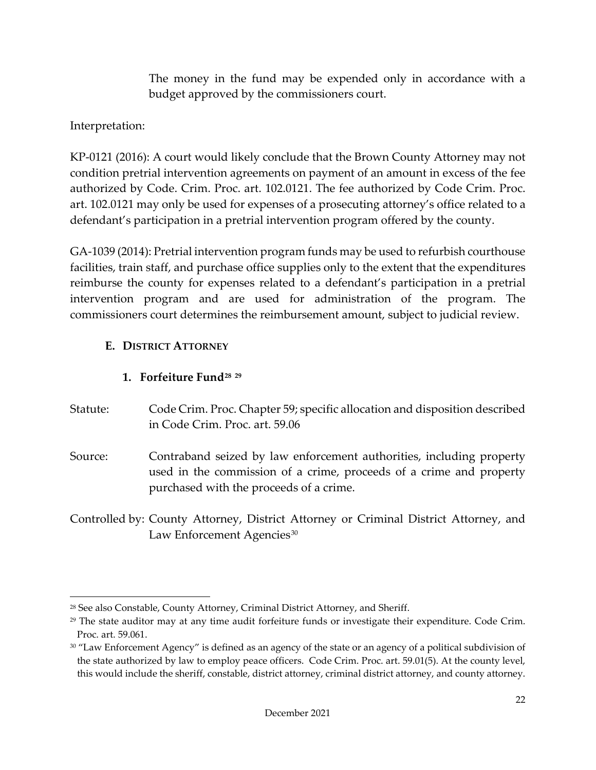The money in the fund may be expended only in accordance with a budget approved by the commissioners court.

Interpretation:

KP-0121 (2016): A court would likely conclude that the Brown County Attorney may not condition pretrial intervention agreements on payment of an amount in excess of the fee authorized by Code. Crim. Proc. art. 102.0121. The fee authorized by Code Crim. Proc. art. 102.0121 may only be used for expenses of a prosecuting attorney's office related to a defendant's participation in a pretrial intervention program offered by the county.

GA-1039 (2014): Pretrial intervention program funds may be used to refurbish courthouse facilities, train staff, and purchase office supplies only to the extent that the expenditures reimburse the county for expenses related to a defendant's participation in a pretrial intervention program and are used for administration of the program. The commissioners court determines the reimbursement amount, subject to judicial review.

# <span id="page-25-0"></span>**E. DISTRICT ATTORNEY**

# **1. Forfeiture Fund[28](#page-25-2) [29](#page-25-3)**

<span id="page-25-1"></span>Statute: Code Crim. Proc. Chapter 59; specific allocation and disposition described in Code Crim. Proc. art. 59.06

Source: Contraband seized by law enforcement authorities, including property used in the commission of a crime, proceeds of a crime and property purchased with the proceeds of a crime.

Controlled by: County Attorney, District Attorney or Criminal District Attorney, and Law Enforcement Agencies<sup>[30](#page-25-4)</sup>

<span id="page-25-2"></span><sup>28</sup> See also Constable, County Attorney, Criminal District Attorney, and Sheriff.

<span id="page-25-3"></span> $29$  The state auditor may at any time audit forfeiture funds or investigate their expenditure. Code Crim. Proc. art. 59.061.

<span id="page-25-4"></span><sup>&</sup>lt;sup>30</sup> "Law Enforcement Agency" is defined as an agency of the state or an agency of a political subdivision of the state authorized by law to employ peace officers. Code Crim. Proc. art. 59.01(5). At the county level, this would include the sheriff, constable, district attorney, criminal district attorney, and county attorney.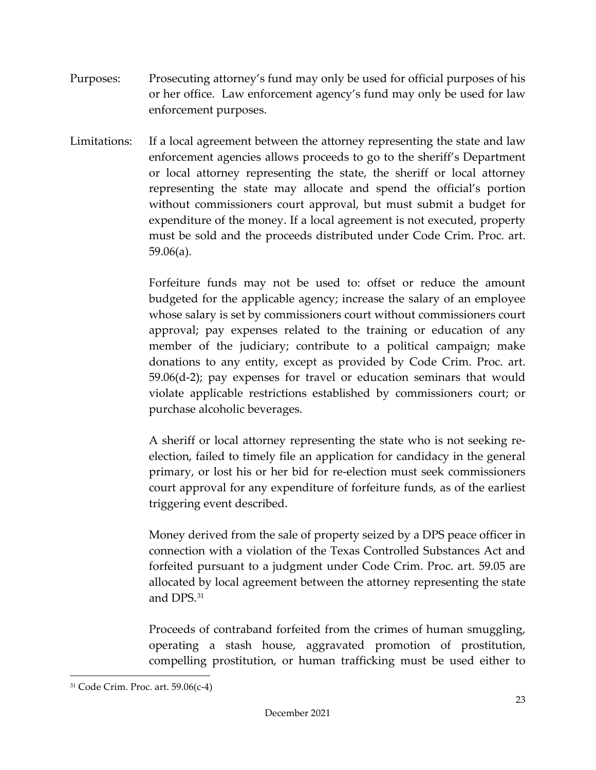- Purposes: Prosecuting attorney's fund may only be used for official purposes of his or her office. Law enforcement agency's fund may only be used for law enforcement purposes.
- Limitations: If a local agreement between the attorney representing the state and law enforcement agencies allows proceeds to go to the sheriff's Department or local attorney representing the state, the sheriff or local attorney representing the state may allocate and spend the official's portion without commissioners court approval, but must submit a budget for expenditure of the money. If a local agreement is not executed, property must be sold and the proceeds distributed under Code Crim. Proc. art. 59.06(a).

Forfeiture funds may not be used to: offset or reduce the amount budgeted for the applicable agency; increase the salary of an employee whose salary is set by commissioners court without commissioners court approval; pay expenses related to the training or education of any member of the judiciary; contribute to a political campaign; make donations to any entity, except as provided by Code Crim. Proc. art. 59.06(d-2); pay expenses for travel or education seminars that would violate applicable restrictions established by commissioners court; or purchase alcoholic beverages.

A sheriff or local attorney representing the state who is not seeking reelection, failed to timely file an application for candidacy in the general primary, or lost his or her bid for re-election must seek commissioners court approval for any expenditure of forfeiture funds, as of the earliest triggering event described.

Money derived from the sale of property seized by a DPS peace officer in connection with a violation of the Texas Controlled Substances Act and forfeited pursuant to a judgment under Code Crim. Proc. art. 59.05 are allocated by local agreement between the attorney representing the state and DPS.[31](#page-26-0)

Proceeds of contraband forfeited from the crimes of human smuggling, operating a stash house, aggravated promotion of prostitution, compelling prostitution, or human trafficking must be used either to

<span id="page-26-0"></span><sup>31</sup> Code Crim. Proc. art. 59.06(c-4)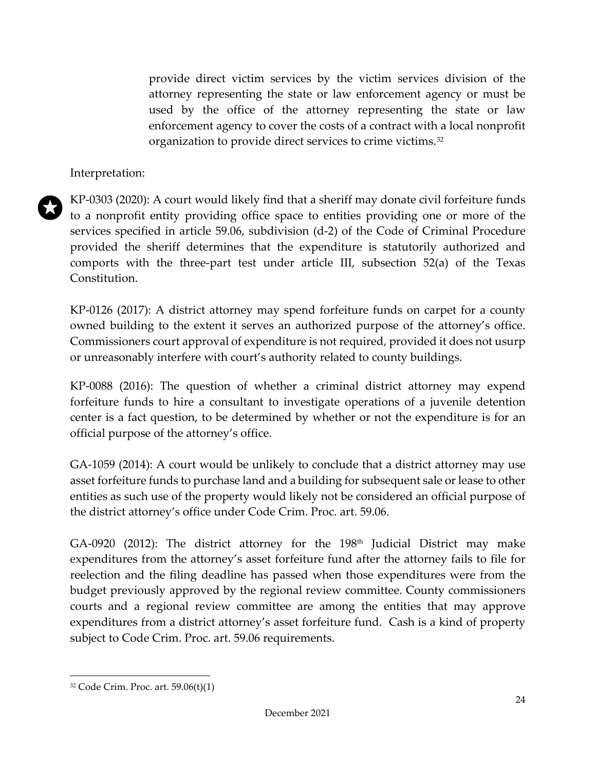provide direct victim services by the victim services division of the attorney representing the state or law enforcement agency or must be used by the office of the attorney representing the state or law enforcement agency to cover the costs of a contract with a local nonprofit organization to provide direct services to crime victims.<sup>[32](#page-27-0)</sup>

Interpretation:



KP-0303 (2020): A court would likely find that a sheriff may donate civil forfeiture funds to a nonprofit entity providing office space to entities providing one or more of the services specified in article 59.06, subdivision (d-2) of the Code of Criminal Procedure provided the sheriff determines that the expenditure is statutorily authorized and comports with the three-part test under article III, subsection 52(a) of the Texas Constitution.

KP-0126 (2017): A district attorney may spend forfeiture funds on carpet for a county owned building to the extent it serves an authorized purpose of the attorney's office. Commissioners court approval of expenditure is not required, provided it does not usurp or unreasonably interfere with court's authority related to county buildings.

KP-0088 (2016): The question of whether a criminal district attorney may expend forfeiture funds to hire a consultant to investigate operations of a juvenile detention center is a fact question, to be determined by whether or not the expenditure is for an official purpose of the attorney's office.

GA-1059 (2014): A court would be unlikely to conclude that a district attorney may use asset forfeiture funds to purchase land and a building for subsequent sale or lease to other entities as such use of the property would likely not be considered an official purpose of the district attorney's office under Code Crim. Proc. art. 59.06.

 $GA-0920$  (2012): The district attorney for the 198<sup>th</sup> Judicial District may make expenditures from the attorney's asset forfeiture fund after the attorney fails to file for reelection and the filing deadline has passed when those expenditures were from the budget previously approved by the regional review committee. County commissioners courts and a regional review committee are among the entities that may approve expenditures from a district attorney's asset forfeiture fund. Cash is a kind of property subject to Code Crim. Proc. art. 59.06 requirements.

<span id="page-27-0"></span><sup>32</sup> Code Crim. Proc. art. 59.06(t)(1)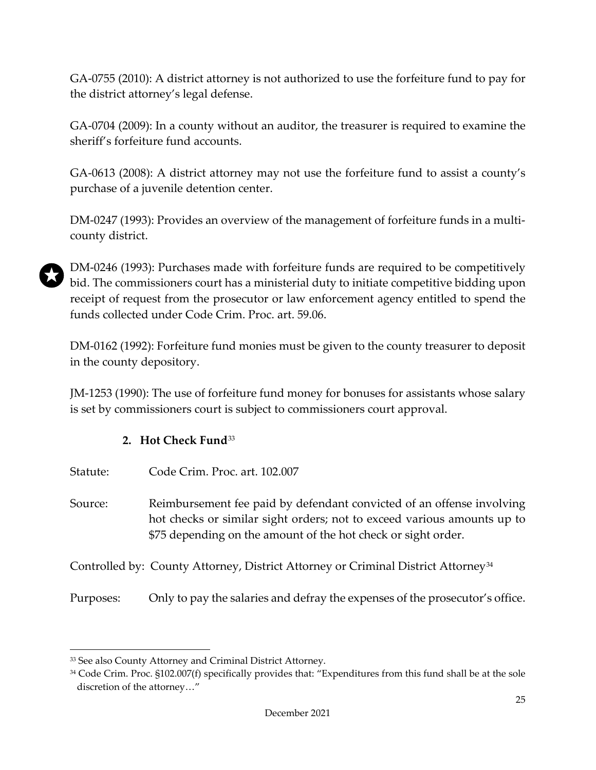GA-0755 (2010): A district attorney is not authorized to use the forfeiture fund to pay for the district attorney's legal defense.

GA-0704 (2009): In a county without an auditor, the treasurer is required to examine the sheriff's forfeiture fund accounts.

GA-0613 (2008): A district attorney may not use the forfeiture fund to assist a county's purchase of a juvenile detention center.

DM-0247 (1993): Provides an overview of the management of forfeiture funds in a multicounty district.

DM-0246 (1993): Purchases made with forfeiture funds are required to be competitively bid. The commissioners court has a ministerial duty to initiate competitive bidding upon receipt of request from the prosecutor or law enforcement agency entitled to spend the funds collected under Code Crim. Proc. art. 59.06.

DM-0162 (1992): Forfeiture fund monies must be given to the county treasurer to deposit in the county depository.

JM-1253 (1990): The use of forfeiture fund money for bonuses for assistants whose salary is set by commissioners court is subject to commissioners court approval.

### **2. Hot Check Fund**[33](#page-28-1)

<span id="page-28-0"></span>

Source: Reimbursement fee paid by defendant convicted of an offense involving hot checks or similar sight orders; not to exceed various amounts up to \$75 depending on the amount of the hot check or sight order.

Controlled by: County Attorney, District Attorney or Criminal District Attorney[34](#page-28-2)

Purposes: Only to pay the salaries and defray the expenses of the prosecutor's office.

<span id="page-28-1"></span><sup>33</sup> See also County Attorney and Criminal District Attorney.

<span id="page-28-2"></span><sup>34</sup> Code Crim. Proc. §102.007(f) specifically provides that: "Expenditures from this fund shall be at the sole discretion of the attorney…"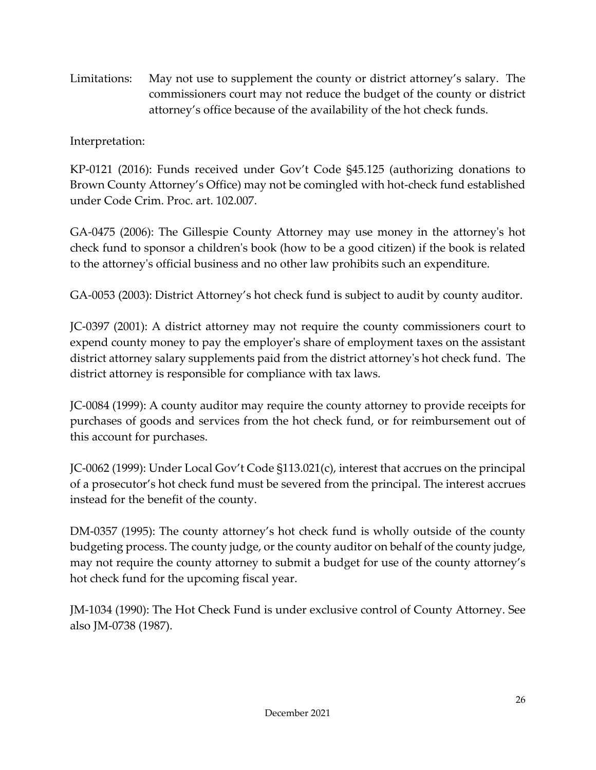Limitations: May not use to supplement the county or district attorney's salary. The commissioners court may not reduce the budget of the county or district attorney's office because of the availability of the hot check funds.

# Interpretation:

KP-0121 (2016): Funds received under Gov't Code §45.125 (authorizing donations to Brown County Attorney's Office) may not be comingled with hot-check fund established under Code Crim. Proc. art. 102.007.

GA-0475 (2006): The Gillespie County Attorney may use money in the attorney's hot check fund to sponsor a children's book (how to be a good citizen) if the book is related to the attorney's official business and no other law prohibits such an expenditure.

GA-0053 (2003): District Attorney's hot check fund is subject to audit by county auditor.

JC-0397 (2001): A district attorney may not require the county commissioners court to expend county money to pay the employer's share of employment taxes on the assistant district attorney salary supplements paid from the district attorney's hot check fund. The district attorney is responsible for compliance with tax laws.

JC-0084 (1999): A county auditor may require the county attorney to provide receipts for purchases of goods and services from the hot check fund, or for reimbursement out of this account for purchases.

JC-0062 (1999): Under Local Gov't Code §113.021(c), interest that accrues on the principal of a prosecutor's hot check fund must be severed from the principal. The interest accrues instead for the benefit of the county.

DM-0357 (1995): The county attorney's hot check fund is wholly outside of the county budgeting process. The county judge, or the county auditor on behalf of the county judge, may not require the county attorney to submit a budget for use of the county attorney's hot check fund for the upcoming fiscal year.

JM-1034 (1990): The Hot Check Fund is under exclusive control of County Attorney. See also JM-0738 (1987).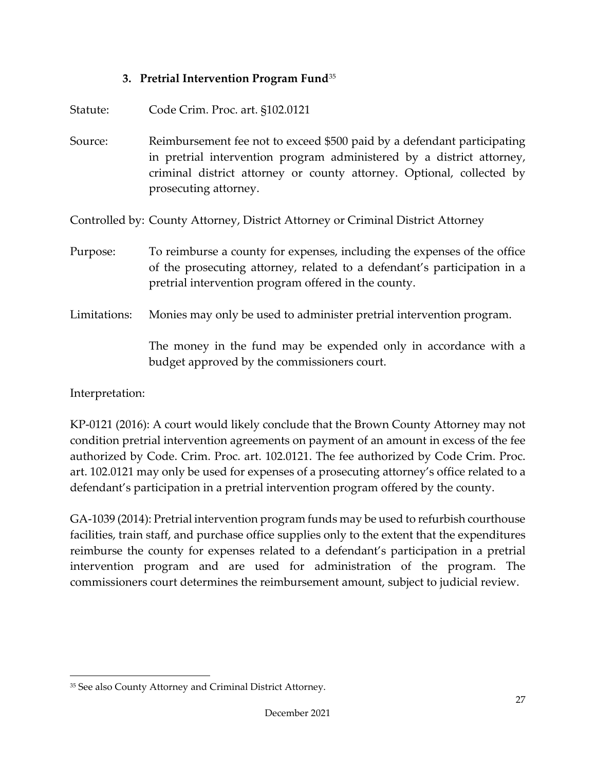#### **3. Pretrial Intervention Program Fund**[35](#page-30-1)

<span id="page-30-0"></span>

| Statute:     | Code Crim. Proc. art. §102.0121                                                                                                                                                                                                                    |
|--------------|----------------------------------------------------------------------------------------------------------------------------------------------------------------------------------------------------------------------------------------------------|
| Source:      | Reimbursement fee not to exceed \$500 paid by a defendant participating<br>in pretrial intervention program administered by a district attorney,<br>criminal district attorney or county attorney. Optional, collected by<br>prosecuting attorney. |
|              | Controlled by: County Attorney, District Attorney or Criminal District Attorney                                                                                                                                                                    |
| Purpose:     | To reimburse a county for expenses, including the expenses of the office<br>of the prosecuting attorney, related to a defendant's participation in a<br>pretrial intervention program offered in the county.                                       |
| Limitations: | Monies may only be used to administer pretrial intervention program.                                                                                                                                                                               |
|              | The money in the fund may be expended only in accordance with a<br>budget approved by the commissioners court.                                                                                                                                     |

Interpretation:

KP-0121 (2016): A court would likely conclude that the Brown County Attorney may not condition pretrial intervention agreements on payment of an amount in excess of the fee authorized by Code. Crim. Proc. art. 102.0121. The fee authorized by Code Crim. Proc. art. 102.0121 may only be used for expenses of a prosecuting attorney's office related to a defendant's participation in a pretrial intervention program offered by the county.

GA-1039 (2014): Pretrial intervention program funds may be used to refurbish courthouse facilities, train staff, and purchase office supplies only to the extent that the expenditures reimburse the county for expenses related to a defendant's participation in a pretrial intervention program and are used for administration of the program. The commissioners court determines the reimbursement amount, subject to judicial review.

<span id="page-30-1"></span><sup>35</sup> See also County Attorney and Criminal District Attorney.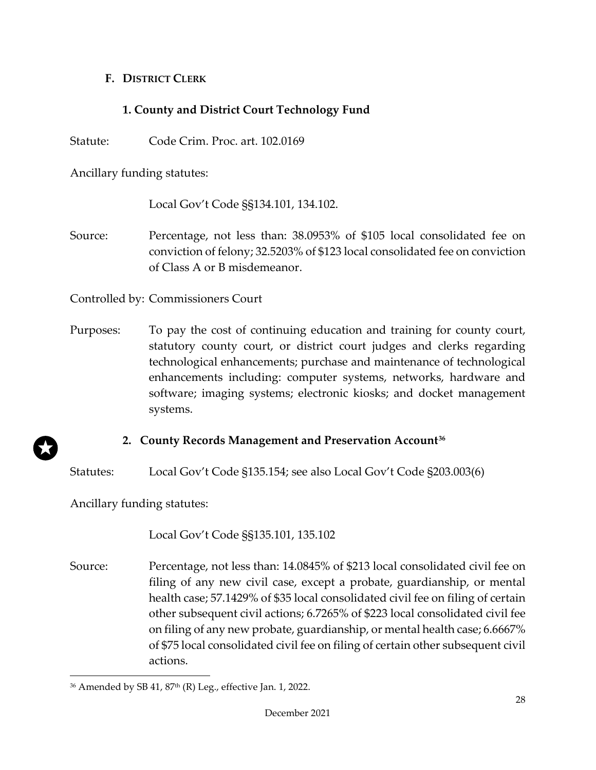#### <span id="page-31-0"></span>**F. DISTRICT CLERK**

### **1. County and District Court Technology Fund**

<span id="page-31-1"></span>Statute: Code Crim. Proc. art. 102.0169

Ancillary funding statutes:

Local Gov't Code §§134.101, 134.102.

Source: Percentage, not less than: 38.0953% of \$105 local consolidated fee on conviction of felony; 32.5203% of \$123 local consolidated fee on conviction of Class A or B misdemeanor.

Controlled by: Commissioners Court

Purposes: To pay the cost of continuing education and training for county court, statutory county court, or district court judges and clerks regarding technological enhancements; purchase and maintenance of technological enhancements including: computer systems, networks, hardware and software; imaging systems; electronic kiosks; and docket management systems.

#### **2. County Records Management and Preservation Account[36](#page-31-3)**

<span id="page-31-2"></span>Statutes: Local Gov't Code §135.154; see also Local Gov't Code §203.003(6)

Ancillary funding statutes:

Local Gov't Code §§135.101, 135.102

Source: Percentage, not less than: 14.0845% of \$213 local consolidated civil fee on filing of any new civil case, except a probate, guardianship, or mental health case; 57.1429% of \$35 local consolidated civil fee on filing of certain other subsequent civil actions; 6.7265% of \$223 local consolidated civil fee on filing of any new probate, guardianship, or mental health case; 6.6667% of \$75 local consolidated civil fee on filing of certain other subsequent civil actions.

<span id="page-31-3"></span> $36$  Amended by SB 41,  $87<sup>th</sup>$  (R) Leg., effective Jan. 1, 2022.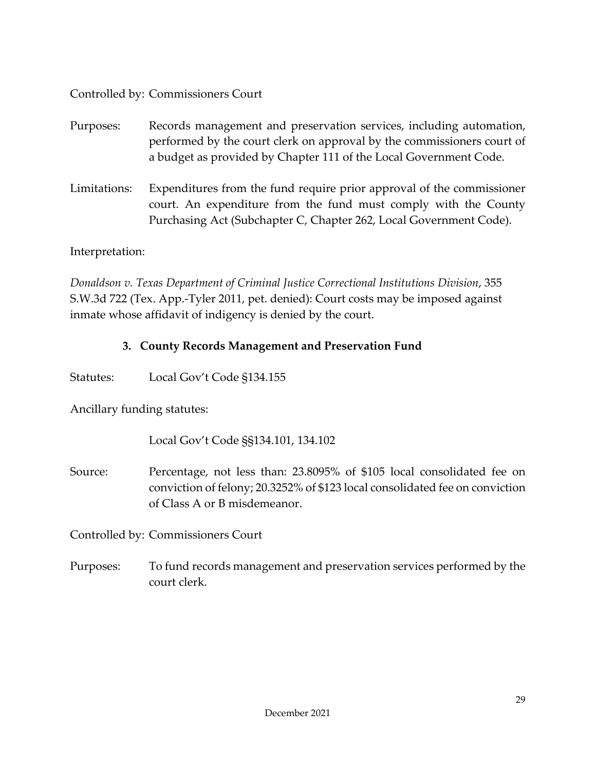Controlled by: Commissioners Court

- Purposes: Records management and preservation services, including automation, performed by the court clerk on approval by the commissioners court of a budget as provided by Chapter 111 of the Local Government Code.
- Limitations: Expenditures from the fund require prior approval of the commissioner court. An expenditure from the fund must comply with the County Purchasing Act (Subchapter C, Chapter 262, Local Government Code).

Interpretation:

*Donaldson v. Texas Department of Criminal Justice Correctional Institutions Division*, 355 S.W.3d 722 (Tex. App.-Tyler 2011, pet. denied): Court costs may be imposed against inmate whose affidavit of indigency is denied by the court.

### **3. County Records Management and Preservation Fund**

<span id="page-32-0"></span>Statutes: Local Gov't Code §134.155

Ancillary funding statutes:

Local Gov't Code §§134.101, 134.102

Source: Percentage, not less than: 23.8095% of \$105 local consolidated fee on conviction of felony; 20.3252% of \$123 local consolidated fee on conviction of Class A or B misdemeanor.

Controlled by: Commissioners Court

Purposes: To fund records management and preservation services performed by the court clerk.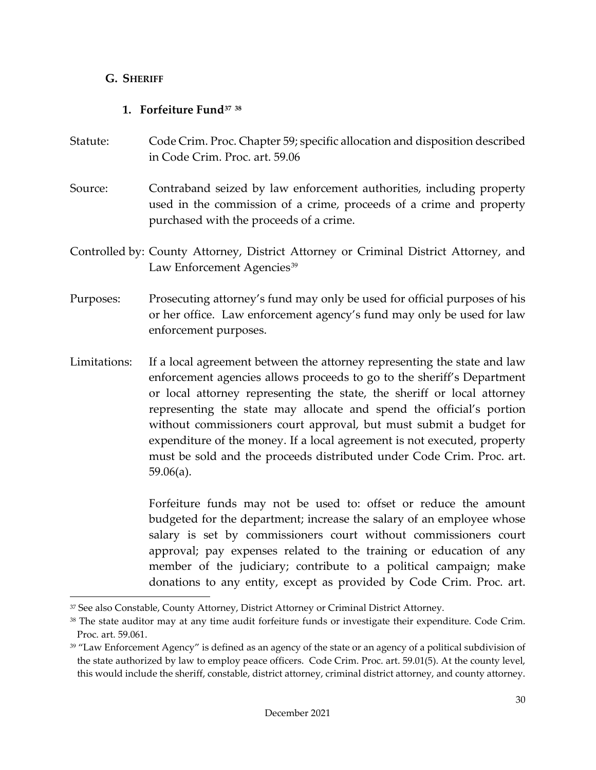#### <span id="page-33-0"></span>**G. SHERIFF**

### **1. Forfeiture Fund[37](#page-33-2) [38](#page-33-3)**

- <span id="page-33-1"></span>Statute: Code Crim. Proc. Chapter 59; specific allocation and disposition described in Code Crim. Proc. art. 59.06
- Source: Contraband seized by law enforcement authorities, including property used in the commission of a crime, proceeds of a crime and property purchased with the proceeds of a crime.
- Controlled by: County Attorney, District Attorney or Criminal District Attorney, and Law Enforcement Agencies<sup>[39](#page-33-4)</sup>
- Purposes: Prosecuting attorney's fund may only be used for official purposes of his or her office. Law enforcement agency's fund may only be used for law enforcement purposes.
- Limitations: If a local agreement between the attorney representing the state and law enforcement agencies allows proceeds to go to the sheriff's Department or local attorney representing the state, the sheriff or local attorney representing the state may allocate and spend the official's portion without commissioners court approval, but must submit a budget for expenditure of the money. If a local agreement is not executed, property must be sold and the proceeds distributed under Code Crim. Proc. art. 59.06(a).

Forfeiture funds may not be used to: offset or reduce the amount budgeted for the department; increase the salary of an employee whose salary is set by commissioners court without commissioners court approval; pay expenses related to the training or education of any member of the judiciary; contribute to a political campaign; make donations to any entity, except as provided by Code Crim. Proc. art.

<span id="page-33-2"></span><sup>37</sup> See also Constable, County Attorney, District Attorney or Criminal District Attorney.

<span id="page-33-3"></span><sup>&</sup>lt;sup>38</sup> The state auditor may at any time audit forfeiture funds or investigate their expenditure. Code Crim. Proc. art. 59.061.

<span id="page-33-4"></span><sup>&</sup>lt;sup>39</sup> "Law Enforcement Agency" is defined as an agency of the state or an agency of a political subdivision of the state authorized by law to employ peace officers. Code Crim. Proc. art. 59.01(5). At the county level, this would include the sheriff, constable, district attorney, criminal district attorney, and county attorney.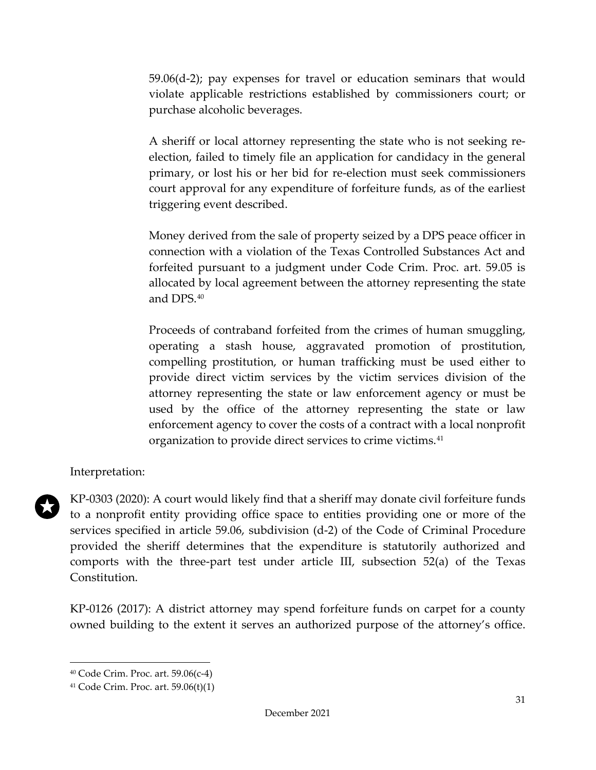59.06(d-2); pay expenses for travel or education seminars that would violate applicable restrictions established by commissioners court; or purchase alcoholic beverages.

A sheriff or local attorney representing the state who is not seeking reelection, failed to timely file an application for candidacy in the general primary, or lost his or her bid for re-election must seek commissioners court approval for any expenditure of forfeiture funds, as of the earliest triggering event described.

Money derived from the sale of property seized by a DPS peace officer in connection with a violation of the Texas Controlled Substances Act and forfeited pursuant to a judgment under Code Crim. Proc. art. 59.05 is allocated by local agreement between the attorney representing the state and DPS.[40](#page-34-0)

Proceeds of contraband forfeited from the crimes of human smuggling, operating a stash house, aggravated promotion of prostitution, compelling prostitution, or human trafficking must be used either to provide direct victim services by the victim services division of the attorney representing the state or law enforcement agency or must be used by the office of the attorney representing the state or law enforcement agency to cover the costs of a contract with a local nonprofit organization to provide direct services to crime victims.<sup>[41](#page-34-1)</sup>

#### Interpretation:

KP-0303 (2020): A court would likely find that a sheriff may donate civil forfeiture funds to a nonprofit entity providing office space to entities providing one or more of the services specified in article 59.06, subdivision (d-2) of the Code of Criminal Procedure provided the sheriff determines that the expenditure is statutorily authorized and comports with the three-part test under article III, subsection 52(a) of the Texas Constitution.

KP-0126 (2017): A district attorney may spend forfeiture funds on carpet for a county owned building to the extent it serves an authorized purpose of the attorney's office.

<span id="page-34-0"></span><sup>40</sup> Code Crim. Proc. art. 59.06(c-4)

<span id="page-34-1"></span><sup>41</sup> Code Crim. Proc. art. 59.06(t)(1)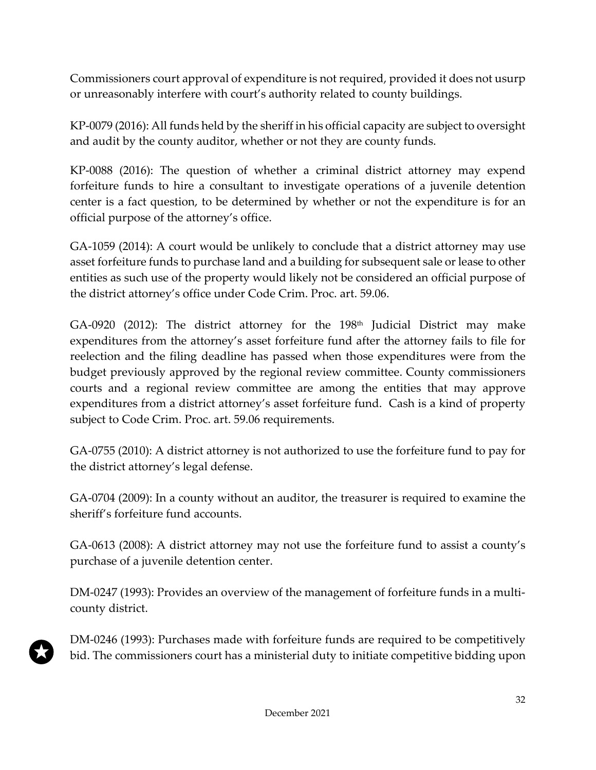Commissioners court approval of expenditure is not required, provided it does not usurp or unreasonably interfere with court's authority related to county buildings.

KP-0079 (2016): All funds held by the sheriff in his official capacity are subject to oversight and audit by the county auditor, whether or not they are county funds.

KP-0088 (2016): The question of whether a criminal district attorney may expend forfeiture funds to hire a consultant to investigate operations of a juvenile detention center is a fact question, to be determined by whether or not the expenditure is for an official purpose of the attorney's office.

GA-1059 (2014): A court would be unlikely to conclude that a district attorney may use asset forfeiture funds to purchase land and a building for subsequent sale or lease to other entities as such use of the property would likely not be considered an official purpose of the district attorney's office under Code Crim. Proc. art. 59.06.

GA-0920 (2012): The district attorney for the  $198<sup>th</sup>$  Judicial District may make expenditures from the attorney's asset forfeiture fund after the attorney fails to file for reelection and the filing deadline has passed when those expenditures were from the budget previously approved by the regional review committee. County commissioners courts and a regional review committee are among the entities that may approve expenditures from a district attorney's asset forfeiture fund. Cash is a kind of property subject to Code Crim. Proc. art. 59.06 requirements.

GA-0755 (2010): A district attorney is not authorized to use the forfeiture fund to pay for the district attorney's legal defense.

GA-0704 (2009): In a county without an auditor, the treasurer is required to examine the sheriff's forfeiture fund accounts.

GA-0613 (2008): A district attorney may not use the forfeiture fund to assist a county's purchase of a juvenile detention center.

DM-0247 (1993): Provides an overview of the management of forfeiture funds in a multicounty district.

DM-0246 (1993): Purchases made with forfeiture funds are required to be competitively bid. The commissioners court has a ministerial duty to initiate competitive bidding upon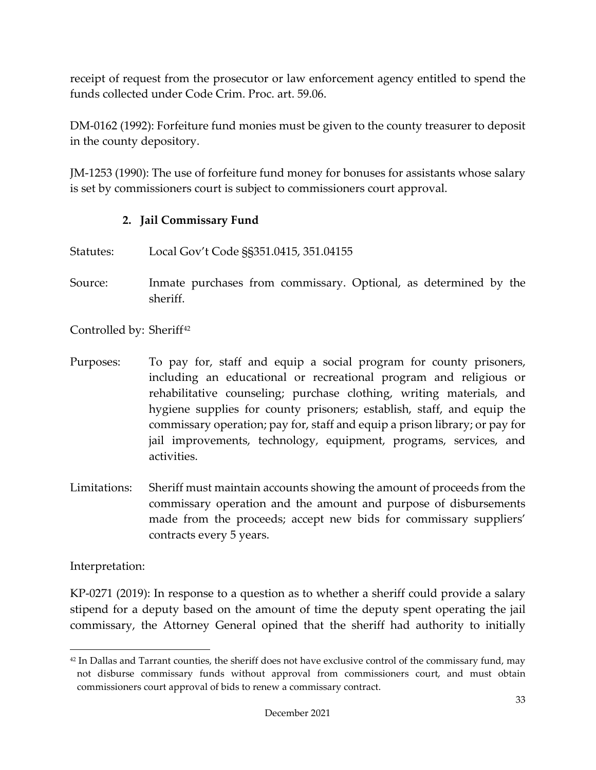receipt of request from the prosecutor or law enforcement agency entitled to spend the funds collected under Code Crim. Proc. art. 59.06.

DM-0162 (1992): Forfeiture fund monies must be given to the county treasurer to deposit in the county depository.

JM-1253 (1990): The use of forfeiture fund money for bonuses for assistants whose salary is set by commissioners court is subject to commissioners court approval.

## **2. Jail Commissary Fund**

- Statutes: Local Gov't Code §§351.0415, 351.04155
- Source: Inmate purchases from commissary. Optional, as determined by the sheriff.

Controlled by: Sheriff<sup>[42](#page-36-0)</sup>

- Purposes: To pay for, staff and equip a social program for county prisoners, including an educational or recreational program and religious or rehabilitative counseling; purchase clothing, writing materials, and hygiene supplies for county prisoners; establish, staff, and equip the commissary operation; pay for, staff and equip a prison library; or pay for jail improvements, technology, equipment, programs, services, and activities.
- Limitations: Sheriff must maintain accounts showing the amount of proceeds from the commissary operation and the amount and purpose of disbursements made from the proceeds; accept new bids for commissary suppliers' contracts every 5 years.

Interpretation:

KP-0271 (2019): In response to a question as to whether a sheriff could provide a salary stipend for a deputy based on the amount of time the deputy spent operating the jail commissary, the Attorney General opined that the sheriff had authority to initially

<span id="page-36-0"></span> $42$  In Dallas and Tarrant counties, the sheriff does not have exclusive control of the commissary fund, may not disburse commissary funds without approval from commissioners court, and must obtain commissioners court approval of bids to renew a commissary contract.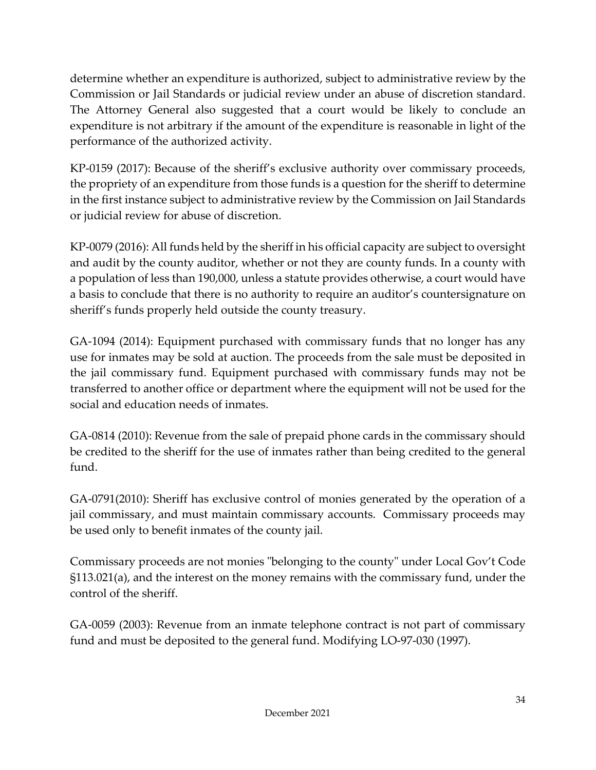determine whether an expenditure is authorized, subject to administrative review by the Commission or Jail Standards or judicial review under an abuse of discretion standard. The Attorney General also suggested that a court would be likely to conclude an expenditure is not arbitrary if the amount of the expenditure is reasonable in light of the performance of the authorized activity.

KP-0159 (2017): Because of the sheriff's exclusive authority over commissary proceeds, the propriety of an expenditure from those funds is a question for the sheriff to determine in the first instance subject to administrative review by the Commission on Jail Standards or judicial review for abuse of discretion.

KP-0079 (2016): All funds held by the sheriff in his official capacity are subject to oversight and audit by the county auditor, whether or not they are county funds. In a county with a population of less than 190,000, unless a statute provides otherwise, a court would have a basis to conclude that there is no authority to require an auditor's countersignature on sheriff's funds properly held outside the county treasury.

GA-1094 (2014): Equipment purchased with commissary funds that no longer has any use for inmates may be sold at auction. The proceeds from the sale must be deposited in the jail commissary fund. Equipment purchased with commissary funds may not be transferred to another office or department where the equipment will not be used for the social and education needs of inmates.

GA-0814 (2010): Revenue from the sale of prepaid phone cards in the commissary should be credited to the sheriff for the use of inmates rather than being credited to the general fund.

GA-0791(2010): Sheriff has exclusive control of monies generated by the operation of a jail commissary, and must maintain commissary accounts. Commissary proceeds may be used only to benefit inmates of the county jail.

Commissary proceeds are not monies "belonging to the county" under Local Gov't Code §113.021(a), and the interest on the money remains with the commissary fund, under the control of the sheriff.

GA-0059 (2003): Revenue from an inmate telephone contract is not part of commissary fund and must be deposited to the general fund. Modifying LO-97-030 (1997).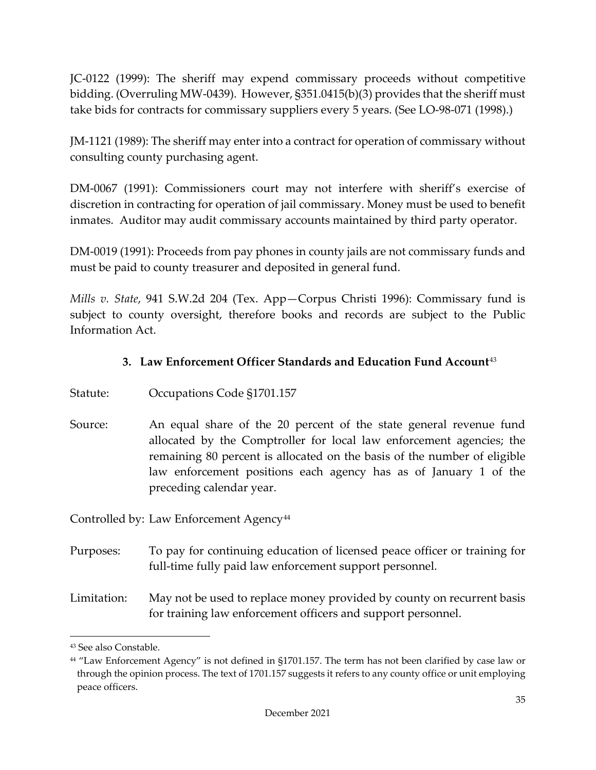JC-0122 (1999): The sheriff may expend commissary proceeds without competitive bidding. (Overruling MW-0439). However, §351.0415(b)(3) provides that the sheriff must take bids for contracts for commissary suppliers every 5 years. (See LO-98-071 (1998).)

JM-1121 (1989): The sheriff may enter into a contract for operation of commissary without consulting county purchasing agent.

DM-0067 (1991): Commissioners court may not interfere with sheriff's exercise of discretion in contracting for operation of jail commissary. Money must be used to benefit inmates. Auditor may audit commissary accounts maintained by third party operator.

DM-0019 (1991): Proceeds from pay phones in county jails are not commissary funds and must be paid to county treasurer and deposited in general fund.

*Mills v. State*, 941 S.W.2d 204 (Tex. App—Corpus Christi 1996): Commissary fund is subject to county oversight, therefore books and records are subject to the Public Information Act.

# **3. Law Enforcement Officer Standards and Education Fund Account**[43](#page-38-0)

- Statute: Occupations Code §1701.157
- Source: An equal share of the 20 percent of the state general revenue fund allocated by the Comptroller for local law enforcement agencies; the remaining 80 percent is allocated on the basis of the number of eligible law enforcement positions each agency has as of January 1 of the preceding calendar year.

Controlled by: Law Enforcement Agency<sup>[44](#page-38-1)</sup>

Purposes: To pay for continuing education of licensed peace officer or training for full-time fully paid law enforcement support personnel.

Limitation: May not be used to replace money provided by county on recurrent basis for training law enforcement officers and support personnel.

<span id="page-38-0"></span><sup>43</sup> See also Constable.

<span id="page-38-1"></span><sup>44</sup> "Law Enforcement Agency" is not defined in §1701.157. The term has not been clarified by case law or through the opinion process. The text of 1701.157 suggests it refers to any county office or unit employing peace officers.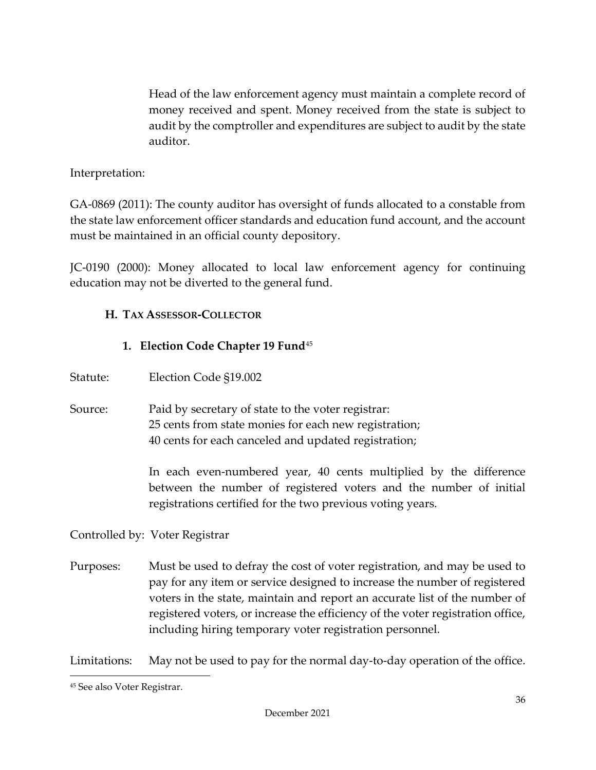Head of the law enforcement agency must maintain a complete record of money received and spent. Money received from the state is subject to audit by the comptroller and expenditures are subject to audit by the state auditor.

#### Interpretation:

GA-0869 (2011): The county auditor has oversight of funds allocated to a constable from the state law enforcement officer standards and education fund account, and the account must be maintained in an official county depository.

JC-0190 (2000): Money allocated to local law enforcement agency for continuing education may not be diverted to the general fund.

## **H. TAX ASSESSOR-COLLECTOR**

## **1. Election Code Chapter 19 Fund**[45](#page-39-0)

- Statute: Election Code §19.002
- Source: Paid by secretary of state to the voter registrar: 25 cents from state monies for each new registration; 40 cents for each canceled and updated registration;

In each even-numbered year, 40 cents multiplied by the difference between the number of registered voters and the number of initial registrations certified for the two previous voting years.

Controlled by: Voter Registrar

Purposes: Must be used to defray the cost of voter registration, and may be used to pay for any item or service designed to increase the number of registered voters in the state, maintain and report an accurate list of the number of registered voters, or increase the efficiency of the voter registration office, including hiring temporary voter registration personnel.

Limitations: May not be used to pay for the normal day-to-day operation of the office.

<span id="page-39-0"></span><sup>45</sup> See also Voter Registrar.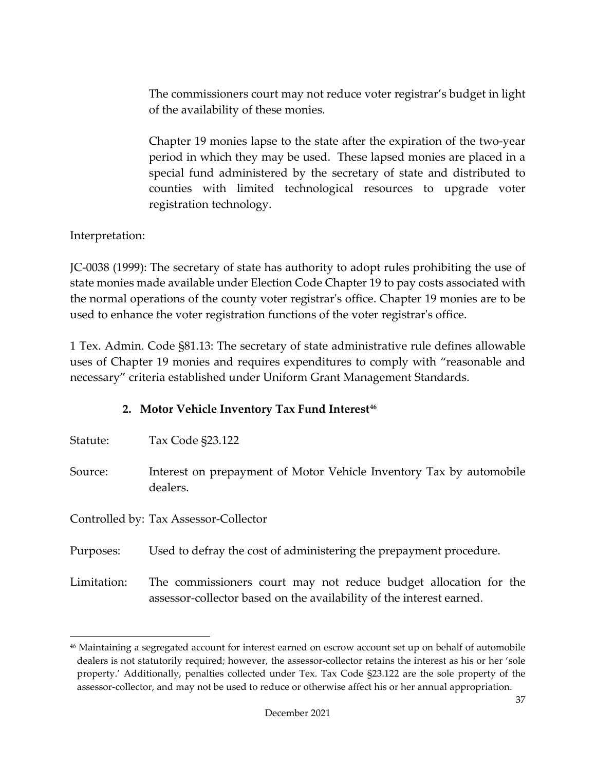The commissioners court may not reduce voter registrar's budget in light of the availability of these monies.

Chapter 19 monies lapse to the state after the expiration of the two-year period in which they may be used. These lapsed monies are placed in a special fund administered by the secretary of state and distributed to counties with limited technological resources to upgrade voter registration technology.

Interpretation:

JC-0038 (1999): The secretary of state has authority to adopt rules prohibiting the use of state monies made available under Election Code Chapter 19 to pay costs associated with the normal operations of the county voter registrar's office. Chapter 19 monies are to be used to enhance the voter registration functions of the voter registrar's office.

1 Tex. Admin. Code §81.13: The secretary of state administrative rule defines allowable uses of Chapter 19 monies and requires expenditures to comply with "reasonable and necessary" criteria established under Uniform Grant Management Standards.

## **2. Motor Vehicle Inventory Tax Fund Interest[46](#page-40-0)**

|  | Statute: | Tax Code §23.122 |
|--|----------|------------------|
|--|----------|------------------|

Source: Interest on prepayment of Motor Vehicle Inventory Tax by automobile dealers.

Controlled by: Tax Assessor-Collector

Purposes: Used to defray the cost of administering the prepayment procedure.

Limitation: The commissioners court may not reduce budget allocation for the assessor-collector based on the availability of the interest earned.

<span id="page-40-0"></span><sup>46</sup> Maintaining a segregated account for interest earned on escrow account set up on behalf of automobile dealers is not statutorily required; however, the assessor-collector retains the interest as his or her 'sole property.' Additionally, penalties collected under Tex. Tax Code §23.122 are the sole property of the assessor-collector, and may not be used to reduce or otherwise affect his or her annual appropriation.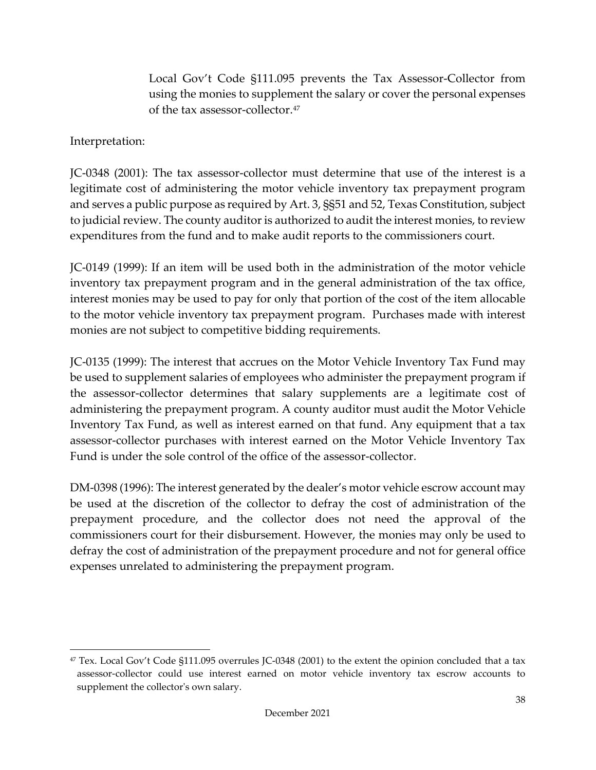Local Gov't Code §111.095 prevents the Tax Assessor-Collector from using the monies to supplement the salary or cover the personal expenses of the tax assessor-collector.<sup>[47](#page-41-0)</sup>

Interpretation:

JC-0348 (2001): The tax assessor-collector must determine that use of the interest is a legitimate cost of administering the motor vehicle inventory tax prepayment program and serves a public purpose as required by Art. 3, §§51 and 52, Texas Constitution, subject to judicial review. The county auditor is authorized to audit the interest monies, to review expenditures from the fund and to make audit reports to the commissioners court.

JC-0149 (1999): If an item will be used both in the administration of the motor vehicle inventory tax prepayment program and in the general administration of the tax office, interest monies may be used to pay for only that portion of the cost of the item allocable to the motor vehicle inventory tax prepayment program. Purchases made with interest monies are not subject to competitive bidding requirements.

JC-0135 (1999): The interest that accrues on the Motor Vehicle Inventory Tax Fund may be used to supplement salaries of employees who administer the prepayment program if the assessor-collector determines that salary supplements are a legitimate cost of administering the prepayment program. A county auditor must audit the Motor Vehicle Inventory Tax Fund, as well as interest earned on that fund. Any equipment that a tax assessor-collector purchases with interest earned on the Motor Vehicle Inventory Tax Fund is under the sole control of the office of the assessor-collector.

DM-0398 (1996): The interest generated by the dealer's motor vehicle escrow account may be used at the discretion of the collector to defray the cost of administration of the prepayment procedure, and the collector does not need the approval of the commissioners court for their disbursement. However, the monies may only be used to defray the cost of administration of the prepayment procedure and not for general office expenses unrelated to administering the prepayment program.

<span id="page-41-0"></span><sup>47</sup> Tex. Local Gov't Code §111.095 overrules JC-0348 (2001) to the extent the opinion concluded that a tax assessor-collector could use interest earned on motor vehicle inventory tax escrow accounts to supplement the collector's own salary.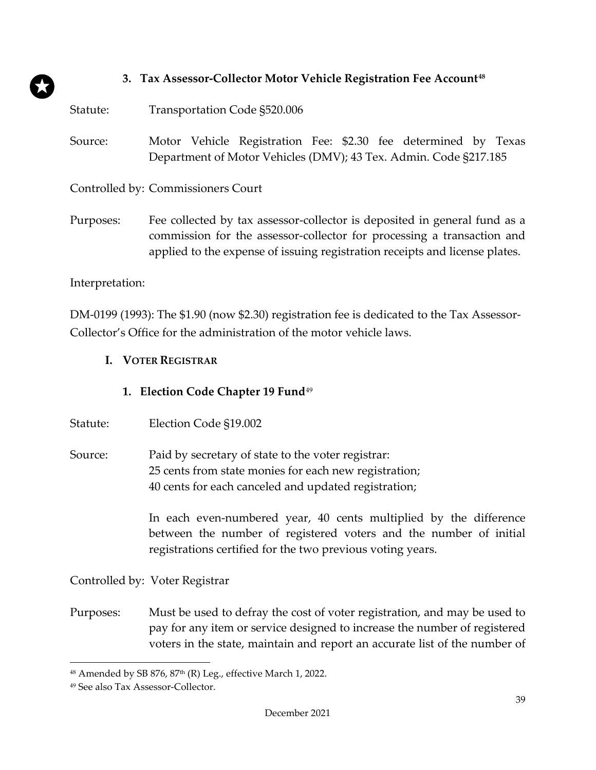## **3. Tax Assessor-Collector Motor Vehicle Registration Fee Account[48](#page-42-0)**

Statute: Transportation Code §520.006

Source: Motor Vehicle Registration Fee: \$2.30 fee determined by Texas Department of Motor Vehicles (DMV); 43 Tex. Admin. Code §217.185

Controlled by: Commissioners Court

Purposes: Fee collected by tax assessor-collector is deposited in general fund as a commission for the assessor-collector for processing a transaction and applied to the expense of issuing registration receipts and license plates.

Interpretation:

DM-0199 (1993): The \$1.90 (now \$2.30) registration fee is dedicated to the Tax Assessor-Collector's Office for the administration of the motor vehicle laws.

**I. VOTER REGISTRAR**

## **1. Election Code Chapter 19 Fund**[49](#page-42-1)

- Statute: Election Code §19.002
- Source: Paid by secretary of state to the voter registrar: 25 cents from state monies for each new registration; 40 cents for each canceled and updated registration;

In each even-numbered year, 40 cents multiplied by the difference between the number of registered voters and the number of initial registrations certified for the two previous voting years.

Controlled by: Voter Registrar

Purposes: Must be used to defray the cost of voter registration, and may be used to pay for any item or service designed to increase the number of registered voters in the state, maintain and report an accurate list of the number of

<span id="page-42-0"></span><sup>48</sup> Amended by SB 876, 87<sup>th</sup> (R) Leg., effective March 1, 2022.

<span id="page-42-1"></span><sup>49</sup> See also Tax Assessor-Collector.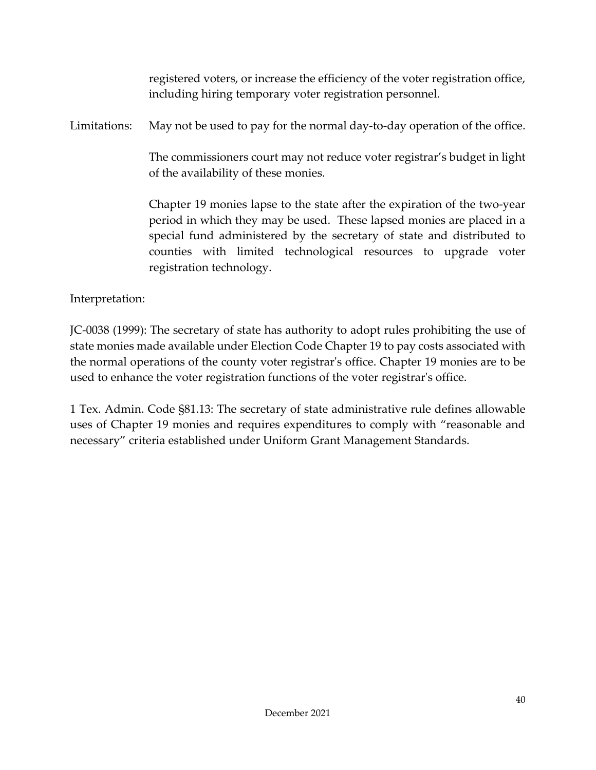registered voters, or increase the efficiency of the voter registration office, including hiring temporary voter registration personnel.

Limitations: May not be used to pay for the normal day-to-day operation of the office.

The commissioners court may not reduce voter registrar's budget in light of the availability of these monies.

Chapter 19 monies lapse to the state after the expiration of the two-year period in which they may be used. These lapsed monies are placed in a special fund administered by the secretary of state and distributed to counties with limited technological resources to upgrade voter registration technology.

Interpretation:

JC-0038 (1999): The secretary of state has authority to adopt rules prohibiting the use of state monies made available under Election Code Chapter 19 to pay costs associated with the normal operations of the county voter registrar's office. Chapter 19 monies are to be used to enhance the voter registration functions of the voter registrar's office.

1 Tex. Admin. Code §81.13: The secretary of state administrative rule defines allowable uses of Chapter 19 monies and requires expenditures to comply with "reasonable and necessary" criteria established under Uniform Grant Management Standards.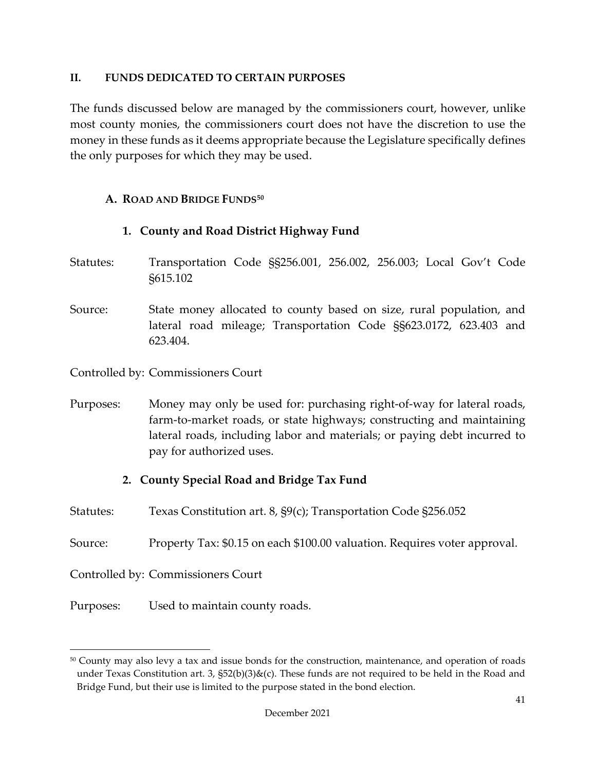#### **II. FUNDS DEDICATED TO CERTAIN PURPOSES**

The funds discussed below are managed by the commissioners court, however, unlike most county monies, the commissioners court does not have the discretion to use the money in these funds as it deems appropriate because the Legislature specifically defines the only purposes for which they may be used.

## **A. ROAD AND BRIDGE FUNDS[50](#page-44-0)**

# **1. County and Road District Highway Fund**

- Statutes: Transportation Code §§256.001, 256.002, 256.003; Local Gov't Code §615.102
- Source: State money allocated to county based on size, rural population, and lateral road mileage; Transportation Code §§623.0172, 623.403 and 623.404.

Controlled by: Commissioners Court

Purposes: Money may only be used for: purchasing right-of-way for lateral roads, farm-to-market roads, or state highways; constructing and maintaining lateral roads, including labor and materials; or paying debt incurred to pay for authorized uses.

# **2. County Special Road and Bridge Tax Fund**

- Statutes: Texas Constitution art. 8, §9(c); Transportation Code §256.052
- Source: Property Tax: \$0.15 on each \$100.00 valuation. Requires voter approval.

Controlled by: Commissioners Court

Purposes: Used to maintain county roads.

<span id="page-44-0"></span><sup>50</sup> County may also levy a tax and issue bonds for the construction, maintenance, and operation of roads under Texas Constitution art. 3,  $\S52(b)(3)\&c)$ . These funds are not required to be held in the Road and Bridge Fund, but their use is limited to the purpose stated in the bond election.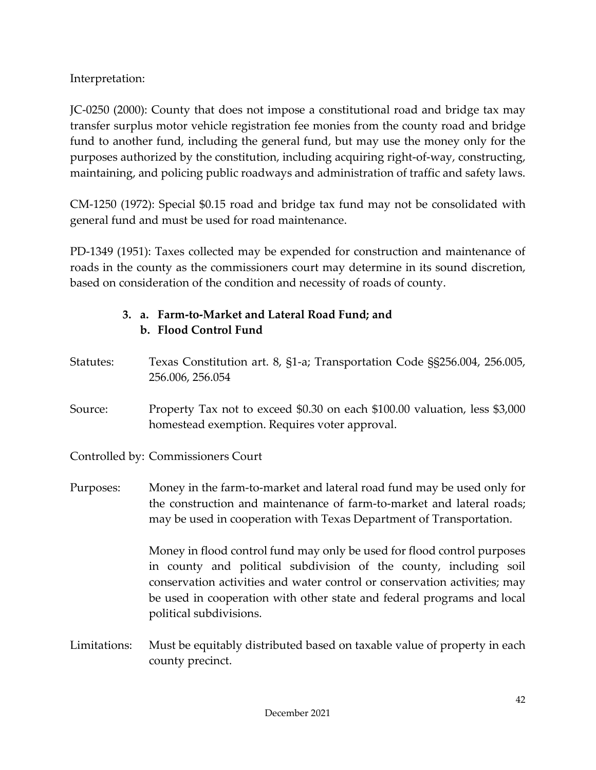Interpretation:

JC-0250 (2000): County that does not impose a constitutional road and bridge tax may transfer surplus motor vehicle registration fee monies from the county road and bridge fund to another fund, including the general fund, but may use the money only for the purposes authorized by the constitution, including acquiring right-of-way, constructing, maintaining, and policing public roadways and administration of traffic and safety laws.

CM-1250 (1972): Special \$0.15 road and bridge tax fund may not be consolidated with general fund and must be used for road maintenance.

PD-1349 (1951): Taxes collected may be expended for construction and maintenance of roads in the county as the commissioners court may determine in its sound discretion, based on consideration of the condition and necessity of roads of county.

# **3. a. Farm-to-Market and Lateral Road Fund; and b. Flood Control Fund**

Statutes: Texas Constitution art. 8, §1-a; Transportation Code §§256.004, 256.005, 256.006, 256.054 Source: Property Tax not to exceed \$0.30 on each \$100.00 valuation, less \$3,000 homestead exemption. Requires voter approval. Controlled by: Commissioners Court Purposes: Money in the farm-to-market and lateral road fund may be used only for the construction and maintenance of farm-to-market and lateral roads; may be used in cooperation with Texas Department of Transportation. Money in flood control fund may only be used for flood control purposes in county and political subdivision of the county, including soil conservation activities and water control or conservation activities; may be used in cooperation with other state and federal programs and local political subdivisions. Limitations: Must be equitably distributed based on taxable value of property in each county precinct.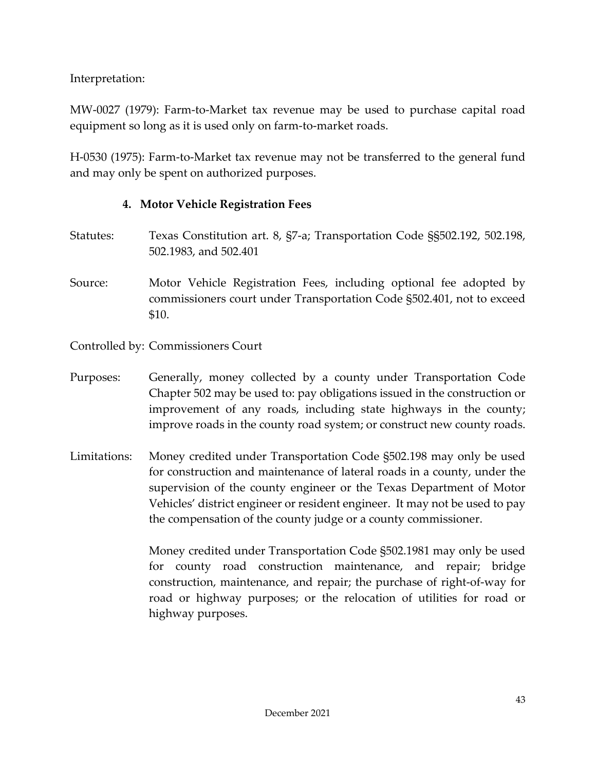Interpretation:

MW-0027 (1979): Farm-to-Market tax revenue may be used to purchase capital road equipment so long as it is used only on farm-to-market roads.

H-0530 (1975): Farm-to-Market tax revenue may not be transferred to the general fund and may only be spent on authorized purposes.

# **4. Motor Vehicle Registration Fees**

- Statutes: Texas Constitution art. 8, §7-a; Transportation Code §§502.192, 502.198, 502.1983, and 502.401
- Source: Motor Vehicle Registration Fees, including optional fee adopted by commissioners court under Transportation Code §502.401, not to exceed \$10.

Controlled by: Commissioners Court

- Purposes: Generally, money collected by a county under Transportation Code Chapter 502 may be used to: pay obligations issued in the construction or improvement of any roads, including state highways in the county; improve roads in the county road system; or construct new county roads.
- Limitations: Money credited under Transportation Code §502.198 may only be used for construction and maintenance of lateral roads in a county, under the supervision of the county engineer or the Texas Department of Motor Vehicles' district engineer or resident engineer. It may not be used to pay the compensation of the county judge or a county commissioner.

Money credited under Transportation Code §502.1981 may only be used for county road construction maintenance, and repair; bridge construction, maintenance, and repair; the purchase of right-of-way for road or highway purposes; or the relocation of utilities for road or highway purposes.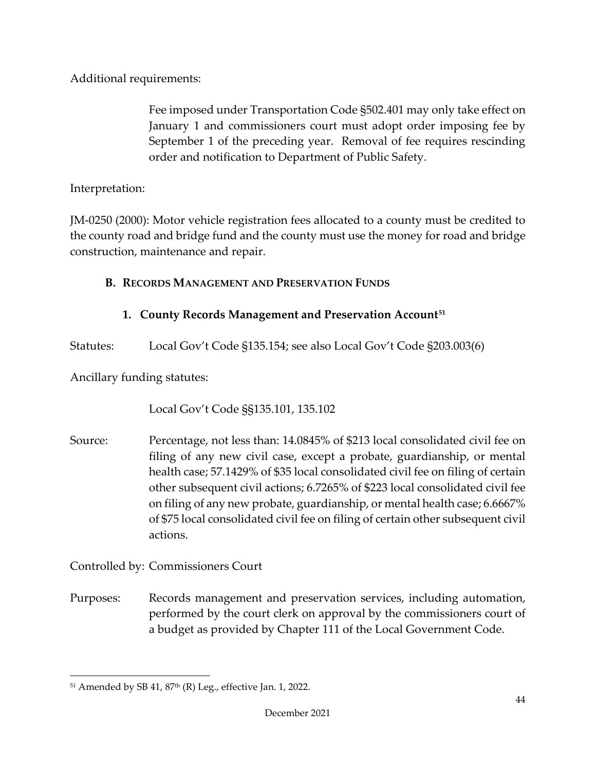Additional requirements:

Fee imposed under Transportation Code §502.401 may only take effect on January 1 and commissioners court must adopt order imposing fee by September 1 of the preceding year. Removal of fee requires rescinding order and notification to Department of Public Safety.

Interpretation:

JM-0250 (2000): Motor vehicle registration fees allocated to a county must be credited to the county road and bridge fund and the county must use the money for road and bridge construction, maintenance and repair.

# **B. RECORDS MANAGEMENT AND PRESERVATION FUNDS**

# **1. County Records Management and Preservation Account[51](#page-47-0)**

Statutes: Local Gov't Code §135.154; see also Local Gov't Code §203.003(6)

Ancillary funding statutes:

Local Gov't Code §§135.101, 135.102

Source: Percentage, not less than: 14.0845% of \$213 local consolidated civil fee on filing of any new civil case, except a probate, guardianship, or mental health case; 57.1429% of \$35 local consolidated civil fee on filing of certain other subsequent civil actions; 6.7265% of \$223 local consolidated civil fee on filing of any new probate, guardianship, or mental health case; 6.6667% of \$75 local consolidated civil fee on filing of certain other subsequent civil actions.

Controlled by: Commissioners Court

Purposes: Records management and preservation services, including automation, performed by the court clerk on approval by the commissioners court of a budget as provided by Chapter 111 of the Local Government Code.

<span id="page-47-0"></span> $51$  Amended by SB 41,  $87<sup>th</sup>$  (R) Leg., effective Jan. 1, 2022.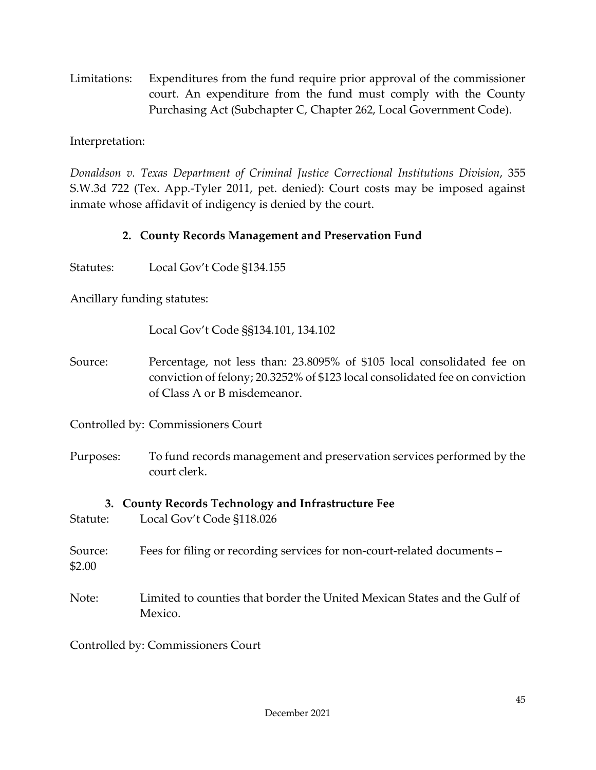Limitations: Expenditures from the fund require prior approval of the commissioner court. An expenditure from the fund must comply with the County Purchasing Act (Subchapter C, Chapter 262, Local Government Code).

Interpretation:

*Donaldson v. Texas Department of Criminal Justice Correctional Institutions Division*, 355 S.W.3d 722 (Tex. App.-Tyler 2011, pet. denied): Court costs may be imposed against inmate whose affidavit of indigency is denied by the court.

## **2. County Records Management and Preservation Fund**

Statutes: Local Gov't Code §134.155

Ancillary funding statutes:

Local Gov't Code §§134.101, 134.102

Source: Percentage, not less than: 23.8095% of \$105 local consolidated fee on conviction of felony; 20.3252% of \$123 local consolidated fee on conviction of Class A or B misdemeanor.

Controlled by: Commissioners Court

Purposes: To fund records management and preservation services performed by the court clerk.

**3. County Records Technology and Infrastructure Fee** Statute: Local Gov't Code §118.026

Source: Fees for filing or recording services for non-court-related documents –

\$2.00

Note: Limited to counties that border the United Mexican States and the Gulf of Mexico.

Controlled by: Commissioners Court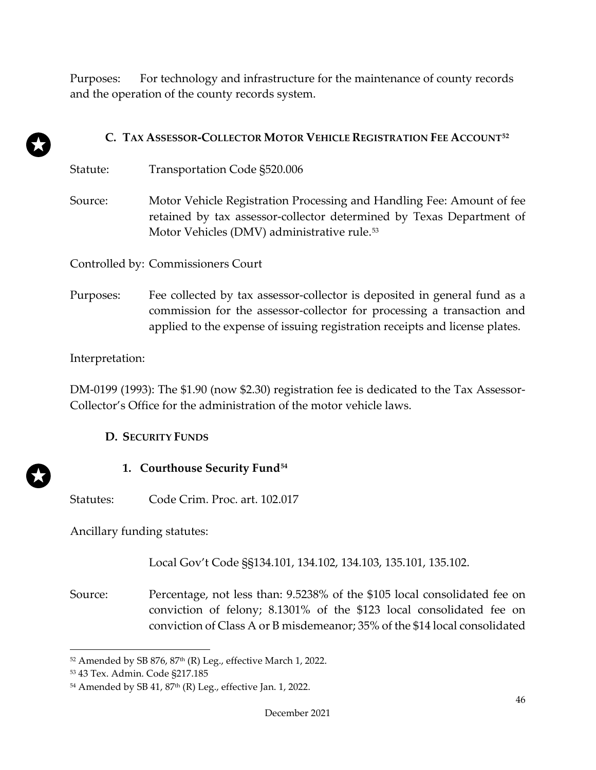Purposes: For technology and infrastructure for the maintenance of county records and the operation of the county records system.

## **C. TAX ASSESSOR-COLLECTOR MOTOR VEHICLE REGISTRATION FEE ACCOUNT[52](#page-49-0)**

| Statute: | Transportation Code \$520.006                                         |
|----------|-----------------------------------------------------------------------|
| Source:  | Motor Vehicle Registration Processing and Handling Fee: Amount of fee |
|          | retained by tax assessor-collector determined by Texas Department of  |

Motor Vehicles (DMV) administrative rule.<sup>[53](#page-49-1)</sup>

Controlled by: Commissioners Court

Purposes: Fee collected by tax assessor-collector is deposited in general fund as a commission for the assessor-collector for processing a transaction and applied to the expense of issuing registration receipts and license plates.

#### Interpretation:

DM-0199 (1993): The \$1.90 (now \$2.30) registration fee is dedicated to the Tax Assessor-Collector's Office for the administration of the motor vehicle laws.

#### **D. SECURITY FUNDS**

## **1. Courthouse Security Fund[54](#page-49-2)**

Statutes: Code Crim. Proc. art. 102.017

Ancillary funding statutes:

Local Gov't Code §§134.101, 134.102, 134.103, 135.101, 135.102.

Source: Percentage, not less than: 9.5238% of the \$105 local consolidated fee on conviction of felony; 8.1301% of the \$123 local consolidated fee on conviction of Class A or B misdemeanor; 35% of the \$14 local consolidated

<span id="page-49-0"></span> $52$  Amended by SB 876, 87<sup>th</sup> (R) Leg., effective March 1, 2022.

<span id="page-49-1"></span><sup>53</sup> 43 Tex. Admin. Code §217.185

<span id="page-49-2"></span> $54$  Amended by SB 41,  $87<sup>th</sup>$  (R) Leg., effective Jan. 1, 2022.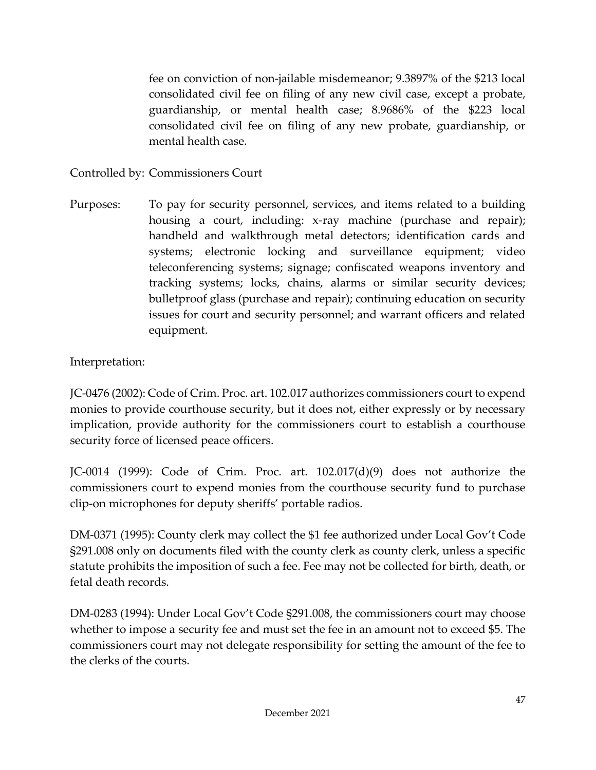fee on conviction of non-jailable misdemeanor; 9.3897% of the \$213 local consolidated civil fee on filing of any new civil case, except a probate, guardianship, or mental health case; 8.9686% of the \$223 local consolidated civil fee on filing of any new probate, guardianship, or mental health case.

Controlled by: Commissioners Court

Purposes: To pay for security personnel, services, and items related to a building housing a court, including: x-ray machine (purchase and repair); handheld and walkthrough metal detectors; identification cards and systems; electronic locking and surveillance equipment; video teleconferencing systems; signage; confiscated weapons inventory and tracking systems; locks, chains, alarms or similar security devices; bulletproof glass (purchase and repair); continuing education on security issues for court and security personnel; and warrant officers and related equipment.

Interpretation:

JC-0476 (2002): Code of Crim. Proc. art. 102.017 authorizes commissioners court to expend monies to provide courthouse security, but it does not, either expressly or by necessary implication, provide authority for the commissioners court to establish a courthouse security force of licensed peace officers.

JC-0014 (1999): Code of Crim. Proc. art. 102.017(d)(9) does not authorize the commissioners court to expend monies from the courthouse security fund to purchase clip-on microphones for deputy sheriffs' portable radios.

DM-0371 (1995): County clerk may collect the \$1 fee authorized under Local Gov't Code §291.008 only on documents filed with the county clerk as county clerk, unless a specific statute prohibits the imposition of such a fee. Fee may not be collected for birth, death, or fetal death records.

DM-0283 (1994): Under Local Gov't Code §291.008, the commissioners court may choose whether to impose a security fee and must set the fee in an amount not to exceed \$5. The commissioners court may not delegate responsibility for setting the amount of the fee to the clerks of the courts.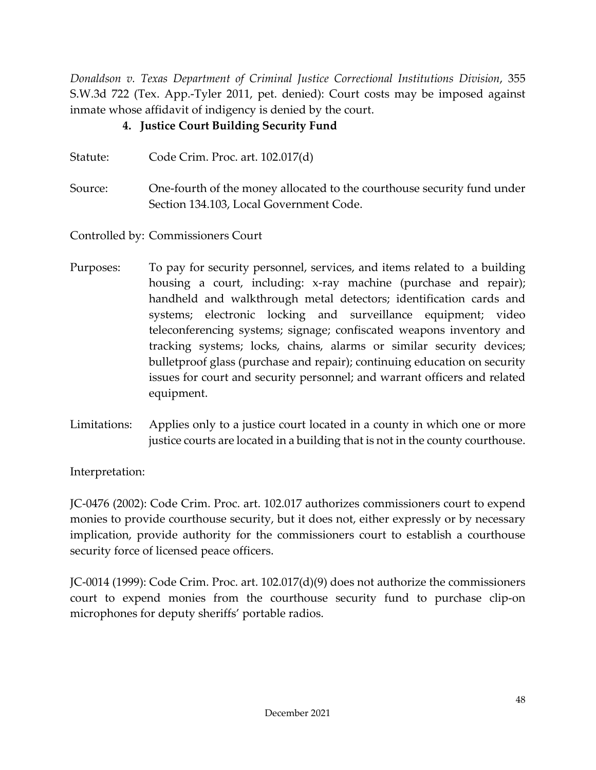*Donaldson v. Texas Department of Criminal Justice Correctional Institutions Division*, 355 S.W.3d 722 (Tex. App.-Tyler 2011, pet. denied): Court costs may be imposed against inmate whose affidavit of indigency is denied by the court.

# **4. Justice Court Building Security Fund**

| Statute: | Code Crim. Proc. art. $102.017(d)$                                                                                 |
|----------|--------------------------------------------------------------------------------------------------------------------|
| Source:  | One-fourth of the money allocated to the courthouse security fund under<br>Section 134.103, Local Government Code. |

Controlled by: Commissioners Court

- Purposes: To pay for security personnel, services, and items related to a building housing a court, including: x-ray machine (purchase and repair); handheld and walkthrough metal detectors; identification cards and systems; electronic locking and surveillance equipment; video teleconferencing systems; signage; confiscated weapons inventory and tracking systems; locks, chains, alarms or similar security devices; bulletproof glass (purchase and repair); continuing education on security issues for court and security personnel; and warrant officers and related equipment.
- Limitations: Applies only to a justice court located in a county in which one or more justice courts are located in a building that is not in the county courthouse.

Interpretation:

JC-0476 (2002): Code Crim. Proc. art. 102.017 authorizes commissioners court to expend monies to provide courthouse security, but it does not, either expressly or by necessary implication, provide authority for the commissioners court to establish a courthouse security force of licensed peace officers.

JC-0014 (1999): Code Crim. Proc. art. 102.017(d)(9) does not authorize the commissioners court to expend monies from the courthouse security fund to purchase clip-on microphones for deputy sheriffs' portable radios.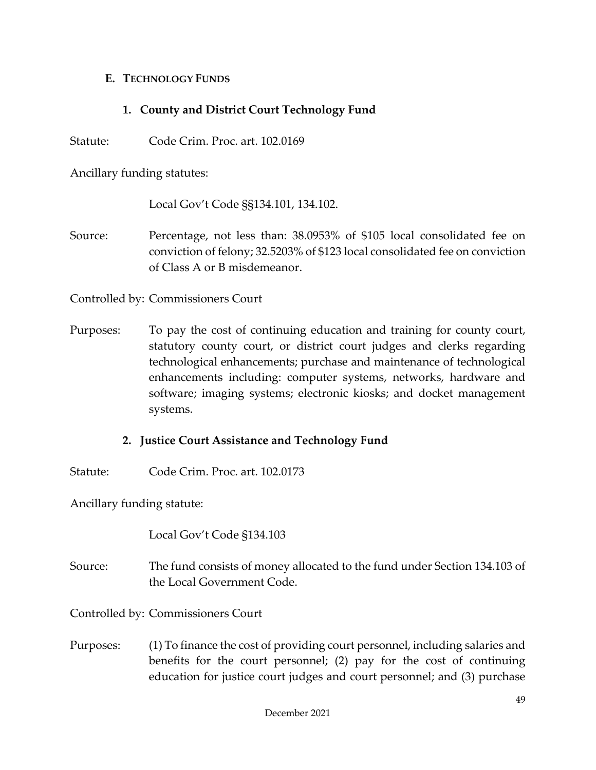#### **E. TECHNOLOGY FUNDS**

## **1. County and District Court Technology Fund**

Statute: Code Crim. Proc. art. 102.0169

Ancillary funding statutes:

Local Gov't Code §§134.101, 134.102.

Source: Percentage, not less than: 38.0953% of \$105 local consolidated fee on conviction of felony; 32.5203% of \$123 local consolidated fee on conviction of Class A or B misdemeanor.

Controlled by: Commissioners Court

Purposes: To pay the cost of continuing education and training for county court, statutory county court, or district court judges and clerks regarding technological enhancements; purchase and maintenance of technological enhancements including: computer systems, networks, hardware and software; imaging systems; electronic kiosks; and docket management systems.

#### **2. Justice Court Assistance and Technology Fund**

Statute: Code Crim. Proc. art. 102.0173

Ancillary funding statute:

Local Gov't Code §134.103

Source: The fund consists of money allocated to the fund under Section 134.103 of the Local Government Code.

Controlled by: Commissioners Court

Purposes: (1) To finance the cost of providing court personnel, including salaries and benefits for the court personnel; (2) pay for the cost of continuing education for justice court judges and court personnel; and (3) purchase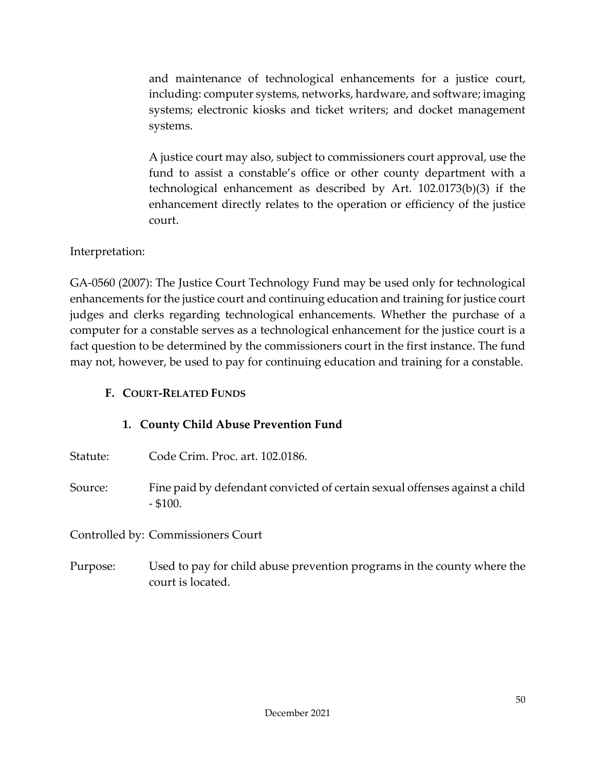and maintenance of technological enhancements for a justice court, including: computer systems, networks, hardware, and software; imaging systems; electronic kiosks and ticket writers; and docket management systems.

A justice court may also, subject to commissioners court approval, use the fund to assist a constable's office or other county department with a technological enhancement as described by Art. 102.0173(b)(3) if the enhancement directly relates to the operation or efficiency of the justice court.

## Interpretation:

GA-0560 (2007): The Justice Court Technology Fund may be used only for technological enhancements for the justice court and continuing education and training for justice court judges and clerks regarding technological enhancements. Whether the purchase of a computer for a constable serves as a technological enhancement for the justice court is a fact question to be determined by the commissioners court in the first instance. The fund may not, however, be used to pay for continuing education and training for a constable.

## **F. COURT-RELATED FUNDS**

## **1. County Child Abuse Prevention Fund**

- Statute: Code Crim. Proc. art. 102.0186.
- Source: Fine paid by defendant convicted of certain sexual offenses against a child - \$100.

Controlled by: Commissioners Court

Purpose: Used to pay for child abuse prevention programs in the county where the court is located.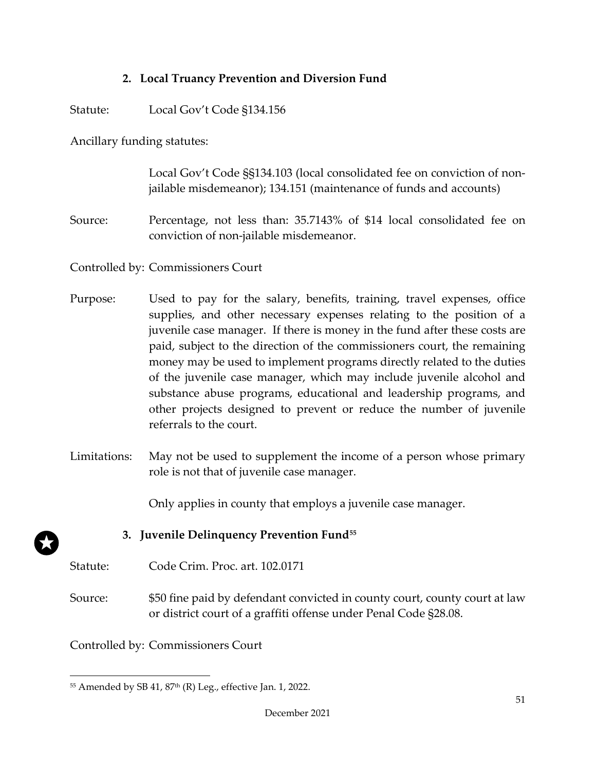## **2. Local Truancy Prevention and Diversion Fund**

Statute: Local Gov't Code §134.156

Ancillary funding statutes:

Local Gov't Code §§134.103 (local consolidated fee on conviction of nonjailable misdemeanor); 134.151 (maintenance of funds and accounts)

Source: Percentage, not less than: 35.7143% of \$14 local consolidated fee on conviction of non-jailable misdemeanor.

Controlled by: Commissioners Court

- Purpose: Used to pay for the salary, benefits, training, travel expenses, office supplies, and other necessary expenses relating to the position of a juvenile case manager. If there is money in the fund after these costs are paid, subject to the direction of the commissioners court, the remaining money may be used to implement programs directly related to the duties of the juvenile case manager, which may include juvenile alcohol and substance abuse programs, educational and leadership programs, and other projects designed to prevent or reduce the number of juvenile referrals to the court.
- Limitations: May not be used to supplement the income of a person whose primary role is not that of juvenile case manager.

Only applies in county that employs a juvenile case manager.

## **3. Juvenile Delinquency Prevention Fund[55](#page-54-0)**

- Statute: Code Crim. Proc. art. 102.0171
- Source: \$50 fine paid by defendant convicted in county court, county court at law or district court of a graffiti offense under Penal Code §28.08.

Controlled by: Commissioners Court

<span id="page-54-0"></span> $55$  Amended by SB 41,  $87<sup>th</sup>$  (R) Leg., effective Jan. 1, 2022.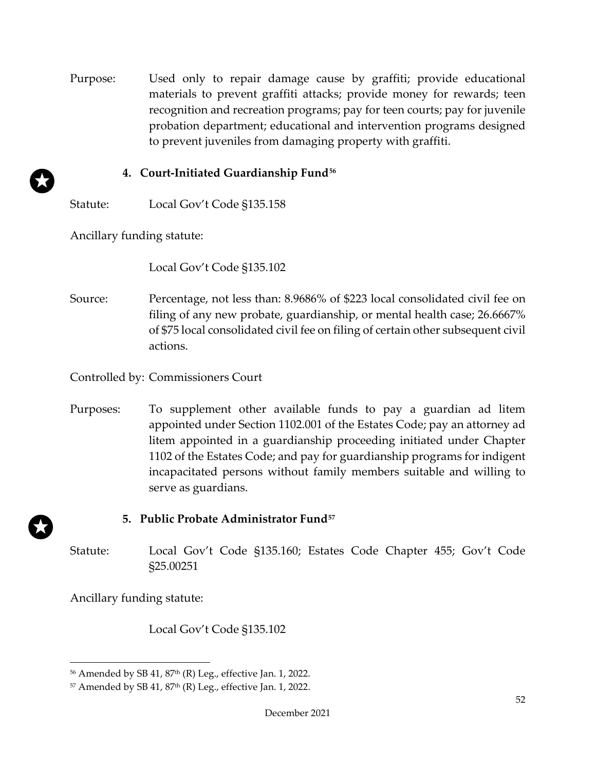Purpose: Used only to repair damage cause by graffiti; provide educational materials to prevent graffiti attacks; provide money for rewards; teen recognition and recreation programs; pay for teen courts; pay for juvenile probation department; educational and intervention programs designed to prevent juveniles from damaging property with graffiti.

## **4. Court-Initiated Guardianship Fund[56](#page-55-0)**

Statute: Local Gov't Code §135.158

Ancillary funding statute:

Local Gov't Code §135.102

Source: Percentage, not less than: 8.9686% of \$223 local consolidated civil fee on filing of any new probate, guardianship, or mental health case; 26.6667% of \$75 local consolidated civil fee on filing of certain other subsequent civil actions.

Controlled by: Commissioners Court

Purposes: To supplement other available funds to pay a guardian ad litem appointed under Section 1102.001 of the Estates Code; pay an attorney ad litem appointed in a guardianship proceeding initiated under Chapter 1102 of the Estates Code; and pay for guardianship programs for indigent incapacitated persons without family members suitable and willing to serve as guardians.

# **5. Public Probate Administrator Fund[57](#page-55-1)**

Statute: Local Gov't Code §135.160; Estates Code Chapter 455; Gov't Code §25.00251

Ancillary funding statute:

Local Gov't Code §135.102

<span id="page-55-0"></span><sup>&</sup>lt;sup>56</sup> Amended by SB 41, 87<sup>th</sup> (R) Leg., effective Jan. 1, 2022.

<span id="page-55-1"></span> $57$  Amended by SB 41,  $87<sup>th</sup>$  (R) Leg., effective Jan. 1, 2022.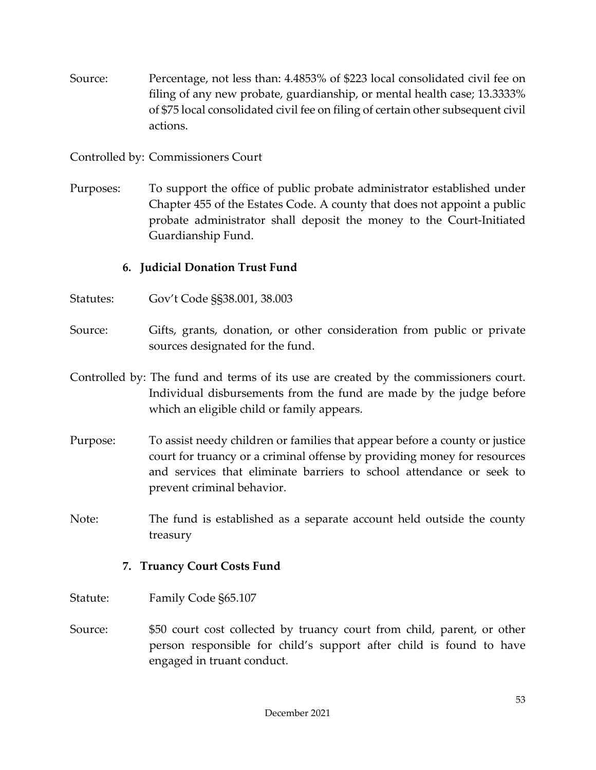- Source: Percentage, not less than: 4.4853% of \$223 local consolidated civil fee on filing of any new probate, guardianship, or mental health case; 13.3333% of \$75 local consolidated civil fee on filing of certain other subsequent civil actions.
- Controlled by: Commissioners Court
- Purposes: To support the office of public probate administrator established under Chapter 455 of the Estates Code. A county that does not appoint a public probate administrator shall deposit the money to the Court-Initiated Guardianship Fund.

## **6. Judicial Donation Trust Fund**

- Statutes: Gov't Code §§38.001, 38.003
- Source: Gifts, grants, donation, or other consideration from public or private sources designated for the fund.
- Controlled by: The fund and terms of its use are created by the commissioners court. Individual disbursements from the fund are made by the judge before which an eligible child or family appears.
- Purpose: To assist needy children or families that appear before a county or justice court for truancy or a criminal offense by providing money for resources and services that eliminate barriers to school attendance or seek to prevent criminal behavior.
- Note: The fund is established as a separate account held outside the county treasury

#### **7. Truancy Court Costs Fund**

- Statute: Family Code §65.107
- Source: \$50 court cost collected by truancy court from child, parent, or other person responsible for child's support after child is found to have engaged in truant conduct.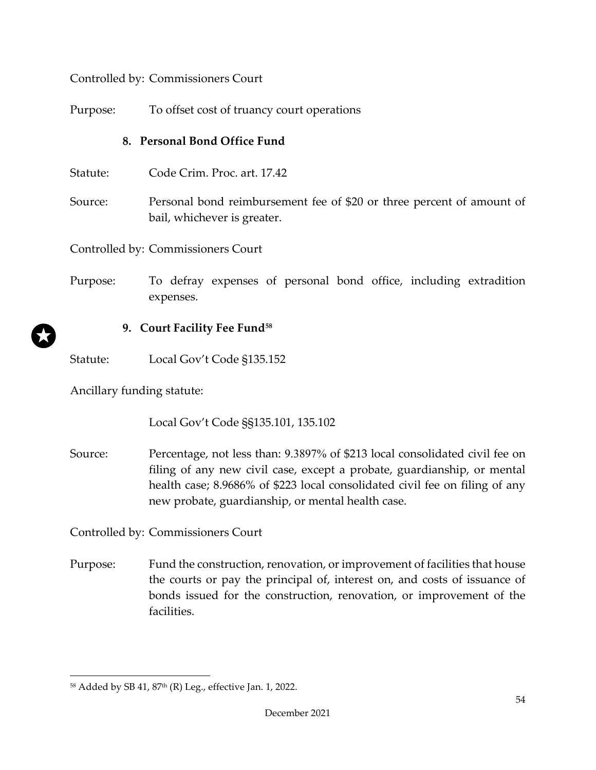Controlled by: Commissioners Court

Purpose: To offset cost of truancy court operations

# **8. Personal Bond Office Fund**

- Statute: Code Crim. Proc. art. 17.42
- Source: Personal bond reimbursement fee of \$20 or three percent of amount of bail, whichever is greater.

Controlled by: Commissioners Court

Purpose: To defray expenses of personal bond office, including extradition expenses.

# **9. Court Facility Fee Fund[58](#page-57-0)**

Statute: Local Gov't Code §135.152

Ancillary funding statute:

Local Gov't Code §§135.101, 135.102

Source: Percentage, not less than: 9.3897% of \$213 local consolidated civil fee on filing of any new civil case, except a probate, guardianship, or mental health case; 8.9686% of \$223 local consolidated civil fee on filing of any new probate, guardianship, or mental health case.

Controlled by: Commissioners Court

Purpose: Fund the construction, renovation, or improvement of facilities that house the courts or pay the principal of, interest on, and costs of issuance of bonds issued for the construction, renovation, or improvement of the facilities.

<span id="page-57-0"></span><sup>58</sup> Added by SB 41, 87<sup>th</sup> (R) Leg., effective Jan. 1, 2022.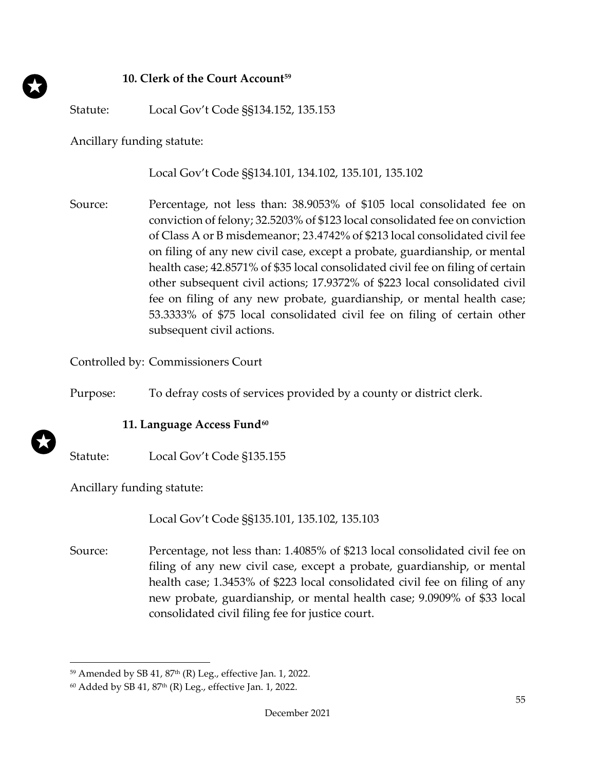#### **10. Clerk of the Court Account[59](#page-58-0)**

Statute: Local Gov't Code §§134.152, 135.153

Ancillary funding statute:

Local Gov't Code §§134.101, 134.102, 135.101, 135.102

Source: Percentage, not less than: 38.9053% of \$105 local consolidated fee on conviction of felony; 32.5203% of \$123 local consolidated fee on conviction of Class A or B misdemeanor; 23.4742% of \$213 local consolidated civil fee on filing of any new civil case, except a probate, guardianship, or mental health case; 42.8571% of \$35 local consolidated civil fee on filing of certain other subsequent civil actions; 17.9372% of \$223 local consolidated civil fee on filing of any new probate, guardianship, or mental health case; 53.3333% of \$75 local consolidated civil fee on filing of certain other subsequent civil actions.

Controlled by: Commissioners Court

Purpose: To defray costs of services provided by a county or district clerk.

#### **11. Language Access Fund[60](#page-58-1)**

Statute: Local Gov't Code §135.155

Ancillary funding statute:

Local Gov't Code §§135.101, 135.102, 135.103

Source: Percentage, not less than: 1.4085% of \$213 local consolidated civil fee on filing of any new civil case, except a probate, guardianship, or mental health case; 1.3453% of \$223 local consolidated civil fee on filing of any new probate, guardianship, or mental health case; 9.0909% of \$33 local consolidated civil filing fee for justice court.

<span id="page-58-0"></span> $59$  Amended by SB 41,  $87<sup>th</sup>$  (R) Leg., effective Jan. 1, 2022.

<span id="page-58-1"></span> $60$  Added by SB 41, 87<sup>th</sup> (R) Leg., effective Jan. 1, 2022.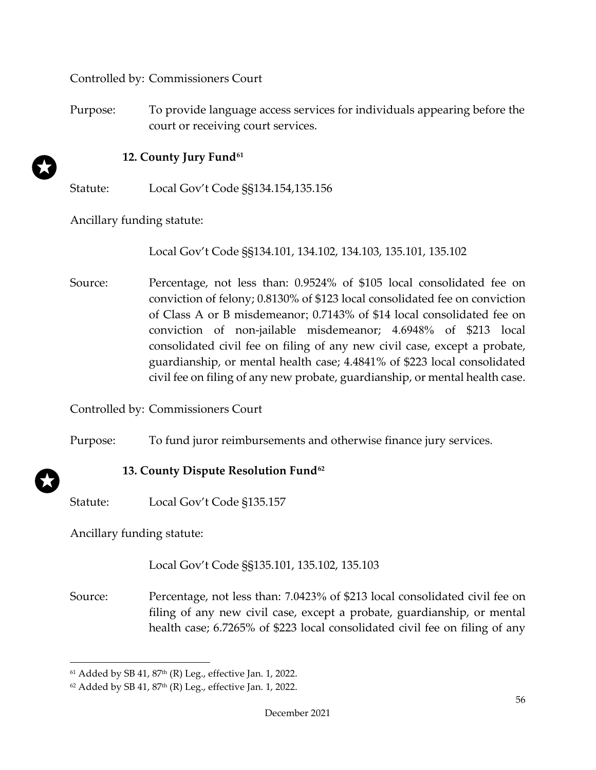Controlled by: Commissioners Court

Purpose: To provide language access services for individuals appearing before the court or receiving court services.

#### **12. County Jury Fund[61](#page-59-0)**

Statute: Local Gov't Code §§134.154,135.156

Ancillary funding statute:

Local Gov't Code §§134.101, 134.102, 134.103, 135.101, 135.102

Source: Percentage, not less than: 0.9524% of \$105 local consolidated fee on conviction of felony; 0.8130% of \$123 local consolidated fee on conviction of Class A or B misdemeanor; 0.7143% of \$14 local consolidated fee on conviction of non-jailable misdemeanor; 4.6948% of \$213 local consolidated civil fee on filing of any new civil case, except a probate, guardianship, or mental health case; 4.4841% of \$223 local consolidated civil fee on filing of any new probate, guardianship, or mental health case.

Controlled by: Commissioners Court

Purpose: To fund juror reimbursements and otherwise finance jury services.

## **13. County Dispute Resolution Fund[62](#page-59-1)**

Statute: Local Gov't Code §135.157

Ancillary funding statute:

## Local Gov't Code §§135.101, 135.102, 135.103

Source: Percentage, not less than: 7.0423% of \$213 local consolidated civil fee on filing of any new civil case, except a probate, guardianship, or mental health case; 6.7265% of \$223 local consolidated civil fee on filing of any

<span id="page-59-0"></span> $61$  Added by SB 41, 87<sup>th</sup> (R) Leg., effective Jan. 1, 2022.

<span id="page-59-1"></span> $62$  Added by SB 41, 87<sup>th</sup> (R) Leg., effective Jan. 1, 2022.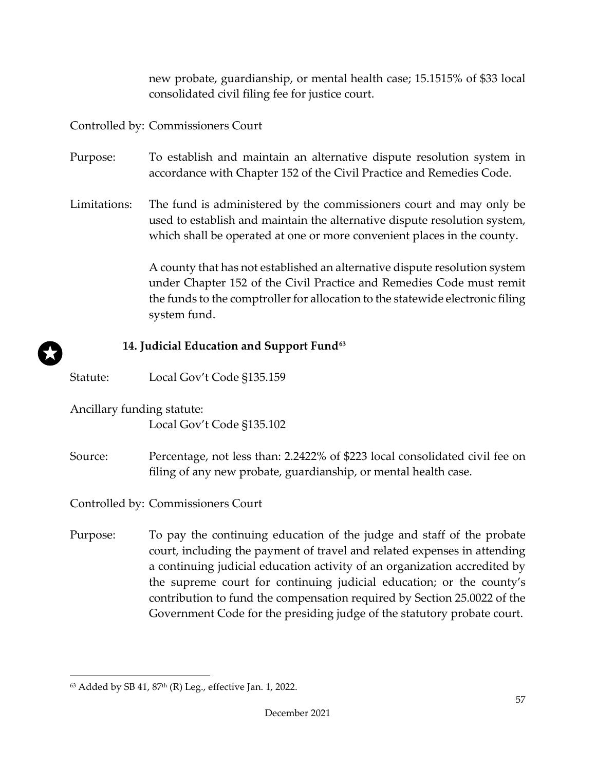new probate, guardianship, or mental health case; 15.1515% of \$33 local consolidated civil filing fee for justice court.

Controlled by: Commissioners Court

- Purpose: To establish and maintain an alternative dispute resolution system in accordance with Chapter 152 of the Civil Practice and Remedies Code.
- Limitations: The fund is administered by the commissioners court and may only be used to establish and maintain the alternative dispute resolution system, which shall be operated at one or more convenient places in the county.

A county that has not established an alternative dispute resolution system under Chapter 152 of the Civil Practice and Remedies Code must remit the funds to the comptroller for allocation to the statewide electronic filing system fund.

#### **14. Judicial Education and Support Fund[63](#page-60-0)**

Statute: Local Gov't Code §135.159

Ancillary funding statute:

Local Gov't Code §135.102

Source: Percentage, not less than: 2.2422% of \$223 local consolidated civil fee on filing of any new probate, guardianship, or mental health case.

Controlled by: Commissioners Court

Purpose: To pay the continuing education of the judge and staff of the probate court, including the payment of travel and related expenses in attending a continuing judicial education activity of an organization accredited by the supreme court for continuing judicial education; or the county's contribution to fund the compensation required by Section 25.0022 of the Government Code for the presiding judge of the statutory probate court.

<span id="page-60-0"></span> $63$  Added by SB 41,  $87<sup>th</sup>$  (R) Leg., effective Jan. 1, 2022.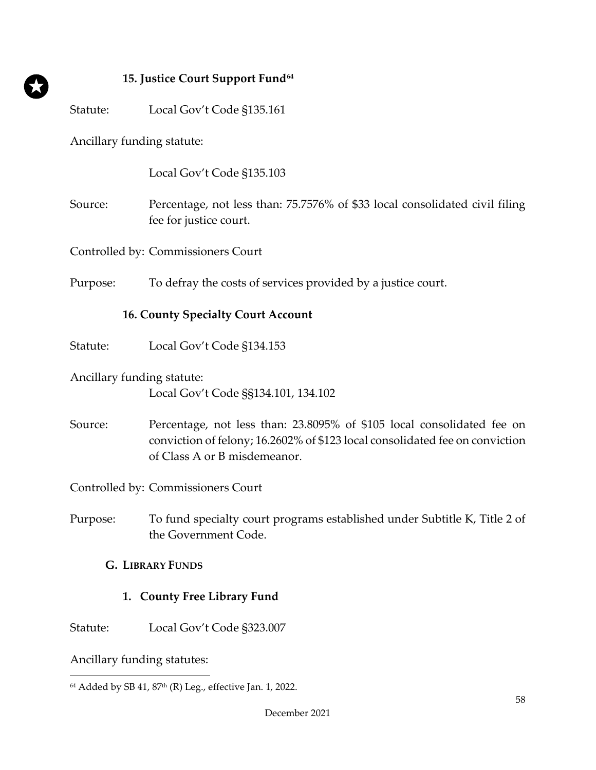#### **15. Justice Court Support Fund[64](#page-61-0)**

Statute: Local Gov't Code §135.161

Ancillary funding statute:

Local Gov't Code §135.103

Source: Percentage, not less than: 75.7576% of \$33 local consolidated civil filing fee for justice court.

Controlled by: Commissioners Court

Purpose: To defray the costs of services provided by a justice court.

#### **16. County Specialty Court Account**

Statute: Local Gov't Code §134.153

Ancillary funding statute: Local Gov't Code §§134.101, 134.102

Source: Percentage, not less than: 23.8095% of \$105 local consolidated fee on conviction of felony; 16.2602% of \$123 local consolidated fee on conviction of Class A or B misdemeanor.

Controlled by: Commissioners Court

Purpose: To fund specialty court programs established under Subtitle K, Title 2 of the Government Code.

#### **G. LIBRARY FUNDS**

#### **1. County Free Library Fund**

Statute: Local Gov't Code §323.007

Ancillary funding statutes:

<span id="page-61-0"></span><sup>&</sup>lt;sup>64</sup> Added by SB 41, 87<sup>th</sup> (R) Leg., effective Jan. 1, 2022.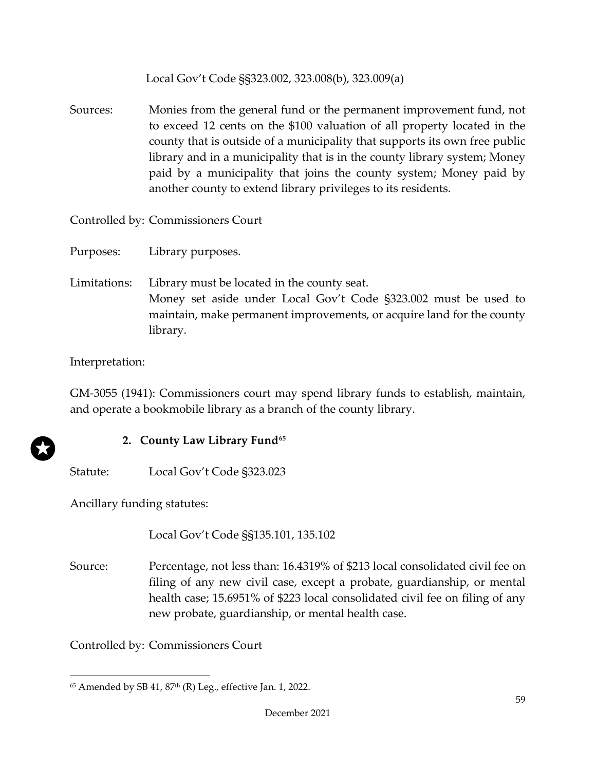Local Gov't Code §§323.002, 323.008(b), 323.009(a)

Sources: Monies from the general fund or the permanent improvement fund, not to exceed 12 cents on the \$100 valuation of all property located in the county that is outside of a municipality that supports its own free public library and in a municipality that is in the county library system; Money paid by a municipality that joins the county system; Money paid by another county to extend library privileges to its residents.

Controlled by: Commissioners Court

Purposes: Library purposes.

Limitations: Library must be located in the county seat. Money set aside under Local Gov't Code §323.002 must be used to maintain, make permanent improvements, or acquire land for the county library.

Interpretation:

GM-3055 (1941): Commissioners court may spend library funds to establish, maintain, and operate a bookmobile library as a branch of the county library.

# **2. County Law Library Fund[65](#page-62-0)**

Statute: Local Gov't Code §323.023

Ancillary funding statutes:

Local Gov't Code §§135.101, 135.102

Source: Percentage, not less than: 16.4319% of \$213 local consolidated civil fee on filing of any new civil case, except a probate, guardianship, or mental health case; 15.6951% of \$223 local consolidated civil fee on filing of any new probate, guardianship, or mental health case.

Controlled by: Commissioners Court

<span id="page-62-0"></span> $65$  Amended by SB 41,  $87<sup>th</sup>$  (R) Leg., effective Jan. 1, 2022.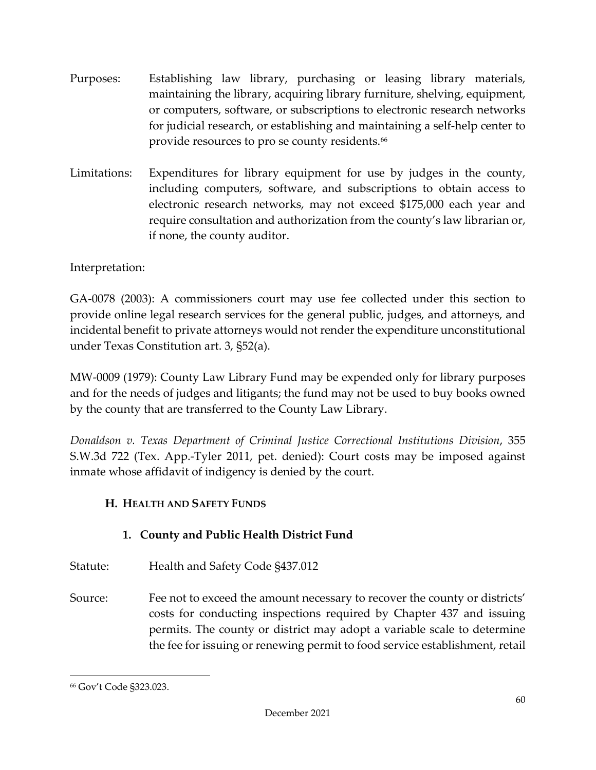- Purposes: Establishing law library, purchasing or leasing library materials, maintaining the library, acquiring library furniture, shelving, equipment, or computers, software, or subscriptions to electronic research networks for judicial research, or establishing and maintaining a self-help center to provide resources to pro se county residents. [66](#page-63-0)
- Limitations: Expenditures for library equipment for use by judges in the county, including computers, software, and subscriptions to obtain access to electronic research networks, may not exceed \$175,000 each year and require consultation and authorization from the county's law librarian or, if none, the county auditor.

# Interpretation:

GA-0078 (2003): A commissioners court may use fee collected under this section to provide online legal research services for the general public, judges, and attorneys, and incidental benefit to private attorneys would not render the expenditure unconstitutional under Texas Constitution art. 3, §52(a).

MW-0009 (1979): County Law Library Fund may be expended only for library purposes and for the needs of judges and litigants; the fund may not be used to buy books owned by the county that are transferred to the County Law Library.

*Donaldson v. Texas Department of Criminal Justice Correctional Institutions Division*, 355 S.W.3d 722 (Tex. App.-Tyler 2011, pet. denied): Court costs may be imposed against inmate whose affidavit of indigency is denied by the court.

# **H. HEALTH AND SAFETY FUNDS**

# **1. County and Public Health District Fund**

- Statute: Health and Safety Code §437.012
- Source: Fee not to exceed the amount necessary to recover the county or districts' costs for conducting inspections required by Chapter 437 and issuing permits. The county or district may adopt a variable scale to determine the fee for issuing or renewing permit to food service establishment, retail

<span id="page-63-0"></span><sup>66</sup> Gov't Code §323.023.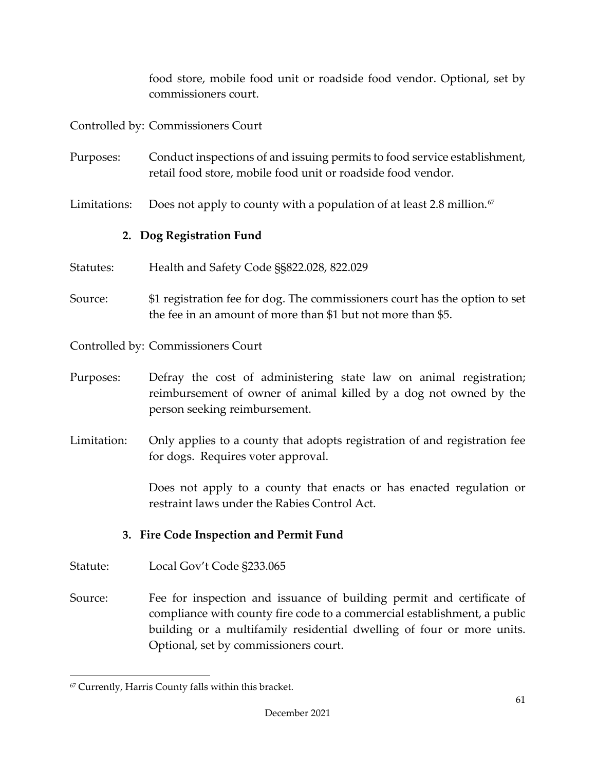food store, mobile food unit or roadside food vendor. Optional, set by commissioners court.

Controlled by: Commissioners Court

Purposes: Conduct inspections of and issuing permits to food service establishment, retail food store, mobile food unit or roadside food vendor.

Limitations: Does not apply to county with a population of at least 2.8 million.<sup>[67](#page-64-0)</sup>

# **2. Dog Registration Fund**

- Statutes: Health and Safety Code §§822.028, 822.029
- Source: \$1 registration fee for dog. The commissioners court has the option to set the fee in an amount of more than \$1 but not more than \$5.

Controlled by: Commissioners Court

- Purposes: Defray the cost of administering state law on animal registration; reimbursement of owner of animal killed by a dog not owned by the person seeking reimbursement.
- Limitation: Only applies to a county that adopts registration of and registration fee for dogs. Requires voter approval.

Does not apply to a county that enacts or has enacted regulation or restraint laws under the Rabies Control Act.

## **3. Fire Code Inspection and Permit Fund**

- Statute: Local Gov't Code §233.065
- Source: Fee for inspection and issuance of building permit and certificate of compliance with county fire code to a commercial establishment, a public building or a multifamily residential dwelling of four or more units. Optional, set by commissioners court.

<span id="page-64-0"></span><sup>67</sup> Currently, Harris County falls within this bracket.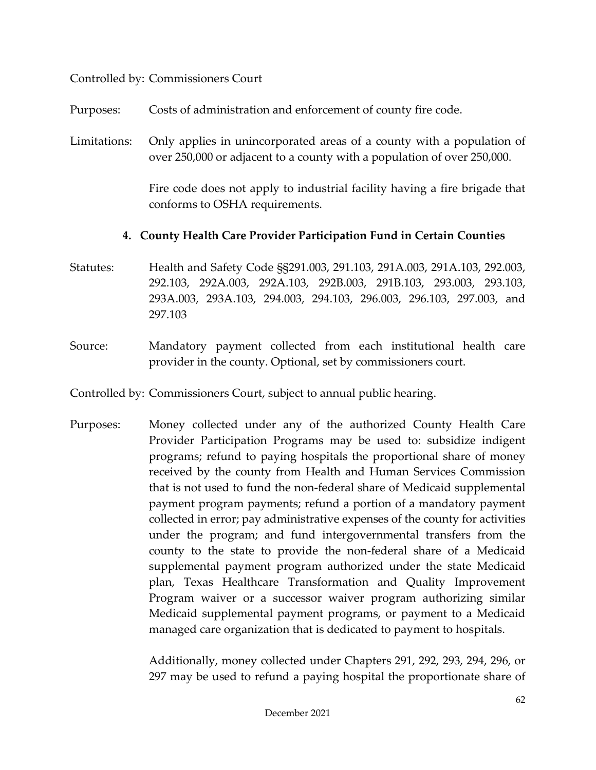#### Controlled by: Commissioners Court

Purposes: Costs of administration and enforcement of county fire code.

Limitations: Only applies in unincorporated areas of a county with a population of over 250,000 or adjacent to a county with a population of over 250,000.

> Fire code does not apply to industrial facility having a fire brigade that conforms to OSHA requirements.

#### **4. County Health Care Provider Participation Fund in Certain Counties**

- Statutes: Health and Safety Code §§291.003, 291.103, 291A.003, 291A.103, 292.003, 292.103, 292A.003, 292A.103, 292B.003, 291B.103, 293.003, 293.103, 293A.003, 293A.103, 294.003, 294.103, 296.003, 296.103, 297.003, and 297.103
- Source: Mandatory payment collected from each institutional health care provider in the county. Optional, set by commissioners court.

Controlled by: Commissioners Court, subject to annual public hearing.

Purposes: Money collected under any of the authorized County Health Care Provider Participation Programs may be used to: subsidize indigent programs; refund to paying hospitals the proportional share of money received by the county from Health and Human Services Commission that is not used to fund the non-federal share of Medicaid supplemental payment program payments; refund a portion of a mandatory payment collected in error; pay administrative expenses of the county for activities under the program; and fund intergovernmental transfers from the county to the state to provide the non-federal share of a Medicaid supplemental payment program authorized under the state Medicaid plan, Texas Healthcare Transformation and Quality Improvement Program waiver or a successor waiver program authorizing similar Medicaid supplemental payment programs, or payment to a Medicaid managed care organization that is dedicated to payment to hospitals.

> Additionally, money collected under Chapters 291, 292, 293, 294, 296, or 297 may be used to refund a paying hospital the proportionate share of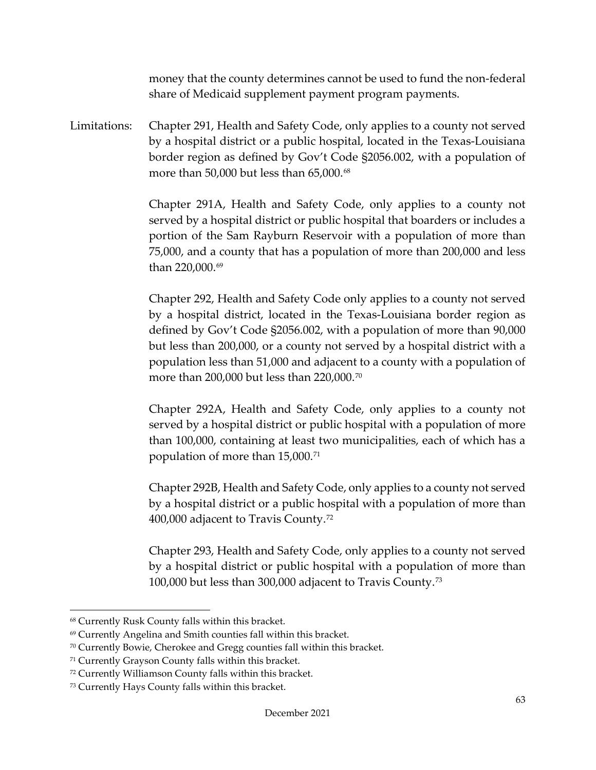money that the county determines cannot be used to fund the non-federal share of Medicaid supplement payment program payments.

Limitations: Chapter 291, Health and Safety Code, only applies to a county not served by a hospital district or a public hospital, located in the Texas-Louisiana border region as defined by Gov't Code §2056.002, with a population of more than 50,000 but less than 65,000.<sup>[68](#page-66-0)</sup>

> Chapter 291A, Health and Safety Code, only applies to a county not served by a hospital district or public hospital that boarders or includes a portion of the Sam Rayburn Reservoir with a population of more than 75,000, and a county that has a population of more than 200,000 and less than 220,000.<sup>[69](#page-66-1)</sup>

> Chapter 292, Health and Safety Code only applies to a county not served by a hospital district, located in the Texas-Louisiana border region as defined by Gov't Code §2056.002, with a population of more than 90,000 but less than 200,000, or a county not served by a hospital district with a population less than 51,000 and adjacent to a county with a population of more than 200,000 but less than 220,000.[70](#page-66-2)

> Chapter 292A, Health and Safety Code, only applies to a county not served by a hospital district or public hospital with a population of more than 100,000, containing at least two municipalities, each of which has a population of more than 15,000.[71](#page-66-3)

> Chapter 292B, Health and Safety Code, only applies to a county not served by a hospital district or a public hospital with a population of more than 400,000 adjacent to Travis County.[72](#page-66-4)

> Chapter 293, Health and Safety Code, only applies to a county not served by a hospital district or public hospital with a population of more than 100,000 but less than 300,000 adjacent to Travis County.[73](#page-66-5)

<span id="page-66-0"></span><sup>68</sup> Currently Rusk County falls within this bracket.

<span id="page-66-1"></span><sup>69</sup> Currently Angelina and Smith counties fall within this bracket.

<span id="page-66-2"></span><sup>70</sup> Currently Bowie, Cherokee and Gregg counties fall within this bracket.

<span id="page-66-3"></span><sup>71</sup> Currently Grayson County falls within this bracket.

<span id="page-66-4"></span><sup>72</sup> Currently Williamson County falls within this bracket.

<span id="page-66-5"></span><sup>73</sup> Currently Hays County falls within this bracket.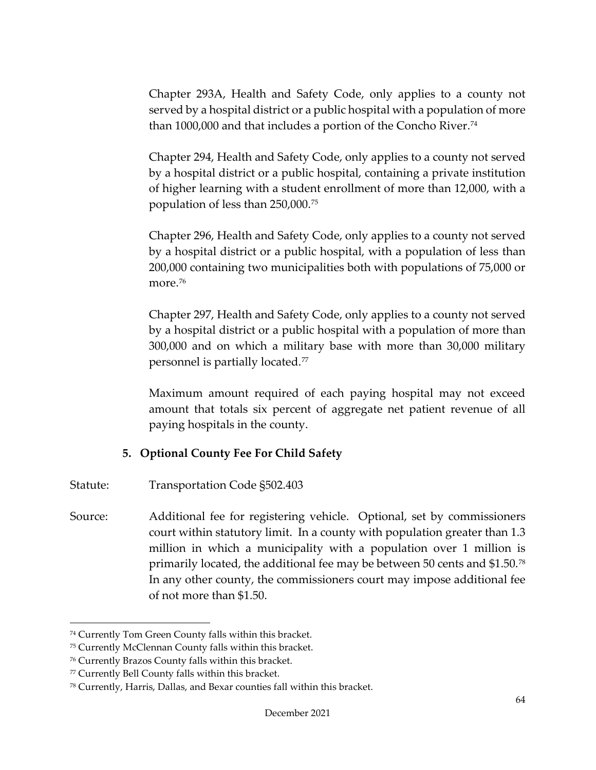Chapter 293A, Health and Safety Code, only applies to a county not served by a hospital district or a public hospital with a population of more than 1000,000 and that includes a portion of the Concho River.<sup>[74](#page-67-0)</sup>

Chapter 294, Health and Safety Code, only applies to a county not served by a hospital district or a public hospital, containing a private institution of higher learning with a student enrollment of more than 12,000, with a population of less than 250,000.[75](#page-67-1) 

Chapter 296, Health and Safety Code, only applies to a county not served by a hospital district or a public hospital, with a population of less than 200,000 containing two municipalities both with populations of 75,000 or more.<sup>[76](#page-67-2)</sup>

Chapter 297, Health and Safety Code, only applies to a county not served by a hospital district or a public hospital with a population of more than 300,000 and on which a military base with more than 30,000 military personnel is partially located.[77](#page-67-3)

Maximum amount required of each paying hospital may not exceed amount that totals six percent of aggregate net patient revenue of all paying hospitals in the county.

## **5. Optional County Fee For Child Safety**

- Statute: Transportation Code §502.403
- Source: Additional fee for registering vehicle. Optional, set by commissioners court within statutory limit. In a county with population greater than 1.3 million in which a municipality with a population over 1 million is primarily located, the additional fee may be between 50 cents and \$1.50.[78](#page-67-4) In any other county, the commissioners court may impose additional fee of not more than \$1.50.

<span id="page-67-0"></span><sup>74</sup> Currently Tom Green County falls within this bracket.

<span id="page-67-1"></span><sup>75</sup> Currently McClennan County falls within this bracket.

<span id="page-67-2"></span><sup>76</sup> Currently Brazos County falls within this bracket.

<span id="page-67-3"></span><sup>77</sup> Currently Bell County falls within this bracket.

<span id="page-67-4"></span><sup>78</sup> Currently, Harris, Dallas, and Bexar counties fall within this bracket.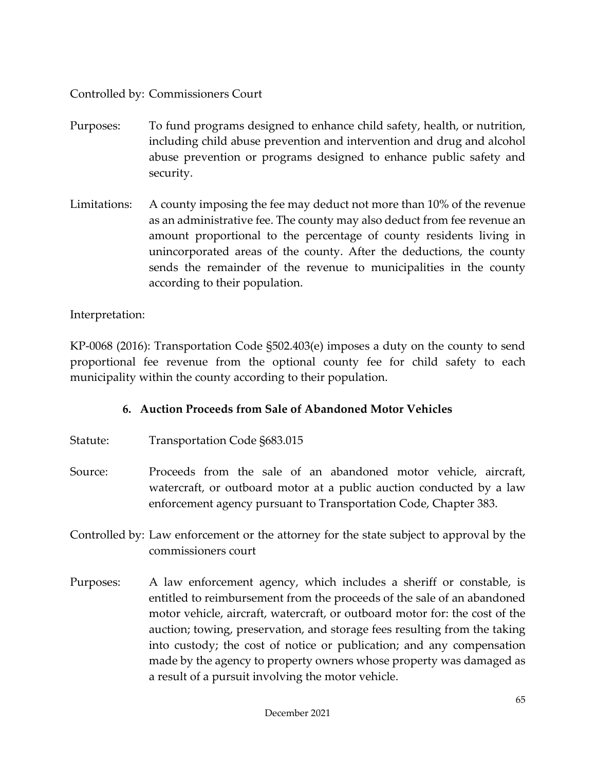Controlled by: Commissioners Court

- Purposes: To fund programs designed to enhance child safety, health, or nutrition, including child abuse prevention and intervention and drug and alcohol abuse prevention or programs designed to enhance public safety and security.
- Limitations: A county imposing the fee may deduct not more than 10% of the revenue as an administrative fee. The county may also deduct from fee revenue an amount proportional to the percentage of county residents living in unincorporated areas of the county. After the deductions, the county sends the remainder of the revenue to municipalities in the county according to their population.

# Interpretation:

KP-0068 (2016): Transportation Code §502.403(e) imposes a duty on the county to send proportional fee revenue from the optional county fee for child safety to each municipality within the county according to their population.

# **6. Auction Proceeds from Sale of Abandoned Motor Vehicles**

- Statute: Transportation Code §683.015
- Source: Proceeds from the sale of an abandoned motor vehicle, aircraft, watercraft, or outboard motor at a public auction conducted by a law enforcement agency pursuant to Transportation Code, Chapter 383.
- Controlled by: Law enforcement or the attorney for the state subject to approval by the commissioners court
- Purposes: A law enforcement agency, which includes a sheriff or constable, is entitled to reimbursement from the proceeds of the sale of an abandoned motor vehicle, aircraft, watercraft, or outboard motor for: the cost of the auction; towing, preservation, and storage fees resulting from the taking into custody; the cost of notice or publication; and any compensation made by the agency to property owners whose property was damaged as a result of a pursuit involving the motor vehicle.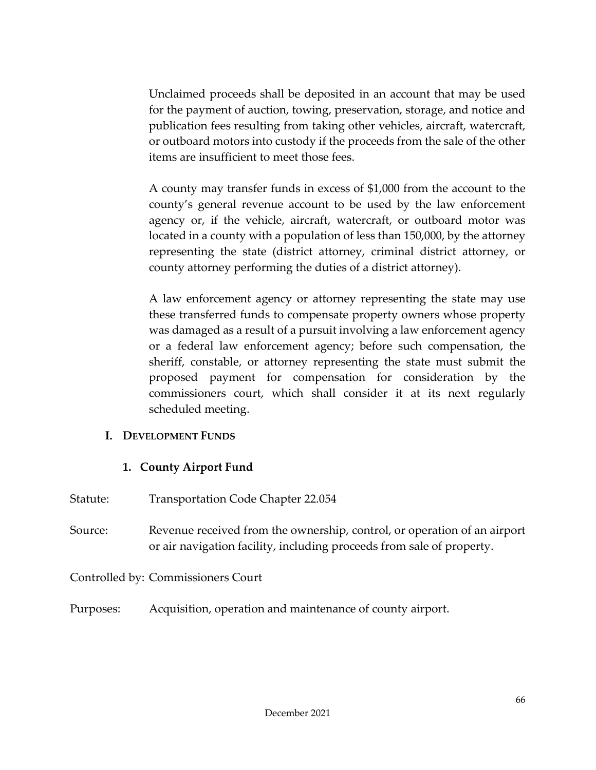Unclaimed proceeds shall be deposited in an account that may be used for the payment of auction, towing, preservation, storage, and notice and publication fees resulting from taking other vehicles, aircraft, watercraft, or outboard motors into custody if the proceeds from the sale of the other items are insufficient to meet those fees.

 A county may transfer funds in excess of \$1,000 from the account to the county's general revenue account to be used by the law enforcement agency or, if the vehicle, aircraft, watercraft, or outboard motor was located in a county with a population of less than 150,000, by the attorney representing the state (district attorney, criminal district attorney, or county attorney performing the duties of a district attorney).

A law enforcement agency or attorney representing the state may use these transferred funds to compensate property owners whose property was damaged as a result of a pursuit involving a law enforcement agency or a federal law enforcement agency; before such compensation, the sheriff, constable, or attorney representing the state must submit the proposed payment for compensation for consideration by the commissioners court, which shall consider it at its next regularly scheduled meeting.

#### **I. DEVELOPMENT FUNDS**

#### **1. County Airport Fund**

- Statute: Transportation Code Chapter 22.054
- Source: Revenue received from the ownership, control, or operation of an airport or air navigation facility, including proceeds from sale of property.

Controlled by: Commissioners Court

Purposes: Acquisition, operation and maintenance of county airport.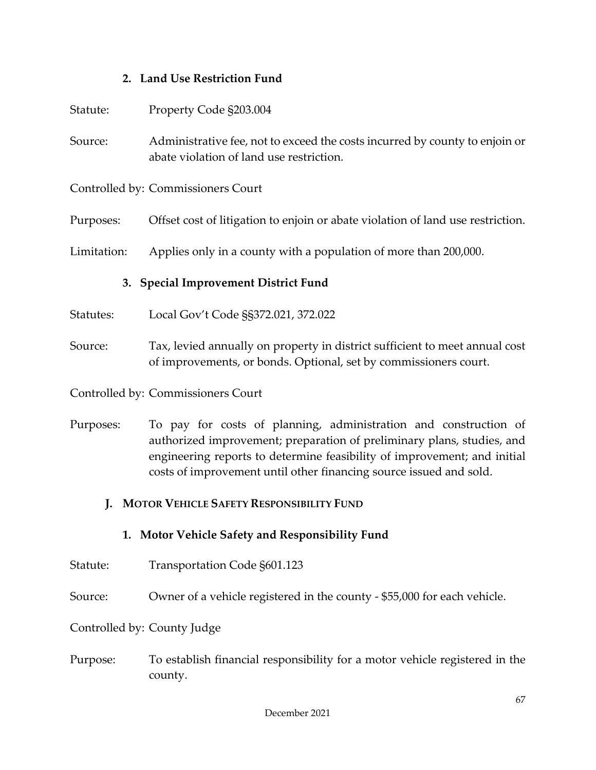#### **2. Land Use Restriction Fund**

| Statute:                             | Property Code §203.004                                                                                                  |  |
|--------------------------------------|-------------------------------------------------------------------------------------------------------------------------|--|
| Source:                              | Administrative fee, not to exceed the costs incurred by county to enjoin or<br>abate violation of land use restriction. |  |
|                                      | Controlled by: Commissioners Court                                                                                      |  |
| Purposes:                            | Offset cost of litigation to enjoin or abate violation of land use restriction.                                         |  |
| Limitation:                          | Applies only in a county with a population of more than 200,000.                                                        |  |
| 3. Special Improvement District Fund |                                                                                                                         |  |

- Statutes: Local Gov't Code §§372.021, 372.022
- Source: Tax, levied annually on property in district sufficient to meet annual cost of improvements, or bonds. Optional, set by commissioners court.
- Controlled by: Commissioners Court
- Purposes: To pay for costs of planning, administration and construction of authorized improvement; preparation of preliminary plans, studies, and engineering reports to determine feasibility of improvement; and initial costs of improvement until other financing source issued and sold.

#### **J. MOTOR VEHICLE SAFETY RESPONSIBILITY FUND**

- **1. Motor Vehicle Safety and Responsibility Fund**
- Statute: Transportation Code §601.123
- Source: Owner of a vehicle registered in the county \$55,000 for each vehicle.

#### Controlled by: County Judge

Purpose: To establish financial responsibility for a motor vehicle registered in the county.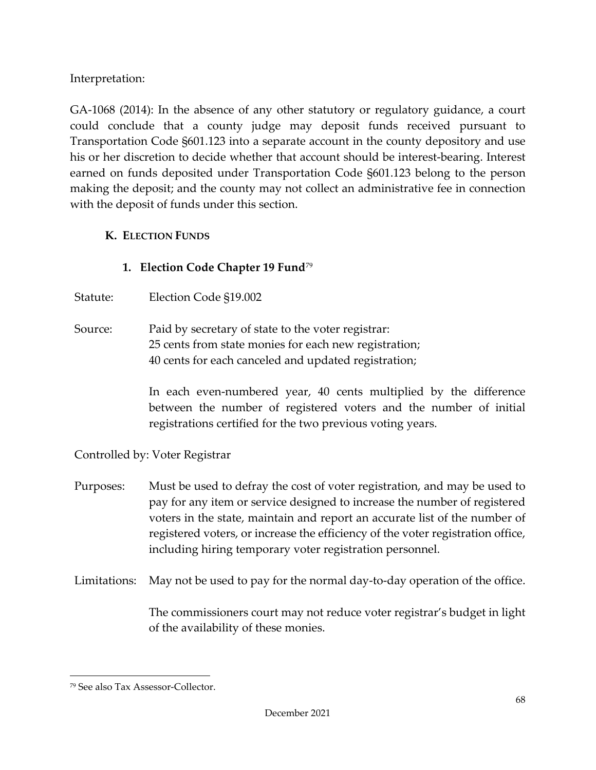Interpretation:

GA-1068 (2014): In the absence of any other statutory or regulatory guidance, a court could conclude that a county judge may deposit funds received pursuant to Transportation Code §601.123 into a separate account in the county depository and use his or her discretion to decide whether that account should be interest-bearing. Interest earned on funds deposited under Transportation Code §601.123 belong to the person making the deposit; and the county may not collect an administrative fee in connection with the deposit of funds under this section.

# **K. ELECTION FUNDS**

# **1. Election Code Chapter 19 Fund**[79](#page-71-0)

Statute: Election Code §19.002

Source: Paid by secretary of state to the voter registrar: 25 cents from state monies for each new registration; 40 cents for each canceled and updated registration;

> In each even-numbered year, 40 cents multiplied by the difference between the number of registered voters and the number of initial registrations certified for the two previous voting years.

Controlled by: Voter Registrar

- Purposes: Must be used to defray the cost of voter registration, and may be used to pay for any item or service designed to increase the number of registered voters in the state, maintain and report an accurate list of the number of registered voters, or increase the efficiency of the voter registration office, including hiring temporary voter registration personnel.
- Limitations: May not be used to pay for the normal day-to-day operation of the office.

The commissioners court may not reduce voter registrar's budget in light of the availability of these monies.

<span id="page-71-0"></span><sup>79</sup> See also Tax Assessor-Collector.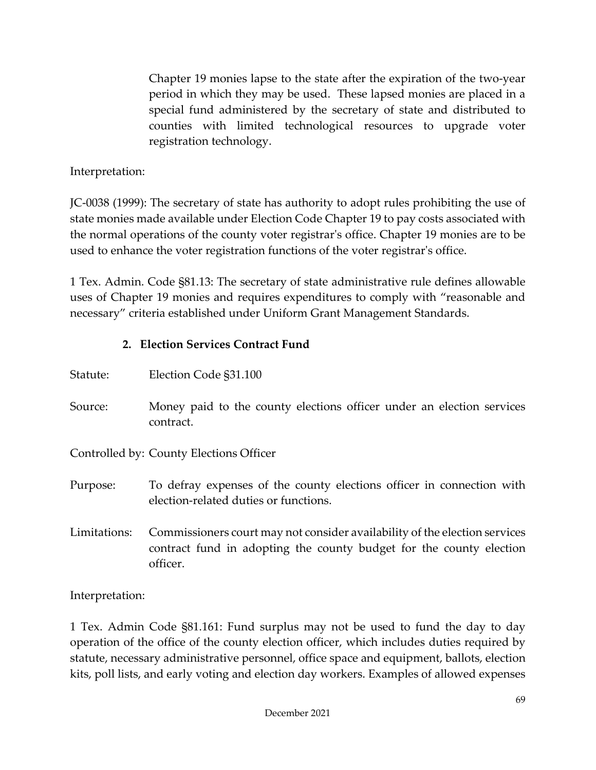Chapter 19 monies lapse to the state after the expiration of the two-year period in which they may be used. These lapsed monies are placed in a special fund administered by the secretary of state and distributed to counties with limited technological resources to upgrade voter registration technology.

## Interpretation:

JC-0038 (1999): The secretary of state has authority to adopt rules prohibiting the use of state monies made available under Election Code Chapter 19 to pay costs associated with the normal operations of the county voter registrar's office. Chapter 19 monies are to be used to enhance the voter registration functions of the voter registrar's office.

1 Tex. Admin. Code §81.13: The secretary of state administrative rule defines allowable uses of Chapter 19 monies and requires expenditures to comply with "reasonable and necessary" criteria established under Uniform Grant Management Standards.

## **2. Election Services Contract Fund**

| Statute:     | Election Code §31.100                                                                                                                                         |
|--------------|---------------------------------------------------------------------------------------------------------------------------------------------------------------|
| Source:      | Money paid to the county elections officer under an election services<br>contract.                                                                            |
|              | Controlled by: County Elections Officer                                                                                                                       |
| Purpose:     | To defray expenses of the county elections officer in connection with<br>election-related duties or functions.                                                |
| Limitations: | Commissioners court may not consider availability of the election services<br>contract fund in adopting the county budget for the county election<br>officer. |

Interpretation:

1 Tex. Admin Code §81.161: Fund surplus may not be used to fund the day to day operation of the office of the county election officer, which includes duties required by statute, necessary administrative personnel, office space and equipment, ballots, election kits, poll lists, and early voting and election day workers. Examples of allowed expenses